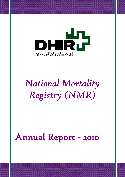

# *National Mortality Registry (NMR)*

# Annual Report - 2010

I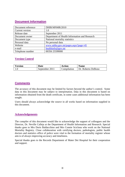# **Document Information**

| Document reference | DHIR/MNMR/2010                                |
|--------------------|-----------------------------------------------|
| Current version    | 1.0                                           |
| Release date       | September 2011                                |
| Document owner     | Department of Health Information and Research |
| Document type      | National mortality statistics                 |
| Personal data      | No personal data                              |
| Website            | www.sahha.gov.mt/pages.aspx?page=45           |
| e-mail             | healthinfo@gov.mt                             |
| Telephone number   | 00356 25599000                                |

#### **Version Control**

| <b>Version</b> | Date           | <b>Action</b> | <b>Name</b>        |  |  |
|----------------|----------------|---------------|--------------------|--|--|
|                | September 2011 | Compilation   | Dr. Roberto DeBono |  |  |

# **Comments**

The accuracy of this document may be limited by factors beyond the author's control. Some data in this document may be subject to interpretation. Data in this document is based on information obtained from the death certificate, in some cases additional information has been sought.

Users should always acknowledge the source in all works based on information supplied in this document.

#### **Acknowledgements**

The compiler of this document would like to acknowledge the support of colleagues and the Director, Dr. Neville Calleja at the Department of Health Information and Research. Special thanks goes to Mrs Doris Baldacchino and Mrs Connie Scicluna who work on the National Mortality Registry. Close collaboration with certifying doctors, pathologists, public health doctors and statistics office of police were vital to the formation of mortality register whose aim is of always improving accuracy and timeliness.

Special thanks goes to the Records Department of Mater Dei Hospital for their cooperation and support.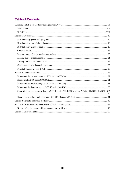# **Table of Contents**

| Some infectious and parasitic diseases (ICD 10 codes A00-B99 (excluding A41.9), G00, G03-G04, N70-N73) |  |
|--------------------------------------------------------------------------------------------------------|--|
|                                                                                                        |  |
|                                                                                                        |  |
|                                                                                                        |  |
|                                                                                                        |  |
|                                                                                                        |  |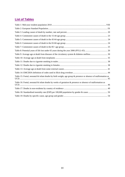# **List of Tables**

| Table 15: Foetal, neonatal & infant deaths by birth weight, age group & presence or absence of malformation as |  |
|----------------------------------------------------------------------------------------------------------------|--|
| Table 16: Foetal, neonatal & infant deaths by weeks of gestation & presence or absence of malformation as      |  |
|                                                                                                                |  |
|                                                                                                                |  |
|                                                                                                                |  |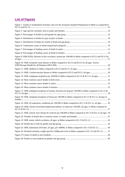# **List of Figures**

| Figure 1: Trends in standardised mortality rates (on the European Standard Population) in Malta as compared to |  |
|----------------------------------------------------------------------------------------------------------------|--|
|                                                                                                                |  |
|                                                                                                                |  |
|                                                                                                                |  |
|                                                                                                                |  |
|                                                                                                                |  |
|                                                                                                                |  |
|                                                                                                                |  |
| Figure 9: SDR (ESD), diseases of the circulatory system per 100,000 in Malta compared to EU15 and EU12 for     |  |
| Figure 10: SDR, Ischaemic heart disease in Malta compared to EU15 and EU12 for all ages. Source:               |  |
|                                                                                                                |  |
|                                                                                                                |  |
| Figure 13: SDR, malignant neoplasms per 100,000 in Malta compared to EU-15 & EU-12, all ages.  31              |  |
|                                                                                                                |  |
|                                                                                                                |  |
|                                                                                                                |  |
| Figure 17: SDR, malignant neoplasm of trachea, bronchus & lung per 100,000 in Malta compared to EU-15 &        |  |
| Figure 18: SDR, malignant neoplasm of breast per 100,000 in Malta compared to EU-15 & EU-12, all ages in       |  |
| Figure 19: SDR, all respiratory conditions per 100,000 in Malta compared to EU-15 & EU-12, all ages.  36       |  |
| Figure 20: SDR, chronic bronchitis/emphysema/asthma, in males per 100,000, all ages, in Malta compared to      |  |
| Figure 21: SDR, chronic liver disease & cirrhosis per 100,000 in Malta compared to EU-15 & EU-12 all ages. 39  |  |
|                                                                                                                |  |
|                                                                                                                |  |
|                                                                                                                |  |
| Figure 25: SDR, Intentional self harm, all ages, per 100000, in Malta compared to EU-15 & EU-12 44             |  |
| Figure 26: Perinatal mortality weight specific (1000g and over) in Malta compared to EU-15 and EU-12 47        |  |
|                                                                                                                |  |
|                                                                                                                |  |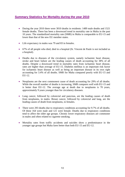# **Summary Statistics for Mortality during the year 2010**

- During the year 2010 there were 3010 deaths in residents: 1489 male deaths and 1521 female deaths. There has been a downward trend in mortality rate in Malta in the past 10 years. The standardized mortality rate (SMR) in Malta is comparable to EU-15 and lower than that of the new EU member states.
- Life expectancy in males was 79 and 83 in females.
- 67% of all people who died, died in a hospital (St. Vincent de Paule is not included as a hospital).
- Deaths due to diseases of the circulatory system, namely ischaemic heart disease, stroke and heart failure are the leading causes of death accounting for 38% of all deaths. Despite a downward trend in mortality rates from ischaemic heart disease, rates are higher than average of EU-15. Diabetes mellitus is an important risk factor for ischaemic heart disease as well as being an important disease in its own right accounting for 3.4% of all deaths. SMR for Malta compared poorly with EU-15 and EU-12.
- Neoplasms are the next commonest cause of death accounting for 29% of all deaths. While the overall number of deaths is increasing, SMR compares well with EU-15 and is better than EU-12. The average age at death due to neoplasms is 70 years, approximately 9 years younger than for circulatory diseases.
- Lung cancer, followed by colorectal and pancreas, are the leading causes of death from neoplasms, in males. Breast cancer, followed by colorectal and lung, are the leading causes of death from neoplasms, in females.
- There were 293 deaths due to respiratory conditions accounting for 9.7% of all deaths. Of these 164 were male and 121 were female. Deaths due to respiratory conditions tend to affect the older age groups. Chronic lower respiratory diseases are commoner in males and often related to cigarette smoking.
- Mortality rates from traffic accidents and suicides show a predominance in the younger age groups but Malta fares better than both EU-15 and EU-12.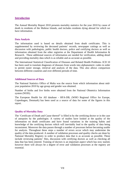#### **Introduction**

The Annual Mortality Report 2010 presents mortality statistics for the year 2010 by cause of death in residents of the Maltese Islands, and includes residents dying abroad for which we have information.

#### **Data Analysis**

The information used is based on details obtained from death certificates. This is supplemented by reviewing the deceased patients' records, newspaper cuttings as well as discussion with pathologists, public health doctors, police and certifying doctors as well as information obtained from the other registries at the Department of Health Information & Research. These additional sources of information are needed for verification, adding detail and providing mortality data which is as reliable and as accurate as possible.

The International Statistical Classification of Diseases and Related Health Problems- ICD 10 has been used to translate diagnoses of diseases from words into alphanumeric codes in order to permit easier storage, retrieval and analysis of the data. This also allows comparison between different countries and over different periods of time.

#### **Additional Sources of Data**

The National Statistics Office of Malta was the source from which information about midyear population 2010 by age group and gender was obtained.

Number of births and live births were obtained from the National Obstetrics Information system (NOIS).

The European Health for All database - HFA-DB, (WHO Regional Office for Europe, Copenhagen, Denmark) has been used as a source of data for some of the figures in this report.

#### **Quality of Mortality Data**

The 'Certificate of Death and Cause thereof' is filled in by the certifying doctor or in the case of autopsies by the pathologist. A variety of studies have looked at the quality of the information on death certificates and have found variations in the training habits and knowledge of the certifying doctors which will inevitably lead to the quality of data being inconsistent. Moreover the data passes through a number of processes before becoming usable for analysis. Throughout these steps a number of errors occur which may undermine the quality of the data produced. A number of validation processes and quality checks are done by National Mortality Registry in order to produce data that is as accurate as possible. These include reviewing patients' files, discussion with certifying doctors as well as checking all data that has been entered. Training of doctors is an important aspect which has now started, however there will always be a degree of error and validation processes at the registry are essential.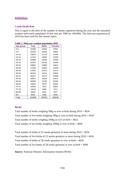#### **Definitions**

#### **Crude Death Rate**

This is equal to the ratio of the number of deaths registered during the year and the estimated resident mid-yearly population of that year per 1000 (or 100,000). The mid-year population of 2010 has been used for this annual report.

| Age group | Total  | <b>Males</b> | <b>Females</b> |
|-----------|--------|--------------|----------------|
| $0 - 4$   | 20290  | 10506        | 9784           |
| $5-9$     | 20233  | 10265        | 9968           |
| $10 - 14$ | 23623  | 12128        | 11495          |
| 15-19     | 27243  | 13984        | 13259          |
| 20-24     | 30486  | 16040        | 14446          |
| 25-29     | 31341  | 16248        | 15093          |
| 30-34     | 30804  | 15983        | 14821          |
| 35-39     | 27355  | 13961        | 13394          |
| 40-44     | 24451  | 12337        | 12114          |
| 45-49     | 28144  | 14311        | 13833          |
| 50-54     | 30257  | 15172        | 15085          |
| 55-59     | 28641  | 14204        | 14437          |
| 60-64     | 30058  | 14763        | 15295          |
| 65-69     | 19813  | 9379         | 10434          |
| 70-74     | 16618  | 7525         | 9093           |
| 75-79     | 12610  | 5099         | 7511           |
| 80-84     | 8028   | 3051         | 4977           |
| 85+       | 6001   | 1995         | 4006           |
| Total     | 415996 | 206951       | 209045         |

**Table 1: Mid-year resident population 2010** 

#### **Births**

Total number of births weighing 500g or over at birth during 2010 = 4034 Total number of live births weighing  $500g$  or over at birth during  $2010 = 4018$ Total number of births weighing  $1000g$  or over at birth =  $4022$ Total number of live births weighing  $1000g$  or over at birth = 4009

Total number of births of 22 weeks gestation or more during  $2010 = 4036$ Total number of live births of 22 weeks gestation or more during 2010 = 4018 Total number of births of 28 weeks gestation or over at birth  $= 4020$ Total number of live births of 28 weeks gestation or over at birth  $= 4006$ 

**Source**: National Obstetric Information System (NOIS)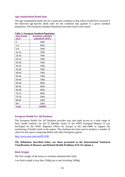#### **Age-Standardised Death Rate**

The age-standardised death rate for a particular condition is that which would have occurred if the observed age-specific death rates for the condition had applied in a given standard population. The European Standard Population has been used in this report.

| <b>Age groups</b><br>(yrs) | <b>European standard</b><br>population (ESP) |  |  |  |  |
|----------------------------|----------------------------------------------|--|--|--|--|
| 0                          | 1600                                         |  |  |  |  |
| $1 - 4$                    | 6400                                         |  |  |  |  |
| 5-9                        | 7000                                         |  |  |  |  |
| $10 - 14$                  | 7000                                         |  |  |  |  |
| 15-19                      | 7000                                         |  |  |  |  |
| 20-24                      | 7000                                         |  |  |  |  |
| 25-29                      | 7000                                         |  |  |  |  |
| 30-34                      | 7000                                         |  |  |  |  |
| 35-39                      | 7000                                         |  |  |  |  |
| 40-44                      | 7000                                         |  |  |  |  |
| 45-49                      | 7000                                         |  |  |  |  |
| 50-54                      | 7000                                         |  |  |  |  |
| 55-59                      | 6000                                         |  |  |  |  |
| 60-64                      | 5000                                         |  |  |  |  |
| 65-69                      | 4000                                         |  |  |  |  |
| 70-74                      | 3000                                         |  |  |  |  |
| 75-79                      | 2000                                         |  |  |  |  |
| 80-84                      | 1000                                         |  |  |  |  |
| $85+$                      | 1000                                         |  |  |  |  |
| Total                      | 100000                                       |  |  |  |  |

#### **Table 2: European Standard Population**

#### **European Health For All Database**

The European Health For All Database provides easy and rapid access to a wide range of basic health statistics for the 52 Member States of the WHO European Region. It was developed by the WHO Regional Office for Europe in the mid-1980s to support the monitoring of health trends in the region. This database has been used to produce a number of charts for the report comparing Malta with other European regions.

http://www.euro.who.int/HFADB

**The definitions described below are those presented in the International Statistical Classification of Diseases and Related Health Problems ICD-10 volume 2.** 

#### **Birth Weight**

The first weight of the foetus or newborn obtained after birth.

Low birth weight is less than  $2500g$  (up to and including 2499g).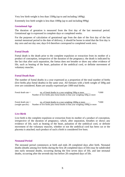Very low birth weight is less than 1500g (up to and including 1499g). Extremely low birth weight is less than 1000g (up to and including 999g)

#### **Gestational Age**

The duration of gestation is measured from the first day of the last menstrual period. Gestational age is expressed in complete days or completed weeks.

For the purposes of calculation of gestational age from the date of the first day of the last normal menstrual period to the date of delivery, it should be borne in mind that the first day is day zero and not day one; days 0-6 therefore correspond to completed week zero;

#### **Foetal Death**

Foetal death is the death prior to the complete expulsion or extraction from its mother of a product of conception, irrespective of the duration of the pregnancy; the death is indicated by the fact that after such separation, the foetus does not breathe or show any other evidence of life, such as beating of the heart, pulsation of the umbilical cord, or definite movement of voluntary muscles.

#### **Foetal Death Rate**

The number of foetal deaths in a year expressed as a proportion of the total number of births (live births plus foetal deaths) in the same year. All foetuses with a birth weight of 500g and over are considered. Rates are usually expressed per 1000 total births.

| Foetal death rate $=$ | no. of foetal deaths in a year weighing 500g or more                         | $*1000$ |
|-----------------------|------------------------------------------------------------------------------|---------|
|                       | Number of live births plus foetal deaths in that year weighing 500g or more  |         |
|                       |                                                                              |         |
|                       |                                                                              |         |
| Foetal death rate $=$ | no. of foetal deaths in a year weighing 1000g or more                        | $*1000$ |
| (weight specific)     | Number of live births plus foetal deaths in that year weighing 1000g or more |         |

#### **Live Birth**

Live birth is the complete expulsion or extraction from its mother of a product of conception, irrespective of the duration of pregnancy, which, after separation, breathes or shows any evidence of life, such as beating of the heart, pulsation of the umbilical cord, or definite movement of the voluntary muscles, whether or not the umbilical cord has been cut or the placenta is attached; each product of such a birth is considered live born.

#### **Neonatal Period**

The neonatal period commences at birth and ends 28 completed days after birth. Neonatal deaths (deaths among live births during the first 28 completed days of life) may be subdivided into early neonatal deaths, occurring during the first seven days of life, and late neonatal deaths, occurring after the seventh day but before 28 completed days of life.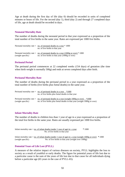Age at death during the first day of life (day 0) should be recorded in units of completed minutes or hours of life. For the second (day 1), third (day 2) and through 27 completed days of life, age at death should be recorded in days.

#### **Neonatal Mortality Rate**

The number of deaths during the neonatal period in that year expressed as a proportion of the total number of live births in the same year. Rates are expressed per 1000 live births.

```
Neonatal mortality rate = \pi no. of neonatal deaths in a year * 1000
                             no. of live births in that year 
Neonatal mortality rate = \underline{\text{no. of neonatal deaths in a year (1000g or over)}} * 1000
(weight specific) no. of live births in that year (1000g or over)
```
#### **Perinatal Period**

The perinatal period commences at 22 completed weeks (154 days) of gestation (the time when birth weight is normally 500g) and ends at seven completed days after birth.

#### **Perinatal Mortality Rate**

The number of deaths during the perinatal period in a year expressed as a proportion of the total number of births (live births plus foetal deaths) in the same year.

|                   | Perinatal mortality rate = $\pi$ no. of perinatal deaths in a year $*1000$<br>no. of live births plus foetal deaths in that year                                              |
|-------------------|-------------------------------------------------------------------------------------------------------------------------------------------------------------------------------|
| (weight specific) | Perinatal mortality rate $=$ no. of perinatal deaths in a year (weight 1000g or over)<br>$*1000$<br>no. of live births plus foetal deaths in that year (weight 1000g or over) |

#### **Infant Mortality Rate**

The number of deaths in children less than 1 year of age in a year expressed as a proportion of the total live births in the same year. Rates are usually expressed per 1000 live births.

Infant mortality rate = 
$$
\frac{no. \text{ of infant deaths (under 1 year of age) in a year}}{No. \text{ of live births in that year}}
$$

\n\* 1000

Infant mortality rate = no. of infant deaths (under 1 year of age) in a year (weight 1000g or over) **\*** 1000 (weight specific) No. of live births in that year (weight over 1000g)

#### **Potential Years of Life Lost (PYLL)**

A measure of the relative impact of various diseases on society, PYLL highlights the loss to society as a result of youthful or early deaths. The figure for potential years of life lost due to a particular cause is the sum of the years of life lost due to that cause for all individuals dying before a particular age (65 years in the case of PYLL-65).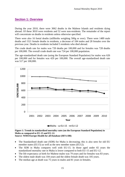### **Section 1: Overview**

During the year 2010, there were 3062 deaths in the Maltese Islands and residents dying abroad. Of these 3010 were residents and 52 were non-residents. The remainder of the report will concentrate on deaths in residents unless otherwise specified.

There were also 16 foetal deaths (stillbirths weighing 500g or over). There were 1489 male deaths and 1521 female deaths in residents, a decrease of 184 males and 28 females over the previous year. Deaths in residents included 5 residents who died abroad.

The crude death rate for males was 720 deaths per 100,000 and for females was 728 deaths per 100,000. The overall crude death rate was 724 per 100,000 population.

The age-standardised death rate (using the European Standard Population) for males was 626 per 100,000 and for females was 429 per 100,000. The overall age-standardised death rate was 517 per 100,000.



**Figure 1: Trends in standardised mortality rates (on the European Standard Population) in Malta as compared to EU-15 and EU-12. Source: WHO/Europe-Health for all Database (HFA-DB)** 

- The Standardised death rate (SDR) for Malta is decreasing; this is also seen for old EU member states (EU15) as well as the new member states (EU12).
- The SDR in Malta compares well with EU-15. In those aged under 65 years the standardized mortality rate in Malta is lower compared to both EU-15 and EU-12.
- The life expectancy at birth for Maltese males was 79 years and for females was 83 years.
- The oldest male death was 104 years and the oldest female death was 105 years.
- The median age at death was 75 years in males and 81 years in females.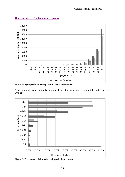

#### **Distribution by gender and age group**

**Figure 2: Age-specific mortality rates in males and females** 

After an initial rise in mortality in infants below the age of one year, mortality rates increase with age.



**Figure 3: Percentages of deaths in each gender by age group**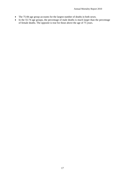- The 75-84 age group accounts for the largest number of deaths in both sexes.
- In the 55-74 age groups, the percentage of male deaths is much larger than the percentage of female deaths. The opposite is true for those above the age of 75 years.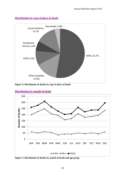

## **Distribution by type of place of death**





#### **Distribution by month of death**

**Figure 5: Distribution of deaths by month of death and age group**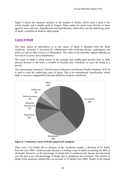Figure 5 shows the seasonal variation in the number of deaths, which reach a peak in the winter months and a smaller peak in August. These peaks are much more obvious in those aged 65 years and over. Hypothermia and hyperthermia, while often not the underlying cause of death, contribute to death in older people.

#### **Causes of death**

The main source of information as to the causes of death is obtained from the death certificate. Accuracy is increased by collaboration with certifying doctors, pathologists and police as well as other sources of information. The value of the mortality register depends on its level of accuracy and completeness.

The cause of death is often clearer in the younger and middle-aged persons than in older persons because in the latter, a number of diseases may contribute to cause the death of a person.

The International Statistical Classification of Diseases and Related Health Problems: ICD-10 is used to code the underlying cause of death. This is an international classification, which helps to increase comparability between different countries worldwide.



**Figure 6: Commonest causes of death using broad categories** 

There were 1152 deaths due to diseases of the circulatory system, a decrease of 97 deaths from the year 2009. Cardiovascular disease is a leading cause of death accounting for 38% of all deaths. However, as the percentage of deaths due to cardiovascular disease has decreased over the past years, the percentage of deaths due to neoplasms has increased. The number of deaths from neoplasm totalled 865, an increase of 13 deaths over 2009. Deaths in the mental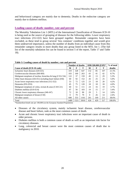and behavioural category are mainly due to dementia. Deaths in the endocrine category are mainly due to diabetes mellitus.

#### **Leading causes of death: number, rate and percent**

The Mortality Tabulation List 1 (MTL) of the International Classification of Diseases ICD-10 is being used as the source of grouping of diseases for the following tables. Lower respiratory tract infections (J12-J22) have been grouped together. Remainder categories have been excluded, as these tend to group several 'less common' conditions together and would give them undeserved importance, unless the number of deaths from an individual cause from this remainder category results in more deaths than any group listed in the MTL list 1. (The full list of the mortality tabulation list can be found in section 5 of the report, Table 17 and Table 18).

#### **Table 3: Leading causes of death by number, rate and percent**

|                                                              | <b>Number of deaths</b> |      |      | <b>SDR/100.000 (ESP)*</b> |     |     | $%$ of total |
|--------------------------------------------------------------|-------------------------|------|------|---------------------------|-----|-----|--------------|
| Cause of death (ICD-10 code)                                 | M                       | F    | Т    | М                         | F   |     | deaths       |
| Ischaemic heart diseases (I20-I25)                           | 319                     | 328  | 647  | 132                       | 85  | 107 | 21.5%        |
| Cerebrovascular diseases (160-169)                           | 103                     | 160  | 263  | 43                        | 41  | 42  | 8.7%         |
| Malignant neoplasm of trachea, bronchus & lung (C33-C34)     | 122                     | 37   | 159  | 49                        | 13  | 29  | 5.3%         |
| Other heart diseases (I26-I51) including heart failure (I50) | 60                      | 92   | 152  | 26                        | 25  | 25  | 5.0%         |
| Acute lower respiratory tract infections (J12-J22)           | 53                      | 72   | 125  | 23                        | 18  | 20  | 4.2%         |
| Dementia (F01-F03)                                           | 45                      | 75   | 120  | 18                        | 18  | 18  | 4.0%         |
| Malignant neoplasm of colon, rectum $\&$ anus (C18-C21)      | 60                      | 51   | 111  | 24                        | 16  | 19  | 3.7%         |
| Diabetes mellitus (E10-E14)                                  | 47                      | 56   | 103  | 19                        | 15  | 17  | 3.4%         |
| Chronic lower respiratory diseases (J40-J47)                 | 72                      | 18   | 90   | 29                        | 5   | 14  | 3.0%         |
| Malignant neoplasm of breast (C50)                           | $\theta$                | 79   | 79   | $\Omega$                  | 26  | 14  | 2.6%         |
| All other causes                                             | 608                     | 553  | 1161 | 261                       | 169 | 211 | 38.6%        |
| Total                                                        | 1489                    | 1521 | 3010 | 626                       | 429 | 517 | 100.0%       |

\*Standardised death rate per 100,000 (on the European Standard Population)

- Diseases of the circulatory system, mainly ischaemic heart disease, cerebrovascular disease and heart failure, rank as the most common causes of death.
- Acute and chronic lower respiratory tract infections were an important cause of death in older persons.
- Diabetes mellitus is both a common cause of death as well as an important risk factor for circulatory diseases.
- Lung, colorectal and breast cancer were the most common causes of death due to malignancy in 2010.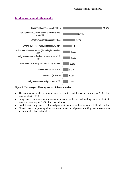

## **Leading causes of death in males**

**Figure 7: Percentages of leading causes of death in males** 

- The main cause of death in males was ischaemic heart disease accounting for 21% of all male deaths in 2010.
- Lung cancer surpassed cerebrovascular disease as the second leading cause of death in males, accounting for 8.2% of all male deaths.
- In addition to lung cancer, colon and pancreatic cancer are leading cancer killers in males.
- Chronic lower respiratory diseases, often related to cigarette smoking, are a commoner killer in males than in females.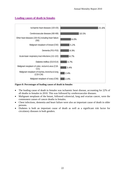## **Leading causes of death in females**



**Figure 8: Percentages of leading causes of death in females** 

- The leading cause of death in females was ischaemic heart disease, accounting for 22% of all deaths in females in 2010. This was followed by cerebrovascular diseases.
- Malignant neoplasm of the breast, followed colorectal, lung and ovarian cancer, were the commonest causes of cancer deaths in females.
- Chest infections, dementia and heart failure were also an important cause of death in older persons.
- Diabetes is both an important cause of death as well as a significant risk factor for circulatory diseases in both genders.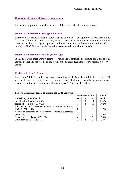#### **Commonest causes of death by age group**

The relative importance of different causes of death varies in different age groups.

#### **Deaths in children below the age of one year**

There were 22 deaths in infants (below the age of one year) during the year 2010 accounting for 0.7% of the total deaths. Of these, 13 were male and 9 were female. The most important causes of death in this age group were conditions originating in the early neonatal period (16 deaths). Half of all infant deaths were due to congenital anomalies (11 deaths).

#### **Deaths in children between 1-14 years of age**

In this age group there were 9 deaths – 4 males and 5 females - accounting for 0.3% of total deaths. Malignant neoplasm of the brain and myeloid leukaemia were responsible for 4 deaths.

#### **Deaths in 15-44 age group**

There were 93 deaths in this age group accounting for 3.1% of the total deaths. Of these, 74 were male and 19 were female. External causes of death, especially in young males, accounted for the largest number of deaths in this age group i.e. 49 deaths.

#### **Table 4: Commonest causes of death in the 15-44 age group**

|                                                             | <b>Number of deaths</b> |          |    | $%$ of all |
|-------------------------------------------------------------|-------------------------|----------|----|------------|
| <b>Underlying cause of death</b>                            | M                       |          | Т  | deaths     |
| Intentional self-harm (X60-X84)                             | 19                      | $\theta$ | 19 | 20.4%      |
| Transport accidents (V01-V99)                               |                         | 3        | 10 | 10.8%      |
| All other external causes (W20-W64, W75-W99, X10-X39,       |                         |          |    |            |
| X50-X59, Y10-Y89)                                           | 8                       |          | 9  | 9.7%       |
| Accidental poisoning by $\&$ exposure to noxious substances |                         |          |    |            |
| $(X40-X49)$                                                 |                         |          | 6  | 6.5%       |
| Ischaemic heart diseases (I20-I25)                          | 4                       |          |    | 5.4%       |
| Other heart diseases (I26-I51)                              | 3                       | ↑        |    | 5.4%       |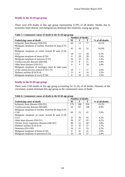#### **Deaths in the 45-64 age group**

There were 478 deaths in this age group representing 15.9% of all deaths. Deaths due to ischaemic heart disease and malignancies dominate this relatively young age group.

|                                                         |    | Number of deaths |    |                 |
|---------------------------------------------------------|----|------------------|----|-----------------|
| <b>Underlying cause of death</b>                        | М  | F                | Т  | % of all deaths |
| Ischaemic heart diseases (I20-I25)                      | 64 | 13               | 77 | 16.1%           |
| Malignant neoplasm of trachea, bronchus $\&$ lung (C33- |    |                  |    |                 |
| C34)                                                    | 42 | 10               | 52 | 10.9%           |
| Malignant neoplasm of colon, rectum $\&$ anus (C18-     |    |                  |    |                 |
| C21                                                     | 18 | 11               | 29 | $6.1\%$         |
| Malignant neoplasm of breast (C50)                      | 0  | 28               | 28 | 5.9%            |
| Malignant neoplasm of pancreas (C25)                    | 16 | 10               | 26 | 5.4%            |
| Cerebrovascular diseases (I60-I69)                      | 13 | 8                | 21 | 4.4%            |
| Other heart diseases (I26-I51)                          | 9  | 9                | 18 | 3.8%            |
| Malignant neoplasm of meninges, brain $\&$ other parts  |    |                  |    |                 |
| of the central nervous system (C70-C72)                 | 10 | 7                | 17 | 3.6%            |
| Diabetes mellitus (E10-E14)                             | 12 | 4                | 16 | 3.3%            |
| Malignant neoplasm of ovary (C56)                       | 0  | 16               | 16 | 3.3%            |

#### **Table 5: Commonest causes of death in the 45-64 age group**

#### **Deaths in the 65-84 age group**

There were 1550 deaths in this age group accounting for 51.5% of all deaths. Diseases of the circulatory system dominate this age group as the commonest cause of death.

#### **Table 6: Commonest causes of death in the 65-84 age group**

|                                                         | <b>Number of deaths</b> |     |     |                 |
|---------------------------------------------------------|-------------------------|-----|-----|-----------------|
| <b>Underlying cause of death</b>                        | М                       | F   | т   | % of all deaths |
| Ischaemic heart diseases (I20-I25)                      | 179                     | 180 | 359 | 23.2%           |
| Cerebrovascular diseases (I60-I69)                      | 56                      | 82  | 138 | 8.9%            |
| Malignant neoplasm of trachea, bronchus $\&$ lung (C33- |                         |     |     |                 |
| C34)                                                    | 69                      | 22  | 91  | 5.9%            |
| Malignant neoplasm of colon, rectum $\&$ anus (C18-     |                         |     |     |                 |
| C21                                                     | 31                      | 34  | 65  | 4.2%            |
| Other heart diseases (I26-I51)                          | 28                      | 37  | 65  | 4.2%            |
| Chronic lower respiratory diseases (J40-J47)            | 48                      | 12  | 60  | 3.9%            |
| Diabetes mellitus (E10-E14)                             | 25                      | 32  | 57  | 3.7%            |
| Dementia (F01-F03)                                      | 24                      | 31  | 55  | 3.5%            |
| Malignant neoplasm of breast (C50)                      | $\theta$                | 41  | 41  | 2.6%            |
| Malignant neoplasm of pancreas (C25)                    | 19                      | 18  | 37  | 2.4%            |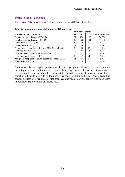#### **Deaths in the 85+ age group**

There were 858 deaths in this age group accounting for 28.5% of all deaths.

|                                                         | <b>Number of deaths</b> |     |     |                 |
|---------------------------------------------------------|-------------------------|-----|-----|-----------------|
| <b>Underlying cause of death</b>                        | M                       | F   | т   | % of all deaths |
| Ischaemic heart diseases (I20-I25)                      | 72                      | 134 | 206 | 24.0%           |
| Cerebrovascular diseases (160-169)                      | 32                      | 69  | 101 | 11.8%           |
| Other heart diseases (I26-I51)                          | 20                      | 44  | 64  | 7.5%            |
| Dementia (F01-F03)                                      | 19                      | 44  | 63  | 7.3%            |
| Acute lower respiratory infections (J12-J18, J20-J22)   | 27                      | 40  | 67  | 7.8%            |
| Diabetes mellitus (E10-E14)                             | 10                      | 20  | 30  | 3.5%            |
| Chronic lower respiratory diseases (J40-J47)            | 18                      | 5   | 23  | 2.7%            |
| Hypertensive diseases (I10-I14)                         | 3                       | 17  | 20  | 2.3%            |
| Malignant neoplasm of colon, rectum $\&$ anus (C18-C21) | 11                      | 6   | 17  | 2.0%            |
| Atherosclerosis (I70)                                   | 2                       | 13  | 15  | 1.7%            |

#### **Table 7: Commonest causes of death in the 85+ age group**

Circulatory diseases again predominate in this age group. However, other conditions including dementia, respiratory infections, diabetes, hypertensive disease and atherosclerosis are important causes of morbidity and mortality in older persons. It must be noted that is sometimes difficult to decide on the underlying cause of death in this age group, given that several diseases are often present. Malignancies, other than colorectal cancer, tend to be a less important cause of death in this age group.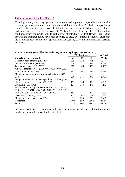#### **Potential years of life lost (PYLL)**

Mortality in the younger age groups is of interest and importance especially from a socioeconomic point of view since these form the work force of society. PYLL due to a particular cause is defined as the sum of years lost due to that cause for all individuals dying before a particular age (65 years in the case of PYLL-65). Table 8 shows the most important conditions which contribute to the largest number of potential years lost. However causes that occur in the perinatal period have been excluded as these over inflate the figures, given that the difference between the cut-of age and their age (usually 0) results in the maximal possible difference.

|                                                                                                                                                                                | <b>PYLL-65</b> years |                             |      | % Total     |
|--------------------------------------------------------------------------------------------------------------------------------------------------------------------------------|----------------------|-----------------------------|------|-------------|
| <b>Underlying cause of death</b>                                                                                                                                               | M                    | F                           | Т    | <b>PYLL</b> |
| Ischaemic heart diseases (I20-I25)                                                                                                                                             | 599                  | 122                         | 721  | 10.5%       |
| Intentional self-harm (X60-X84)                                                                                                                                                | 640                  | $\mathcal{D}_{\mathcal{L}}$ | 642  | 9.4%        |
| Transport accidents (V01-V99)                                                                                                                                                  | 272                  | 186                         | 458  | 6.7%        |
| All other external causes (W20-W64, W75-W99, X10-                                                                                                                              |                      |                             |      |             |
| X39, X50-X59, Y10-Y89)                                                                                                                                                         | 337                  | 38                          | 375  | 5.5%        |
| Malignant neoplasm of trachea, bronchus & lung (C33-                                                                                                                           |                      |                             |      |             |
| C34)                                                                                                                                                                           | 256                  | 114                         | 370  | 5.4%        |
| Malignant neoplasm of meninges, brain & other parts                                                                                                                            |                      |                             |      |             |
| of the central nervous system (C70-C72)                                                                                                                                        | 153                  | 156                         | 309  | 4.5%        |
| Leukaemia (C91-C95)                                                                                                                                                            | 164                  | 114                         | 278  | 4.1%        |
| Remainder of malignant neoplasms (C17, C23-C24,                                                                                                                                |                      |                             |      |             |
| C <sub>26</sub> -C <sub>31</sub> , C <sub>37</sub> -C <sub>41</sub> , C <sub>44</sub> -C <sub>49</sub> , C <sub>51</sub> -C <sub>52</sub> , C <sub>57</sub> -C <sub>60</sub> , |                      |                             |      |             |
| C62-C66, C68-C69, C73-C81, C88, C96-C97)                                                                                                                                       | 143                  | 116                         | 259  | 3.8%        |
| Other heart diseases (I26-I51)                                                                                                                                                 | 153                  | 104                         | 257  | 3.7%        |
| Malignant neoplasm of breast (C50)                                                                                                                                             | 0                    | 233                         | 233  | 3.4%        |
| Remainder                                                                                                                                                                      | 1994                 | 968                         | 2962 | 43.2%       |
| Total                                                                                                                                                                          | 4711                 | 2153                        | 6864 | 100.0%      |

#### **Table 8: Potential years of life lost under 65 years during the year 2006 (PYLL-65)**

Ischaemic heart disease, intentional self-harm and transport accidents constitute the greatest number of potential years of life lost for 2010.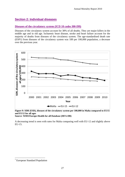# **Section 2: Individual diseases**

#### **Diseases of the circulatory system (ICD 10 codes I00-I99)**

Diseases of the circulatory system account for 38% of all deaths. They are major killers in the middle age and in old age. Ischaemic heart disease, stroke and heart failure account for the majority of deaths from diseases of the circulatory system. The age-standardised death rate (ESP1) from diseases of the circulatory system was 189 per 100,000 population, a decrease over the previous year.



**Figure 9: SDR (ESD), diseases of the circulatory system per 100,000 in Malta compared to EU15 and EU12 for all ages** 

**Source: WHO/Europe-Health for all Database (HFA-DB)** 

A decreasing trend is seen with rates for Malta comparing well with EU-12 and slightly above EU-15.

1

<sup>&</sup>lt;sup>1</sup> European Standard Population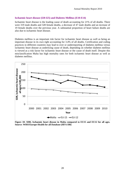#### **Ischaemic heart disease (I20-I25) and Diabetes Mellitus (E10-E14)**

Ischaemic heart disease is the leading cause of death accounting for 21% of all deaths. There were 319 male deaths and 328 female deaths, a decrease of 47 male deaths and an increase of 19 female deaths over the previous year. A substantial proportion of heart failure deaths are also due to ischaemic heart disease.

Diabetes mellitus is an important risk factor for ischaemic heart disease as well as being an important disease in its own right accounting for 3.4% of all deaths. Certification and coding practices in different countries may lead to over or underreporting of diabetes mellitus versus ischaemic heart disease as underlying cause of death, depending on whether diabetes mellitus is viewed as a risk factor for ischaemic heart disease or the cause of death itself. Despite this misclassification Malta has high mortality rates for both ischaemic heart disease as well as diabetes mellitus.



**Figure 10: SDR, Ischaemic heart disease in Malta compared to EU15 and EU12 for all ages. Source: WHO/Europe-Health for all Database (HFA-DB)**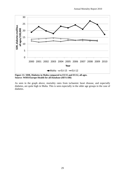

**Figure 11: SDR, Diabetes in Malta compared to EU15 and EU12, all ages. Source: WHO/Europe-Health for all Database (HFA-DB)** 

As seen in the graph above, mortality rates from ischaemic heart disease, and especially diabetes, are quite high in Malta. This is seen especially in the older age groups in the case of diabetes.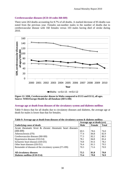#### **Cerebrovascular diseases (ICD-10 codes I60-I69)**

There were 263 deaths accounting for 8.7% of all deaths. A marked decrease of 85 deaths was noted from the previous year. Females out-number males in the number of deaths due to cerebrovascular disease with 160 females versus 103 males having died of stroke during 2010.



**Figure 12: SDR, Cerebrovascular disease in Malta compared to EU15 and EU12, all ages. Source: WHO/Europe-Health for all Database (HFA-DB)** 

#### **Average age at death from diseases of the circulatory system and diabetes mellitus**

Table 9 shows that for all deaths due to circulatory diseases and diabetes, the average age at death for males is lower than that for females.

|                                                           | Average age at death (yrs) |        |              |
|-----------------------------------------------------------|----------------------------|--------|--------------|
| Underlying cause of death                                 | <b>Male</b>                | Female | <b>Total</b> |
| Acute rheumatic fever & chronic rheumatic heart diseases  |                            |        |              |
| $(IO0-I09)$                                               | 69.5                       | 78.6   | 76.0         |
| Atherosclerosis (I70)                                     | 77.4                       | 84.8   | 82.9         |
| Cerebrovascular diseases (I60-I69)                        | 77.3                       | 82.2   | 80.3         |
| Hypertensive diseases (I10-I14)                           | 78.1                       | 84.8   | 83.4         |
| Ischaemic heart diseases (I20-I25)                        | 74.8                       | 81.6   | 78.2         |
| Other heart diseases (I26-I51)                            | 76.4                       | 81.5   | 79.5         |
| Remainder of diseases of the circulatory system (I71-I99) | 70.3                       | 71.6   | 70.9         |
|                                                           |                            |        |              |
| All circulatory diseases                                  | 75.5                       | 81.8   | 79.0         |
| Diabetes mellitus (E10-E14)                               | 73.4                       | 79.8   | 76.9         |

|  |  |  | Table 9: Average age at death from diseases of the circulatory system & diabetes mellitus |
|--|--|--|-------------------------------------------------------------------------------------------|
|--|--|--|-------------------------------------------------------------------------------------------|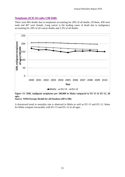#### **Neoplasms (ICD-10 codes C00-D48)**

There were 865 deaths due to neoplasms accounting for 29% of all deaths. Of these, 458 were male and 407 were female. Lung cancer is the leading cause of death due to malignancy accounting for 18% of all cancer deaths and 5.3% of all deaths.



**Figure 13: SDR, malignant neoplasms per 100,000 in Malta compared to EU-15 & EU-12, all ages.** 

**Source: WHO/Europe-Health for all Database (HFA-DB)** 

A downward trend in mortality rate is observed in Malta as well as EU-15 and EU-12. Rates for Malta compare favourably with EU-15 and EU-12 in all ages.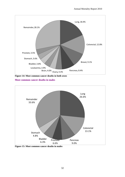

**Figure 14: Most common cancer deaths in both sexes** 

#### **Most common cancer deaths in males**



**Figure 15: Most common cancer deaths in males**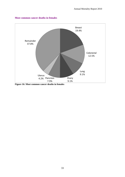

#### **Most common cancer deaths in females**

**Figure 16: Most common cancer deaths in females**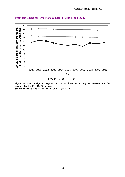

**Death due to lung cancer in Malta compared to EU-15 and EU-12** 

**Figure 17: SDR, malignant neoplasm of trachea, bronchus & lung per 100,000 in Malta compared to EU-15 & EU-12, all ages. Source: WHO/Europe-Health for all Database (HFA-DB)**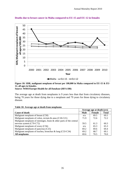

**Deaths due to breast cancer in Malta compared to EU-15 and EU-12 in females** 

**Figure 18: SDR, malignant neoplasm of breast per 100,000 in Malta compared to EU-15 & EU-12, all ages in females.** 

**Source: WHO/Europe-Health for all Database (HFA-DB)** 

The average age at death from neoplasms is 9 years less than that from circulatory diseases, being 70 years for those dying due to a neoplasm and 79 years for those dying to circulatory disease.

#### **Table 10: Average age at death from neoplasms**

|                                                                       | Average age at death (yrs) |               |              |
|-----------------------------------------------------------------------|----------------------------|---------------|--------------|
| <b>Cause of death</b>                                                 | <b>Male</b>                | <b>Female</b> | <b>Total</b> |
| Malignant neoplasm of breast (C50)                                    | n/a                        | 69.5          | 69.5         |
| Malignant neoplasm of colon, rectum $\&$ anus (C18-C21)               | 71.9                       | 72.6          | 72.2         |
| Malignant neoplasm of meninges, brain $\&$ other parts of the central |                            |               |              |
| nervous system $(C70-C72)$                                            | 59.5                       | 61.3          | 60.3         |
| Malignant neoplasm of ovary (C56)                                     | n/a                        | 65.3          | 65.3         |
| Malignant neoplasm of pancreas (C25)                                  | 69.2                       | 69.6          | 69.4         |
| Malignant neoplasm of trachea, bronchus & lung (C33-C34)              | 69.2                       | 68.7          | 69.1         |
| All neoplasms                                                         | 69.6                       | 70.5          | 70.0         |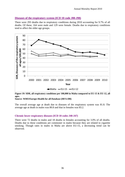#### **Diseases of the respiratory system (ICD 10 code J00-J98)**

There were 293 deaths due to respiratory conditions during 2010 accounting for 9.7% of all deaths. Of these, 164 were male and 129 were female. Deaths due to respiratory conditions tend to affect the older age groups.



**Figure 19: SDR, all respiratory conditions per 100,000 in Malta compared to EU-15 & EU-12, all ages.** 

**Source: WHO/Europe-Health for all Database (HFA-DB)** 

The overall average age at death due to diseases of the respiratory system was 81.8. The average age at death in males was 80.8 and that in females was 83.2.

#### **Chronic lower respiratory diseases (ICD 10 codes J40-J47)**

There were 72 deaths in males and 18 deaths in females accounting for 3.0% of all deaths. Deaths due to these conditions are commoner in males because they are related to cigarette smoking. Though rates in males in Malta are above EU-15, a decreasing trend can be observed.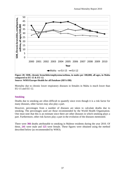

**Figure 20: SDR, chronic bronchitis/emphysema/asthma, in males per 100,000, all ages, in Malta compared to EU-15 & EU-12.** 

**Source: WHO/Europe-Health for all Database (HFA-DB)** 

Mortality due to chronic lower respiratory diseases in females in Malta is much lower than EU-15 and EU-12.

#### **Smoking**

Deaths due to smoking are often difficult to quantify since even though it is a risk factor for many diseases, other factors may also play a part.

However, percentages from a number of diseases are taken to calculate deaths due to smoking. The percentages used are those recommended by the World Health Organisation. One must note that this is an estimate since there are other diseases in which smoking plays a part. Furthermore, other risk factors play a part in the evolution of the diseases mentioned.

There were **366** deaths attributable to smoking in Maltese residents during the year 2010. Of these, **241** were male and **125** were female. These figures were obtained using the method described below (as recommended by WHO).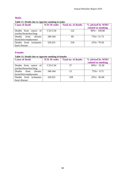#### **Males**

#### **Table 11: Deaths due to cigarette smoking in males**

| Tuote 11, Deuvlio Gue to eight ene olifoning in multo |                     |                            |                    |
|-------------------------------------------------------|---------------------|----------------------------|--------------------|
| <b>Cause of death</b>                                 | <b>ICD-10</b> codes | <b>Total no. of deaths</b> | % advised by WHO   |
|                                                       |                     |                            | related to smoking |
| Deaths from cancer of                                 | $C33-C34$           | 122                        | $90\% = 109.80$    |
| trachea/bronchus/lung                                 |                     |                            |                    |
| chronic<br>Deaths<br>from                             | J40-J44             | 69                         | $75\% = 51.75$     |
| bronchitis/emphysema                                  |                     |                            |                    |
| ischaemic<br>Deaths from                              | $I20-I25$           | 318                        | $25\% = 79.50$     |
| heart disease                                         |                     |                            |                    |

#### **Females**

#### **Table 12: Deaths due to cigarette smoking in females**

| Tuble 12, Deaths and to eighteen sinoning in remarcs |                                  |                            |                    |
|------------------------------------------------------|----------------------------------|----------------------------|--------------------|
| <b>Cause of death</b>                                | <b>ICD-10</b> codes              | <b>Total no. of deaths</b> | % advised by WHO   |
|                                                      |                                  |                            | related to smoking |
| Deaths from cancer of                                | C <sub>3</sub> 3-C <sub>34</sub> | 37                         | $90\% = 33.30$     |
| trachea/bronchus/lung                                |                                  |                            |                    |
| chronic<br><b>Deaths</b><br>from                     | $J40-J44$                        | 13                         | $75\% = 9.75$      |
| bronchitis/emphysema                                 |                                  |                            |                    |
| ischaemic<br>Deaths from                             | $I20-I25$                        | 328                        | $25\% = 82.00$     |
| heart disease                                        |                                  |                            |                    |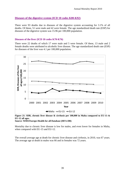#### **Diseases of the digestive system (ICD 10 codes K00-K92)**

There were 93 deaths due to diseases of the digestive system accounting for 3.1% of all deaths. Of these, 51 were male and 42 were female. The age standardized death rate (ESP) for diseases of the digestive system was 15.96 per 100,000 population.

#### **Diseases of the liver (ICD 10 codes K70-K76)**

There were 22 deaths of which 17 were male and 5 were female. Of these, 13 male and 2 female deaths were attributed to alcoholic liver disease. The age standardized death rate (ESP) for diseases of the liver was 4.1 per 100,000 population.



**Figure 21: SDR, chronic liver disease & cirrhosis per 100,000 in Malta compared to EU-15 & EU-12 all ages.** 

**Source: WHO/Europe-Health for all Database (HFA-DB)** 

Mortality due to chronic liver disease is low for males, and even lower for females in Malta, when compared with EU-15 and EU-12.

The overall average age at death for chronic liver disease and cirrhosis, in 2010, was 67 years. The average age at death in males was 66 and in females was 72 years.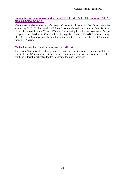#### **Some infectious and parasitic diseases (ICD 10 codes A00-B99 (excluding A41.9), G00, G03-G04, N70-N73)**

There were 3 deaths due to infectious and parasitic diseases in the above categories accounting for 0.1% of all deaths. Of these, 2 were male and 1 was female. One died from Human Immunodeficiency Virus (HIV) infection resulting in malignant neoplasms (B21) at an age range of 35-44 years. One died from the sequelae of tuberculosis (B90) at an age range of 75-84 years. One died from bacterial meningitis, not elsewhere classified (G00) at an age range of 0-4 years.

#### **Methicillin-Resistant Staphylococcus Aureus (MRSA)**

There were 10 deaths where Staphylococcus aureus was mentioned as a cause of death in the certificate. MRSA often is a contributory factor to death, rather than the main cause. It often results in vulnerable patients admitted to hospital for other conditions.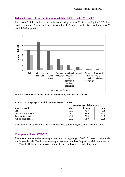#### **External causes of morbidity and mortality (ICD 10 codes V01-Y98)**

There were 119 deaths due to external causes during the year 2010 accounting for 3.9% of all deaths. Of these, 89 were male and 30 were female. The age-standardised death rate was 25 per 100,000 population.



**Figure 22: Number of deaths due to external causes, in males and females.** 

|                       | Average age of death (years) |               |              |  |
|-----------------------|------------------------------|---------------|--------------|--|
| <b>Cause of death</b> | Male                         | <b>Female</b> | <b>Total</b> |  |
| Falls                 | 73.3                         | 78.3          | 75.4         |  |
| Intentional self-harm | 44.4                         | 64.0          | 45.7         |  |
| Transport accidents   | 43.7                         | 29.4          | 39.3         |  |
| All external causes   | 52.3                         | 64.0          | 55.3         |  |

The average age at death due to external causes is quite young as seen in the table above.

#### **Transport accidents (V01-V99)**

There were 16 deaths due to transport accidents during the year 2010. Of these, 11 were male and 5 were female. Deaths due to transport accidents are less frequent in Malta compared to EU-15 and EU-12. Most deaths occur in males and in those aged under 65 years.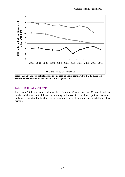

**Figure 23: SDR, motor vehicle accidents, all ages, in Malta compared to EU-15 & EU-12. Source: WHO/Europe-Health for all Database (HFA-DB)** 

#### **Falls (ICD 10 codes W00-W19)**

There were 35 deaths due to accidental falls. Of these, 20 were male and 15 were female. A number of deaths due to falls occur in young males associated with occupational accidents. Falls and associated hip fractures are an important cause of morbidity and mortality in older persons.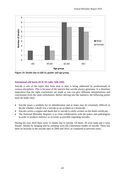

**Figure 24: Deaths due to falls by gender and age group** 

#### **Intentional self harm (ICD 10 codes X60-X84)**

Suicide is one of the topics that from time to time is being addressed by professionals in various disciplines. This is because of the interest that suicide always generates. It is therefore imperative that the right conclusions are made as one can give different interpretations and conclusions from the same information. Before delving into the statistics, the following points must be made clear:

- Suicide poses a problem for its identification and at times may be extremely difficult to decide whether a death was a suicide or an accident or a homicide.
- Suicide carries a stigma and death due to suicide is rarely written on the death certificate.
- The National Mortality Registry is in close collaboration with the police and pathologists in order to produce statistics as accurate as possible regarding suicides.

During the year 2010 there were 31 deaths due to suicide. Of these, 29 were male and 2 were female. Deaths by hanging and by jumping were the commonest modes of suicide. There has been an increase in the suicide rates in 2009 and 2010, as compared to previous years.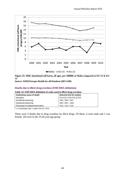

**Figure 25: SDR, Intentional self harm, all ages, per 100000, in Malta compared to EU-15 & EU-12** 

**Source: WHO/Europe-Health for all Database (HFA-DB)** 

#### **Deaths due to illicit drug overdose (EMCDDA definition)**

| Table 14: EMCDDA definition of codes used in illicit drug overdose |  |  |  |
|--------------------------------------------------------------------|--|--|--|
|                                                                    |  |  |  |

| Underlying cause of death        | Selected ICD-10 code(s)                                        |
|----------------------------------|----------------------------------------------------------------|
| <b>Disorders</b>                 | F11-F12, F14-F16, & F19                                        |
| Accidental poisoning             | X441, X421, X411                                               |
| Intentional poisoning            | $\vert$ X62 <sup>1</sup> , X61 <sup>1</sup> , X64 <sup>1</sup> |
| Poisoning of undetermined intent | Y12 <sup>1</sup> , Y11 <sup>1</sup> , Y14 <sup>1</sup>         |

<sup>1</sup> In combination with T codes T40.0-9, T43.6

There were 5 deaths due to drug overdose by illicit drugs. Of these, 4 were male and 1 was female. All were in the 15-44 year age group.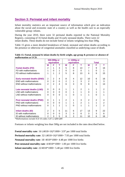# **Section 3: Perinatal and infant mortality**

Infant mortality statistics are an important source of information which give an indication about the social and economic state of a country as well as the health care to an especially vulnerable group: infants.

During the year 2010, there were 32 perinatal deaths reported to the National Mortality Registry, consisting of 16 foetal deaths and 16 early neonatal deaths. There were 22 infant deaths. These deaths do not include foetal or infants weighing less than 500g.

Table 15 gives a more detailed breakdown of foetal, neonatal and infant deaths according to the presence or otherwise of congenital anomalies classified as underlying cause of death.

| Table 15: Foetal, neonatal & infant deaths by birth weight, age group & presence or absence of |  |
|------------------------------------------------------------------------------------------------|--|
| malformation as UCD.                                                                           |  |

|                                    |          | 500-999g or    |          |    | $>= 1000g$ or |                |          |              |                |
|------------------------------------|----------|----------------|----------|----|---------------|----------------|----------|--------------|----------------|
|                                    |          | equivalent     |          |    | equivalent    |                |          | <b>Total</b> |                |
|                                    | M        | F              | т        | м  | F             | т              | М        | F            | т              |
| <b>Foetal deaths (FD)</b>          | 2        | 1              | 3        | 5  | 8             | 13             | 7        | 9            | 16             |
| FD with malformations              | 1        | $\Omega$       |          | 0  | $\Omega$      | $\Omega$       | 1        | 0            | 1              |
| FD without malformations           | 1        | 1              | 2        | 5  | 8             | 13             | 6        | 9            | 15             |
| <b>Early neonatal deaths (END)</b> | 2        | 2              | 4        | 8  | 4             | 12             | 10       | 6            | 16             |
| <b>END</b> with malformations      | 0        | $\Omega$       | $\Omega$ | 2  | 1             | 3              | 2        | 1            | 3              |
| <b>END</b> without malformations   | 2        | $\overline{2}$ | 4        | 6  | 3             | 9              | 8        | 5            | 13             |
|                                    |          |                |          |    |               |                |          |              |                |
| Late neonatal deaths (LND)         | $\Omega$ | 0              | ∩        | 1  | 1             | $\overline{2}$ | 1        | 1            | 2              |
| LND with malformations             | $\Omega$ | $\Omega$       | $\Omega$ | 0  | 1             | 1              | $\Omega$ | 1            | 1              |
| LND without malformations          | 0        | $\Omega$       | $\Omega$ | 1  | $\Omega$      | 1              | 1        | $\Omega$     | 1              |
|                                    |          |                |          |    |               |                |          |              |                |
| Post neonatal deaths (PND)         | 0        | 1              |          | 2  | 1             | 3              | 2        | 2            | 4              |
| <b>PND</b> with malformations      | 0        | $\Omega$       | $\Omega$ | 1  | 1             | $\overline{2}$ |          | 1            | $\overline{2}$ |
| <b>PND</b> without malformations   | $\Omega$ | 1              | 1        | 1  | 0             | 1              |          | 1            | $\overline{2}$ |
|                                    |          |                |          |    |               |                |          |              |                |
| Infant deaths (ID)                 | 2        | 3              | 5        | 11 | 6             | 17             | 13       | 9            | 22             |
| ID with malformations              | $\Omega$ | $\Omega$       | 0        | 3  | 3             | 6              | 3        | 3            | 6              |
| ID without malformations           | 2        | 3              | 5        | 8  | 3             | 11             | 10       | 6            | 16             |

\*Malformations include ICD 10 codes: G47.3, Q00-Q99

Foetuses or infants weighing less than 500g are not included in the rates described below.

**Foetal mortality rate**: 16/ (4018+16)\*1000= 3.97 per 1000 total births **Perinatal mortality rate:**  $32/(4018+16)*1000=7.93$  per 1000 total births **Neonatal mortality rate**: 18/ 4018\*1000= 4.48 per 1000 live births **Post neonatal mortality rate:**  $4/4018*1000=1.00$  per 1000 live births **Infant mortality rate**: 22/4018\*1000= 5.48 per 1000 live births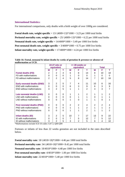#### **International Statistics:**

For international comparisons, only deaths with a birth weight of over 1000g are considered.

**Foetal death rate, weight specific** =  $13/(4009+13)*1000 = 3.23$  per 1000 total births **Perinatal mortality rate, weight specific**  $= 25/(4009+13)*1000 = 6.22$  per 1000 total births **Neonatal death rate, weight specific** =  $14/4009*1000 = 3.49$  per 1000 live births **Post neonatal death rate, weight specific** =  $3/4009*1000 = 0.75$  per 1000 live births **Infant mortality rate, weight specific**  $= 17/4009*1000 = 4.24$  per 1000 live births

|                                    |                | 22-27 wks or<br>equivalent |          |    | >= 28 weeks or<br>equivalent |                | <b>Total</b> |    |    |  |
|------------------------------------|----------------|----------------------------|----------|----|------------------------------|----------------|--------------|----|----|--|
|                                    | м              | F                          | т        | М  | F                            | т              | M            | F  | т  |  |
| <b>Foetal deaths (FD)</b>          | 2              | 2                          | 4        | 6  | 8                            | 14             | 8            | 10 | 18 |  |
| FD with malformations              | 0              | $\Omega$                   | $\Omega$ |    | 0                            | 0              |              | 0  | 0  |  |
| FD without malformations           | $\overline{2}$ | $\overline{2}$             | 4        | 5  | 8                            | 14             | 7            | 10 | 18 |  |
| <b>Early neonatal deaths (END)</b> | 3              | 2                          | 5        | 7  | 4                            | 11             | 10           | 6  | 16 |  |
| <b>END with malformations</b>      | $\Omega$       | $\Omega$                   | $\Omega$ | 6  | 3                            | 9              | 6            | 3  | 9  |  |
| <b>END without malformations</b>   | 3              | 2                          | 5        |    | 1                            | 2              | 4            | 3  |    |  |
| Late neonatal deaths (LND)         | $\Omega$       | $\Omega$                   | 0        |    | 1                            | $\overline{2}$ |              |    |    |  |
| LND with malformations             | $\Omega$       | $\Omega$                   | $\Omega$ | 0  | 1                            |                | $\Omega$     |    |    |  |
| LND without malformations          | 0              | $\Omega$                   | $\Omega$ |    | $\Omega$                     |                |              | 0  |    |  |
| Post neonatal deaths (PND)         | 0              | $\Omega$                   | $\Omega$ | 2  | 2                            | 4              | 2            | 2  | 4  |  |
| PND with malformations             | 0              | $\Omega$                   | $\Omega$ |    | 1                            | $\overline{2}$ |              | 1  | 2  |  |
| <b>PND</b> without malformations   | 0              | $\Omega$                   | $\Omega$ |    | 1                            | $\mathbf{2}$   |              |    | 2  |  |
| Infant deaths (ID)                 | 3              | 2                          | 5        | 10 | 7                            | 17             | 13           | 9  | 22 |  |
| ID with malformations              | 0              | $\Omega$                   | $\Omega$ | 7  | 5                            | 12             |              | 5  | 12 |  |
| ID without malformations           | 3              | $\overline{2}$             | 5        | 3  | 2                            | 5              | 6            | 4  | 10 |  |

| Table 16: Foetal, neonatal & infant deaths by weeks of gestation & presence or absence of |  |
|-------------------------------------------------------------------------------------------|--|
| malformation as UCD.                                                                      |  |

\*Malformations include ICD 10 codes: G47.3, Q00-Q99

Foetuses or infants of less than 22 weeks gestation are not included in the rates described below.

**Foetal mortality rate**: 18/ (4018+18)\*1000= 4.46 per 1000 total births **Perinatal mortality rate**:  $34/(4018+18)*1000= 8.42$  per 1000 total births **Neonatal mortality rate**: 18/4018\*1000= 4.48 per 1000 live births **Post neonatal mortality rate**: 4/4018\*1000= 1.00 per 1000 live births **Infant mortality rate**: 22/4018\*1000= 5.48 per 1000 live births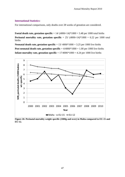#### **International Statistics:**

For international comparisons, only deaths over 28 weeks of gestation are considered.

**Foetal death rate, gestation specific**  $= 14/(4006+14)*1000 = 3.48$  per 1000 total births **Perinatal mortality rate, gestation specific**  $= 25/ (4006+14)*1000 = 6.22$  per 1000 total births

**Neonatal death rate, gestation specific** = 13/ 4006\*1000 = 3.25 per 1000 live births **Post neonatal death rate, gestation specific**  $= 4/4006*1000 = 1.00$  per 1000 live births **Infant mortality rate, gestation specific**  $= 17/4006*1000 = 4.24$  per 1000 live births



**Figure 26: Perinatal mortality weight specific (1000g and over) in Malta compared to EU-15 and EU-12.**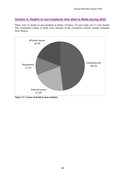# **Section 4: Deaths in non-residents who died in Malta during 2010**

There were 52 deaths in non-residents in Malta. Of these, 35 were male and 17 were female. The commonest causes of death were diseases of the circulatory system, mainly ischaemic heart disease.



**Figure 27: Causes of death in non-residents**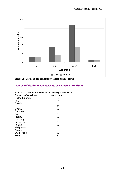

**Figure 28: Deaths in non-residents by gender and age group** 

## **Number of deaths in non residents by country of residence**

| <b>Country of residence</b> | No. of deaths |
|-----------------------------|---------------|
| <b>United Kingdom</b>       | 36            |
| Italy                       | 2             |
| Russia                      | 2             |
| US                          | 2             |
| Cyprus                      |               |
| Denmark                     |               |
| Egypt                       |               |
| France                      |               |
| Germany                     |               |
| Indonesia                   |               |
| Ireland                     |               |
| Philippines                 |               |
| Sweden                      |               |
| Switzerland                 |               |
| Total                       | 52            |

#### **Table 17: Deaths in non-residents by country of residence**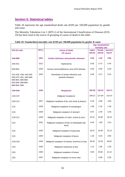# **Section 5: Statistical tables**

Table 18 represents the age standardised death rate (ESP) per 100,000 population by gender and cause.

The Mortality Tabulation List 1 (MTL1) of the International Classification of Diseases (ICD-10) has been used as the source of grouping of causes of death in this table.

|                                                                                                            |                  |                                                           | Table To, Blandaruiscu mortanty rate (1991) per 100,000 population by genuer <b>e</b> e cause |                | <b>Age standardised</b> |  |  |
|------------------------------------------------------------------------------------------------------------|------------------|-----------------------------------------------------------|-----------------------------------------------------------------------------------------------|----------------|-------------------------|--|--|
|                                                                                                            |                  |                                                           |                                                                                               | mortality rate |                         |  |  |
| ICD-10 code                                                                                                | MTL <sub>1</sub> | <b>Cause of death</b>                                     | males                                                                                         | female         | persons                 |  |  |
|                                                                                                            |                  | <b>All causes</b>                                         | 625.52                                                                                        | 429.46         | 516.67                  |  |  |
| A00-B99                                                                                                    | 1001             | <b>Certain infectious and parasitic diseases</b>          | 0.50                                                                                          | 1.00           | 0.86                    |  |  |
| A40-A41                                                                                                    | 1012             | Septicaemia                                               | 0.00                                                                                          | 0.73           | 0.44                    |  |  |
| B20-B24                                                                                                    | 1020             | Human immunodeficiency virus (HIV) disease                | 0.50                                                                                          | 0.00           | 0.26                    |  |  |
| A21-A32, A38, A42-A49,<br>A65-A79, A81, A83-A89,<br>B00-B04, B06-B09,<br>B25-B49, B58-B64,<br>B66-B94, B99 | 1025             | Remainder of certain infectious and<br>parasitic diseases | 0.00                                                                                          | 0.27           | 0.16                    |  |  |
| <b>C00-D48</b>                                                                                             | 1026             | <b>Neoplasms</b>                                          | 185.28                                                                                        | 130.33         | 153.71                  |  |  |
| C00-C97                                                                                                    |                  | Malignant neoplasms                                       | 184.21                                                                                        | 127.66         | 151.67                  |  |  |
| C00-C14                                                                                                    | 1027             | Malignant neoplasm of lip, oral cavity & pharynx          | 5.34                                                                                          | 2.06           | 3.69                    |  |  |
| C <sub>15</sub>                                                                                            | 1028             | Malignant neoplasm of oesophagus                          | 1.85                                                                                          | 1.10           | 1.46                    |  |  |
| C <sub>16</sub>                                                                                            | 1029             | Malignant neoplasm of stomach                             | 9.07                                                                                          | 2.49           | 5.40                    |  |  |
| C18-C21                                                                                                    | 1030             | Malignant neoplasm of colon, rectum & anus                | 24.31                                                                                         | 15.60          | 19.10                   |  |  |
| C <sub>22</sub>                                                                                            | 1031             | Malignant neoplasm of liver & intrahepatic bile<br>ducts  | 6.93                                                                                          | 1.58           | 4.10                    |  |  |
| C <sub>25</sub>                                                                                            | 1032             | Malignant neoplasm of pancreas                            | 16.57                                                                                         | 10.50          | 13.13                   |  |  |
| C <sub>32</sub>                                                                                            | 1033             | Malignant neoplasm of larynx                              | 1.43                                                                                          | 0.33           | 0.85                    |  |  |
| C33-C34                                                                                                    | 1034             | Malignant neoplasm of trachea, bronchus & lung            | 49.26                                                                                         | 12.63          | 28.92                   |  |  |
| C43                                                                                                        | 1035             | Malignant melanoma of skin                                | 1.21                                                                                          | 1.06           | 1.09                    |  |  |
| C <sub>50</sub>                                                                                            | 1036             | Malignant neoplasm of breast                              | 0.00                                                                                          | 25.82          | 14.12                   |  |  |
| C <sub>53</sub>                                                                                            | 1037             | Malignant neoplasm of cervix uteri                        |                                                                                               | 0.66           | 0.36                    |  |  |

#### **Table 18: Standardised mortality rate (ESP) per 100,000 population by gender & cause**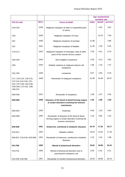|                                                                                                                 |                  |                                                                                                                     |       | <b>Age standardised</b><br>mortality rate |         |
|-----------------------------------------------------------------------------------------------------------------|------------------|---------------------------------------------------------------------------------------------------------------------|-------|-------------------------------------------|---------|
| ICD-10 code                                                                                                     | MTL <sub>1</sub> | <b>Cause of death</b>                                                                                               | males | female                                    | persons |
| C54-C55                                                                                                         | 1038             | Malignant neoplasm of other & unspecified parts<br>of uterus                                                        |       | 5.62                                      | 3.02    |
| C <sub>56</sub>                                                                                                 | 1039             | Malignant neoplasm of ovary                                                                                         |       | 13.24                                     | 7.00    |
| C61                                                                                                             | 1040             | Malignant neoplasm of prostate                                                                                      | 11.96 | $\overline{\phantom{a}}$                  | 4.86    |
| C67                                                                                                             | 1041             | Malignant neoplasm of bladder                                                                                       | 11.35 | 1.00                                      | 5.35    |
| C70-C72                                                                                                         | 1042             | Malignant neoplasm of meninges, brain & other<br>parts of the central nervous system                                | 7.93  | 5.61                                      | 6.78    |
| C82-C85                                                                                                         | 1043             | Non-Hodgkin's lymphoma                                                                                              | 5.28  | 4.13                                      | 4.82    |
| C90                                                                                                             | 1044             | Multiple myeloma & malignant plasma cell<br>neoplasms                                                               | 1.66  | 1.16                                      | 1.37    |
| C91-C95                                                                                                         | 1045             | Leukaemia                                                                                                           | 8.07  | 4.60                                      | 6.19    |
| C17, C23-C24, C26-C31,<br>C37-C41, C44-C49, C51-<br>C52, C57-C60, C62-C66,<br>C68-C69, C73-C81, C88,<br>C96-C97 | 1046             | Remainder of malignant neoplasms                                                                                    | 21.99 | 18.48                                     | 20.07   |
| D00-D48                                                                                                         | 1047             | Remainder of neoplasms                                                                                              | 1.08  | 2.67                                      | 2.05    |
| D50-D89                                                                                                         | 1048             | Diseases of the blood & blood-forming organs<br>& certain disorders involving the immune<br>mechanism               | 1.26  | 1.88                                      | 1.66    |
| D50-D64                                                                                                         | 1049             | Anaemias                                                                                                            | 0.00  | 1.03                                      | 0.64    |
| D65-D89                                                                                                         | 1050             | Remainder of diseases of the blood & blood-<br>forming organs & certain disorders involving the<br>immune mechanism | 1.26  | 0.85                                      | 1.02    |
| E00-E88                                                                                                         | 1051             | Endocrine, nutritional & metabolic diseases                                                                         | 20.76 | 17.26                                     | 19.17   |
| E10-E14                                                                                                         | 1052             | Diabetes mellitus                                                                                                   | 19.43 | 14.92                                     | 17.18   |
| E00-E07, E15-E34, E50-E88                                                                                       | 1054             | Remainder of endocrine, nutritional & metabolic<br>diseases                                                         | 1.33  | 2.34                                      | 1.98    |
| F01-F99                                                                                                         | 1055             | <b>Mental &amp; behavioural disorders</b>                                                                           | 19.62 | 18.89                                     | 19.34   |
| F10-F19                                                                                                         | 1056             | Mental & behavioural disorders due to<br>psychoactive substance use                                                 | 0.00  | 0.42                                      | 0.21    |
| F01-F09, F20-F99                                                                                                | 1057             | Remainder of mental & behavioural disorders                                                                         | 19.20 | 18.89                                     | 19.13   |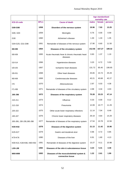|                           |                  |                                                               |        | <b>Age standardised</b><br>mortality rate |         |  |  |
|---------------------------|------------------|---------------------------------------------------------------|--------|-------------------------------------------|---------|--|--|
| ICD-10 code               | MTL <sub>1</sub> | <b>Cause of death</b>                                         | males  | female                                    | persons |  |  |
| G00-G98                   | 1058             | Disorders of the nervous system                               | 19.96  | 7.93                                      | 13.25   |  |  |
| G00, G03                  | 1059             | Meningitis                                                    | 0.76   | 0.00                                      | 0.59    |  |  |
| G30                       | 1060             | Alzheimer's disease                                           | 1.30   | 1.33                                      | 1.35    |  |  |
| G04-G25, G31-G98          | 1061             | Remainder of diseases of the nervous system                   | 17.90  | 6.60                                      | 11.50   |  |  |
| 100-199                   | 1064             | Diseases of the circulatory system                            | 212.56 | 167.27                                    | 189.32  |  |  |
| 100-109                   | 1065             | Acute rheumatic fever & chronic rheumatic heart<br>diseases   | 0.83   | 1.37                                      | 1.19    |  |  |
| $110 - 114$               | 1066             | Hypertensive diseases                                         | 3.20   | 6.72                                      | 5.50    |  |  |
| <b>I20-I25</b>            | 1067             | Ischaemic heart diseases                                      | 131.72 | 85.40                                     | 106.65  |  |  |
| $126 - 151$               | 1068             | Other heart diseases                                          | 25.65  | 24.74                                     | 25.29   |  |  |
| 160-169                   | 1069             | Cerebrovascular diseases                                      | 43.21  | 40.68                                     | 42.27   |  |  |
| 170                       | 1070             | Atherosclerosis                                               | 2.97   | 5.03                                      | 4.38    |  |  |
| 171-199                   | 1071             | Remainder of diseases of the circulatory system               | 4.98   | 3.34                                      | 4.03    |  |  |
| J00-J98                   | 1072             | Diseases of the respiratory system                            | 70.28  | 33.23                                     | 47.14   |  |  |
| $J10-J11$                 | 1073             | Influenza                                                     | 0.33   | 0.00                                      | 0.12    |  |  |
| $J12-J18$                 | 1074             | Pneumonia                                                     | 12.09  | 10.77                                     | 11.29   |  |  |
| J20-J22                   | 1075             | Other acute lower respiratory infections                      | 11.14  | 7.04                                      | 8.49    |  |  |
| J40-J47                   | 1076             | Chronic lower respiratory diseases                            | 29.19  | 4.64                                      | 14.29   |  |  |
| J00-J06, J30-J39, J60-J98 | 1077             | Remainder of diseases of the respiratory system               | 17.54  | 10.78                                     | 12.94   |  |  |
| K00-K92                   | 1078             | Diseases of the digestive system                              | 21.13  | 11.42                                     | 15.96   |  |  |
| K25-K27                   | 1079             | Gastric and duodenal ulcer                                    | 0.96   | 0.72                                      | 0.85    |  |  |
| K70-K76                   | 1080             | Diseases of the liver                                         | 6.91   | 1.60                                      | 4.13    |  |  |
| K00-K22, K28-K66, K80-K92 | 1081             | Remainder of diseases of the digestive system                 | 13.27  | 9.11                                      | 10.98   |  |  |
| L00-L98                   | 1082             | Diseases of the skin & subcutaneous tissue                    | 3.23   | 5.41                                      | 4.48    |  |  |
| M00-M99                   | 1083             | Diseases of the musculoskeletal system &<br>connective tissue | 1.22   | 2.61                                      | 1.99    |  |  |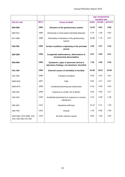|                                                 |                  |                                                                                        |       | <b>Age standardised</b><br>mortality rate |         |
|-------------------------------------------------|------------------|----------------------------------------------------------------------------------------|-------|-------------------------------------------|---------|
| ICD-10 code                                     | MTL <sub>1</sub> | <b>Cause of death</b>                                                                  | males | female                                    | persons |
| <b>N00-N98</b>                                  | 1084             | Diseases of the genitourinary system                                                   | 11.63 | 8.81                                      | 9.99    |
| N00-N15                                         | 1085             | Glomerular & renal tubulo-interstitial diseases                                        | 0.74  | 1.05                                      | 0.92    |
| N17-N98                                         | 1086             | Remainder of diseases of the genitourinary<br>system                                   | 10.89 | 7.76                                      | 9.07    |
| P00-P96                                         | 1092             | Certain conditions originating in the perinatal<br>period                              | 3.05  | 3.27                                      | 3.16    |
| Q00-Q99                                         | 1093             | Congenital malformations, deformations &<br>chromosomal abnormalities                  | 6.67  | 5.83                                      | 6.21    |
| <b>R00-R99</b>                                  | 1094             | Symptoms, signs & abnormal clinical &<br>laboratory findings, not elsewhere classified | 7.29  | 4.00                                      | 5.53    |
| V01-Y89                                         | 1095             | External causes of morbidity & mortality                                               | 41.08 | 10.31                                     | 24.92   |
| V01-V99                                         | 1096             | Transport accidents                                                                    | 5.00  | 2.42                                      | 3.61    |
| W00-W19                                         | 1097             | Falls                                                                                  | 8.81  | 4.17                                      | 6.07    |
| W65-W74                                         | 1098             | Accidental drowning and submersion                                                     | 0.33  | 0.46                                      | 0.36    |
| X00-X09                                         | 1099             | Exposure to smoke, fire & flames                                                       | 0.50  | 0.00                                      | 0.17    |
| X40-X49                                         | 1100             | Accidental poisoning by & exposure to noxious<br>substances                            | 2.24  | 0.48                                      | 1.39    |
| X60-X84                                         | 1101             | Intentional self-harm                                                                  | 14.14 | 0.71                                      | 7.39    |
| X85-Y09                                         | 1102             | Assault                                                                                | 1.40  | 0.58                                      | 1.00    |
| W20-W64, W75-W99, X10-<br>X39, X50-X59, Y10-Y89 | 1103             | All other external causes                                                              | 8.65  | 1.49                                      | 4.94    |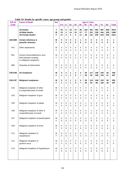| <b>ICD-10</b>   | <b>Cause of Death</b>                                                             | <b>Sex</b>       |                                 |                             |                          |                            |                             | <b>Age in Years</b>      |                          |                     |                          |                   |                                           |
|-----------------|-----------------------------------------------------------------------------------|------------------|---------------------------------|-----------------------------|--------------------------|----------------------------|-----------------------------|--------------------------|--------------------------|---------------------|--------------------------|-------------------|-------------------------------------------|
| <b>Code</b>     |                                                                                   |                  | $0-4$                           | $5-$                        | $15-$                    | $25 -$                     | $35-$                       | $45-$                    | $55-$                    | $65-$               | $75-$                    | $85-$             | <b>Total</b>                              |
|                 | <b>All Deaths</b><br><b>All Male Deaths</b><br><b>All Female Deaths</b>           | т<br>M<br>F      | 26<br>15<br>11                  | 5<br>$\mathbf{2}$<br>3      | 18<br>14<br>4            | 27<br>23<br>4              | 48<br>37<br>11              | 126<br>77<br>49          | 352<br>221<br>131        | 563<br>328<br>235   | 987<br>444<br>543        | 858<br>328<br>530 | 3010<br>1489<br>1521                      |
| A00-B99         | <b>Certain infectious &amp;</b><br>parasitic diseases                             | М<br>F           | $\bf{0}$<br>$\mathbf{0}$        | 0<br>0                      | 0<br>$\bf{0}$            | 0<br>$\bf{0}$              | 1<br>$\mathbf{0}$           | 0<br>$\mathbf{0}$        | 0<br>0                   | 0<br>0              | $\pmb{0}$<br>4           | 0<br>$\bf{0}$     | 1<br>4                                    |
| A41             | Other septicaemia                                                                 | M<br>F           | 0<br>0                          | $\mathbf 0$<br>$\Omega$     | 0<br>0                   | 0<br>$\mathbf 0$           | 0<br>$\Omega$               | 0<br>0                   | 0<br>0                   | 0<br>0              | 0<br>3                   | 0<br>0            | $\pmb{0}$<br>3                            |
| <b>B21</b>      | Human immunodeficiency virus<br>[HIV] disease resulting<br>in malignant neoplasms | М<br>F           | 0<br>0                          | $\mathbf 0$<br>$\mathbf{0}$ | 0<br>$\Omega$            | 0<br>0                     | 1<br>$\Omega$               | 0<br>$\overline{0}$      | 0<br>0                   | 0<br>0              | 0<br>0                   | 0<br>$\Omega$     | $\mathbf{1}$<br>0                         |
| <b>B90</b>      | Sequelae of tuberculosis                                                          | M<br>F           | 0<br>0                          | $\mathbf 0$<br>$\Omega$     | 0<br>0                   | 0<br>$\mathbf 0$           | 0<br>$\Omega$               | 0<br>0                   | 0<br>0                   | 0<br>0              | 0<br>1                   | 0<br>0            | 0<br>$\mathbf{1}$                         |
| C00-D48         | All neoplasms                                                                     | м<br>F           | 0<br>1                          | 2<br>1                      | 1<br>1                   | $\mathbf 2$<br>$\bf{0}$    | 4<br>$\overline{7}$         | 29<br>35                 | 117<br>83                | 148<br>100          | 105<br>132               | 50<br>47          | 458<br>407                                |
| C00-C97         | <b>Malignant neoplasms</b>                                                        | М<br>F           | 0<br>1                          | $\overline{2}$<br>1         | 1<br>1                   | $\overline{2}$<br>$\bf{0}$ | 4<br>$\overline{7}$         | 29<br>35                 | 116<br>83                | 148<br>98           | 103<br>126               | 50<br>45          | 455<br>397                                |
| CO <sub>2</sub> | Malignant neoplasm of other<br>& unspecified parts of mouth                       | М<br>F           | 0<br>0                          | $\mathbf 0$<br>0            | 0<br>$\mathbf 0$         | 0<br>0                     | $\mathbf 0$<br>$\Omega$     | 0<br>$\Omega$            | 0<br>0                   | 1<br>0              | 0<br>1                   | 0<br>0            | 1<br>1                                    |
| CO <sub>3</sub> | Malignant neoplasm of gum                                                         | M<br>F           | 0<br>0                          | $\mathbf 0$<br>$\mathbf 0$  | 0<br>0                   | 0<br>$\mathbf 0$           | 0<br>$\Omega$               | 0<br>0                   | 0<br>0                   | 0<br>1              | 0<br>0                   | 0<br>0            | 0<br>1                                    |
| C <sub>05</sub> | Malignant neoplasm of palate                                                      | M<br>F           | 0<br>0                          | $\mathbf 0$<br>$\mathbf 0$  | 0<br>0                   | 0<br>$\mathbf 0$           | 0<br>$\Omega$               | 1<br>0                   | 0<br>0                   | 0<br>0              | 0<br>$\mathbf 0$         | 0<br>0            | 1<br>0                                    |
| C06             | Malignant neoplasm of other &<br>unspecified parts of mouth                       | M<br>F           | 0<br>0                          | 0<br>0                      | 0<br>0                   | 0<br>$\mathsf 0$           | 0<br>0                      | 0<br>0                   | 1<br>0                   | 0<br>0              | 0<br>3                   | 0<br>0            | 1<br>3                                    |
| C07             | Malignant neoplasm of parotid gland                                               | M<br>F           | $\boldsymbol{0}$<br>$\mathbf 0$ | $\pmb{0}$<br>$\mathbf 0$    | $\pmb{0}$<br>$\mathbf 0$ | 0<br>$\mathsf 0$           | $\pmb{0}$<br>$\mathbf 0$    | $\pmb{0}$<br>$\mathbf 0$ | $\mathsf{O}\xspace$<br>0 | $\mathbf 0$<br>0    | 1<br>$\pmb{0}$           | 0<br>0            | 1<br>$\pmb{0}$                            |
| C09             | Malignant neoplasm of tonsil                                                      | M<br>F           | $\mathbf 0$<br>$\pmb{0}$        | $\mathbf 0$<br>$\mathbf 0$  | $\pmb{0}$<br>$\mathbf 0$ | $\pmb{0}$<br>$\mathsf 0$   | $\mathbf{1}$<br>$\mathbf 0$ | 0<br>$\mathbf 0$         | 0<br>$\mathbf 0$         | $\mathbf 0$<br>0    | $\pmb{0}$<br>$\pmb{0}$   | 0<br>$\mathbf 0$  | 1<br>$\pmb{0}$                            |
| C11             | Malignant neoplasm of<br>nasopharynx                                              | M<br>F           | $\mathbf 0$<br>$\pmb{0}$        | $\mathbf 0$<br>$\mathbf 0$  | $\pmb{0}$<br>$\mathbf 0$ | $\pmb{0}$<br>$\pmb{0}$     | $\mathbf 0$<br>$\mathbf 0$  | 1<br>$\mathbf 0$         | 0<br>$\overline{2}$      | $\overline{c}$<br>0 | 1<br>$\pmb{0}$           | 0<br>$\mathbf 0$  | $\overline{\mathbf{4}}$<br>$\overline{a}$ |
| C12             | Malignant neoplasm of<br>pyriform sinus                                           | M<br>F           | $\pmb{0}$<br>$\pmb{0}$          | $\mathbf 0$<br>$\mathbf 0$  | $\pmb{0}$<br>$\pmb{0}$   | $\pmb{0}$<br>$\mathsf 0$   | $\mathbf{1}$<br>$\mathbf 0$ | 0<br>0                   | 0<br>0                   | $\,0\,$<br>0        | $\mathbf 0$<br>$\pmb{0}$ | 0<br>$\mathbf 0$  | 1<br>$\pmb{0}$                            |
| C <sub>13</sub> | Malignant neoplasm of hypopharynx                                                 | M<br>$\mathsf F$ | $\pmb{0}$<br>$\mathbf 0$        | $\mathbf 0$<br>$\mathbf 0$  | $\pmb{0}$<br>$\mathbf 0$ | $\pmb{0}$<br>$\mathsf 0$   | $\mathbf 0$<br>$\mathbf 0$  | 1<br>$\mathbf 0$         | 0<br>0                   | $\,0\,$<br>0        | $\pmb{0}$<br>$\mathbf 0$ | 0<br>$\mathbf 0$  | 1<br>$\pmb{0}$                            |

**Table 19: Deaths by specific cause, age group and gender**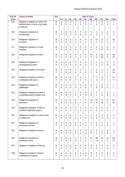| <b>ICD-10</b>   | <b>Cause of Death</b>                                                                    | <b>Sex</b>       |                  |                  |                  |                          |                       |                     | <b>Age in Years</b> |                   |                            |                            |                  |
|-----------------|------------------------------------------------------------------------------------------|------------------|------------------|------------------|------------------|--------------------------|-----------------------|---------------------|---------------------|-------------------|----------------------------|----------------------------|------------------|
| <b>Code</b>     |                                                                                          |                  | $0 - 4$          | $5-$             | $15-$            | $25 -$                   | $35 -$                | $45-$               | $55-$               | $65-$             | $75-$                      | $85-$                      | <b>Total</b>     |
| C14             | Malignant neoplasm of other & ill-<br>defined sites in the lip, oral cavity<br>& pharynx | M<br>F           | $\mathbf 0$<br>0 | 0<br>$\mathbf 0$ | $\mathbf 0$<br>0 | $\mathbf 0$<br>0         | $\mathbf 0$<br>0      | $\pmb{0}$<br>0      | $\mathbf 0$<br>0    | $\mathbf{1}$<br>0 | $\mathbf 0$<br>$\mathbf 0$ | $\mathbf 0$<br>$\mathbf 0$ | 1<br>0           |
| C <sub>15</sub> | Malignant neoplasm of                                                                    | М                | 0                | 0                | 0                | 0                        | 0                     | 0                   | 0                   | 3                 | 2                          | $\mathbf 0$                | 5                |
|                 | oesophagus                                                                               | F                | 0                | $\mathbf 0$      | $\mathbf 0$      | 0                        | 0                     | 0                   | 0                   | 1                 | 1                          | $\overline{c}$             | 4                |
| C <sub>16</sub> | Malignant neoplasm of                                                                    | М                | 0                | 0                | 0                | $\pmb{0}$                | 0                     | 0                   | 4                   | 11                | 4                          | 3                          | 22               |
|                 | stomach                                                                                  | F                | 0                | 0                | 0                | 0                        | 0                     | $\mathbf{1}$        | 0                   | $\mathbf{1}$      | 6                          | 1                          | 9                |
| C <sub>17</sub> | Malignant neoplasm of small                                                              | М                | 0                | 0                | 0                | 0                        | 0                     | 0                   | 0                   | 0                 | $\mathbf 0$                | $\mathbf 0$                | 0                |
|                 | intestine                                                                                | F                | 0                | 0                | 0                | 0                        | 0                     | 0                   | 0                   | $\mathbf{1}$      | 0                          | $\mathbf 0$                | 1                |
| C <sub>18</sub> | Malignant neoplasm of colon                                                              | М<br>F           | 0<br>0           | 0<br>0           | 0<br>$\mathbf 0$ | $\pmb{0}$<br>$\mathbf 0$ | 0<br>0                | 1<br>$\overline{c}$ | 13<br>6             | 8<br>9            | 11<br>15                   | 9<br>5                     | 42<br>37         |
| C <sub>19</sub> | Malignant neoplasm of                                                                    | М                | 0                | 0                | 0                | 0                        | 0                     | 0                   | 2                   | $\overline{c}$    | 1                          | $\mathbf 0$                | 5                |
|                 | rectosigmoid junction                                                                    | F                | 0                | 0                | 0                | 0                        | 0                     | 0                   | 1                   | 1                 | $\overline{2}$             | $\mathbf 0$                | 4                |
| C <sub>20</sub> | Malignant neoplasm of rectum                                                             | М<br>F           | 0<br>0           | 0<br>0           | 0<br>0           | 0<br>0                   | 0<br>0                | 1<br>$\Omega$       | 1<br>2              | 6<br>5            | 3<br>$\overline{2}$        | 2<br>1                     | 13<br>10         |
| C <sub>22</sub> | Malignant neoplasm of liver &                                                            | М                | 0                | 0                | 0                | $\pmb{0}$                | 0                     | 1                   | 7                   | $\overline{7}$    | $\mathbf 0$                | 2                          | 17               |
|                 | intrahepatic bile ducts                                                                  | F                | 0                | 0                | 0                | 0                        | 0                     | $\Omega$            | 1                   | 0                 | 4                          | 1                          | 6                |
| C <sub>23</sub> | Malignant neoplasm of                                                                    | М                | 0                | 0                | 0                | 0                        | 0                     | 0                   | 0                   | 1                 | 0                          | $\mathbf 0$                | 1                |
|                 | gallbladder                                                                              | F                | 0                | $\mathbf 0$      | 0                | 0                        | 0                     | 0                   | 1                   | 0                 | 0                          | $\mathbf 0$                | 1                |
| C <sub>24</sub> | Malignant neoplasm of other &                                                            | М                | 0                | 0                | 0                | 0                        | 0                     | 0                   | 0                   | 3                 | 1                          | $\,0\,$                    | 4                |
|                 | unspecified parts of biliary tract                                                       | F                | 0                | 0                | 0                | 0                        | 0                     | 0                   | 0                   | $\mathbf{1}$      | $\mathbf 0$                | $\mathbf 0$                | 1                |
| C <sub>25</sub> | Malignant neoplasm of                                                                    | М                | 0                | 0                | 0                | 0                        | 1                     | 2                   | 14                  | 11                | 8                          | 5                          | 41               |
|                 | pancreas                                                                                 | F                | 0                | 0                | 0                | 0                        | 1                     | 4                   | 6                   | 6                 | 12                         | 3                          | 32               |
| C <sub>26</sub> | Malignant neoplasm of other &                                                            | М                | 0                | 0                | 0                | 0                        | 0                     | 0                   | 0                   | 0                 | 0                          | 0                          | 0                |
|                 | ill-defined digestive organs                                                             | F                | 0                | $\mathbf 0$      | 0                | 0                        | 0                     | 1                   | 0                   | 0                 | $\mathsf 0$                | $\mathbf 0$                | 1                |
| C30             | Malignant neoplasm of nasal cavity                                                       | M                | 0                | 0                | 0                | 0                        | 0                     | 1                   | 1                   | 0                 | $\pmb{0}$                  | $\mathbf 0$                | $\boldsymbol{2}$ |
|                 | & middle ear                                                                             | F                | $\Omega$         | $\Omega$         | $\Omega$         | $\mathbf 0$              | $\Omega$              | $\mathbf 0$         | 0                   | 0                 | $\mathbf 0$                | $\mathbf 0$                | $\mathsf 0$      |
| C31             | Malignant neoplasm of                                                                    | M                | 0                | 0                | 0                | 0                        | 0                     | 1                   | 0                   | 0                 | 1                          | 1                          | 3                |
|                 | accessory sinuses                                                                        | F                | $\Omega$         | $\Omega$         | $\Omega$         | $\mathbf 0$              | $\Omega$              | $\mathbf 0$         | 1                   | 0                 | $\mathbf 0$                | $\mathbf 0$                | $\mathbf{1}$     |
| C32             | Malignant neoplasm of larynx                                                             | M<br>$\mathsf F$ | 0<br>$\Omega$    | 0<br>$\Omega$    | 0<br>$\Omega$    | $\pmb{0}$<br>$\mathbf 0$ | $\pmb{0}$<br>$\Omega$ | 0<br>$\mathbf 0$    | 3<br>$\mathbf 0$    | 0<br>$\mathbf{1}$ | $\mathbf{1}$<br>0          | $\pmb{0}$<br>$\mathbf 0$   | 4<br>1           |
| C34             | Malignant neoplasm of                                                                    | M                | 0                | 0                | 0                | 0                        | $\mathbf 0$           | 9                   | 33                  | 48                | 21                         | 11                         | 122              |
|                 | bronchus & lung                                                                          | $\mathsf F$      | $\Omega$         | $\Omega$         | $\Omega$         | $\mathbf 0$              | $\overline{2}$        | 3                   | $\overline{7}$      | 13                | 9                          | 3                          | 37               |
| C37             | Malignant neoplasm of thymus                                                             | M<br>$\mathsf F$ | 0<br>$\Omega$    | 0<br>$\Omega$    | 0<br>$\Omega$    | $\pmb{0}$<br>$\mathbf 0$ | $\pmb{0}$<br>$\Omega$ | 0<br>$\Omega$       | 0<br>0              | 0<br>0            | $\,0\,$<br>$\mathbf{1}$    | $\pmb{0}$<br>$\mathbf 0$   | 0<br>1           |
| C38             | Malignant neoplasm of heart,                                                             | M                | 0                | 0                | 0                | 0                        | 0                     | 0                   | 0                   | 0                 | $\pmb{0}$                  | $\mathbf 0$                | $\mathbf 0$      |
|                 | mediastinum & pleura                                                                     | F                | 0                | 0                | $\mathbf 0$      | $\pmb{0}$                | 0                     | 0                   | $\mathbf 0$         | 0                 | $\mathbf{1}$               | $\mathbf 0$                | 1                |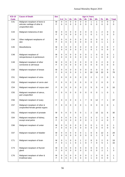| <b>ICD-10</b>   | <b>Cause of Death</b>                                                               | <b>Sex</b>        |                  |                              |                          |                            |                              |                                  | <b>Age in Years</b> |                                  |                             |                                    |                               |
|-----------------|-------------------------------------------------------------------------------------|-------------------|------------------|------------------------------|--------------------------|----------------------------|------------------------------|----------------------------------|---------------------|----------------------------------|-----------------------------|------------------------------------|-------------------------------|
| <b>Code</b>     |                                                                                     |                   | $0 - 4$          | $5-$                         | $15-$                    | $25 -$                     | $35-$                        | $45-$                            | $55-$               | $65-$                            | $75-$                       | $85-$                              | <b>Total</b>                  |
| C41             | Malignant neoplasm of bone &<br>articular cartilage of other &<br>unspecified sites | M<br>F            | $\mathbf 0$<br>0 | $\mathbf 0$<br>$\mathbf 0$   | 0<br>$\mathbf 0$         | $\mathbf 0$<br>0           | $\pmb{0}$<br>$\mathbf 0$     | 0<br>0                           | 1<br>0              | $\mathbf{1}$<br>0                | $\mathbf 0$<br>$\mathbf 0$  | $\mathbf 0$<br>$\mathbf 0$         | $\overline{c}$<br>$\mathsf 0$ |
| C43             | Malignant melanoma of skin                                                          | M<br>$\mathsf{F}$ | 0<br>0           | 0<br>$\mathbf 0$             | 0<br>$\Omega$            | 0<br>$\mathbf 0$           | 0<br>0                       | 0<br>$\mathbf{1}$                | 0<br>0              | 1<br>1                           | 2<br>$\mathbf{1}$           | $\mathbf 0$<br>0                   | 3<br>3                        |
| C44             | Other malignant neoplasms of<br>skin                                                | М<br>F            | 0<br>0           | 0<br>$\mathbf 0$             | 0<br>$\Omega$            | 0<br>0                     | $\pmb{0}$<br>$\mathbf 0$     | 0<br>0                           | 0<br>0              | $\,0\,$<br>0                     | 0<br>1                      | 1<br>1                             | $\mathbf 1$<br>$\overline{c}$ |
| C45             | Mesothelioma                                                                        | M<br>$\mathsf{F}$ | 0<br>0           | 0<br>$\mathbf 0$             | 0<br>$\Omega$            | 0<br>0                     | $\pmb{0}$<br>0               | 2<br>$\mathbf{1}$                | 0<br>0              | $\overline{c}$<br>1              | 3<br>0                      | $\mathbf 0$<br>$\mathbf 0$         | 7<br>$\overline{c}$           |
| C48             | Malignant neoplasm of<br>retroperitoneum & peritoneum                               | М<br>F            | 0<br>0           | 0<br>0                       | 0<br>0                   | 0<br>0                     | $\pmb{0}$<br>0               | 0<br>0                           | 1<br>1              | 0<br>$\mathbf{1}$                | 0<br>$\mathbf 0$            | $\mathbf 0$<br>$\mathbf 0$         | 1<br>$\overline{c}$           |
| C49             | Malignant neoplasm of other<br>connective & soft tissue                             | М<br>F            | 0<br>0           | 0<br>0                       | 0<br>0                   | $\pmb{0}$<br>0             | $\pmb{0}$<br>$\mathbf 0$     | 0<br>$\Omega$                    | 0<br>0              | 0<br>0                           | 2<br>$\mathbf 0$            | $\mathbf 0$<br>$\mathbf 0$         | 2<br>$\mathsf 0$              |
| C <sub>50</sub> | Malignant neoplasm of breast                                                        | М<br>F            | 0<br>0           | 0<br>$\mathbf 0$             | 0<br>$\mathbf 0$         | $\pmb{0}$<br>$\mathbf 0$   | $\pmb{0}$<br>$\mathbf{1}$    | 0<br>8                           | $\mathbf 0$<br>20   | 0<br>19                          | $\mathbf 0$<br>22           | $\mathbf 0$<br>9                   | 0<br>79                       |
| C <sub>51</sub> | Malignant neoplasm of vulva                                                         | F                 | 0                | $\mathbf 0$                  | $\mathbf 0$              | $\mathbf 0$                | $\mathbf 0$                  | $\mathbf 0$                      | $\overline{2}$      | $\mathbf{1}$                     | 2                           | $\mathbf 0$                        | 5                             |
| C <sub>53</sub> | Malignant neoplasm of cervix uteri                                                  | F                 | 0                | $\mathbf 0$                  | 0                        | 0                          | $\mathbf 0$                  | $\mathbf 0$                      | 0                   | 2                                | $\mathbf 0$                 | 0                                  | $\overline{c}$                |
| C <sub>54</sub> | Malignant neoplasm of corpus uteri                                                  | F                 | 0                | $\mathbf 0$                  | 0                        | 0                          | $\mathbf 0$                  | $\overline{2}$                   | 5                   | 5                                | $\overline{4}$              | $\mathbf 0$                        | 16                            |
| C <sub>55</sub> | Malignant neoplasm of uterus,<br>part unspecified                                   | F                 | 0                | $\mathbf 0$                  | 0                        | 0                          | $\mathbf 0$                  | 0                                | $\mathbf 0$         | 0                                | 1                           | $\mathbf 0$                        | 1                             |
| C <sub>56</sub> | Malignant neoplasm of ovary                                                         | F                 | 0                | $\mathbf 0$                  | 0                        | 0                          | $\mathbf{1}$                 | 7                                | 9                   | 12                               | $\overline{7}$              | 1                                  | 37                            |
| C <sub>57</sub> | Malignant neoplasm of other &<br>unspecified female genital organs                  | F                 | 0                | 0                            | 0                        | 0                          | 0                            | 1                                | 0                   | 0                                | $\mathbf 0$                 | $\mathbf 0$                        | 1                             |
| C61             | Malignant neoplasm of prostate                                                      | M                 | $\mathbf 0$      | $\mathbf 0$                  | $\pmb{0}$                | $\pmb{0}$                  | $\mathbf 0$                  | $\mathbf{1}$                     | $\overline{2}$      | 10                               | 11                          | $\,6$                              | 30                            |
| C64             | Malignant neoplasm of kidney,<br>except renal pelvis                                | M<br>F            | $\pmb{0}$<br>0   | $\mathbf 0$<br>$\mathbf 0$   | $\pmb{0}$<br>$\mathbf 0$ | $\pmb{0}$<br>$\mathbf 0$   | $\mathbf 0$<br>$\mathbf 0$   | $\overline{2}$<br>$\mathbf 0$    | 3<br>1              | $\overline{c}$<br>$\overline{2}$ | $\mathbf{1}$<br>4           | $\mathsf{O}\xspace$<br>$\mathbf 0$ | 8<br>7                        |
| C66             | Malignant neoplasm of ureter                                                        | М<br>F            | 0<br>0           | $\mathbf 0$<br>$\mathbf 0$   | 0<br>$\mathbf 0$         | $\mathbf 0$<br>$\mathbf 0$ | $\mathbf 0$<br>$\mathbf 0$   | $\mathbf 0$<br>$\mathbf 0$       | $\mathbf 0$<br>0    | $\mathbf{1}$<br>0                | $\pmb{0}$<br>$\mathbf 0$    | 0<br>$\mathbf 0$                   | $\mathbf{1}$<br>$\mathsf 0$   |
| C67             | Malignant neoplasm of bladder                                                       | м<br>F            | 0<br>0           | $\mathbf 0$<br>$\mathbf 0$   | $\pmb{0}$<br>$\mathbf 0$ | $\pmb{0}$<br>$\mathbf 0$   | $\mathbf 0$<br>$\mathbf 0$   | $\mathbf{1}$<br>$\mathbf 0$      | 6<br>0              | 6<br>$\mathbf{1}$                | 12<br>3                     | $\overline{4}$<br>$\mathbf 0$      | 29<br>4                       |
| C71             | Malignant neoplasm of brain                                                         | М<br>F            | 0<br>0           | $\mathbf{1}$<br>$\mathbf{1}$ | $\pmb{0}$<br>1           | $\pmb{0}$<br>$\mathbf 0$   | $\mathbf{1}$<br>$\mathbf{1}$ | $\overline{2}$<br>$\overline{0}$ | 8<br>$\overline{7}$ | $\sqrt{5}$<br>0                  | $\boldsymbol{2}$<br>5       | $\mathsf{O}\xspace$<br>1           | 19<br>16                      |
| C73             | Malignant neoplasm of thyroid<br>gland                                              | М<br>F            | 0<br>0           | $\mathbf 0$<br>$\mathbf 0$   | $\pmb{0}$<br>$\mathbf 0$ | $\pmb{0}$<br>$\mathbf 0$   | $\mathbf 0$<br>$\mathbf 0$   | $\mathbf 0$<br>$\mathbf 0$       | $\mathbf 0$<br>0    | $\pmb{0}$<br>0                   | $\pmb{0}$<br>$\overline{2}$ | 1<br>1                             | 1<br>3                        |
| C76             | Malignant neoplasm of other &<br>ill-defined sites                                  | M<br>F            | 0<br>0           | $\mathbf 0$<br>$\mathbf 0$   | 0<br>0                   | $\pmb{0}$<br>$\pmb{0}$     | $\pmb{0}$<br>$\mathbf 0$     | 0<br>$\mathbf 0$                 | 1<br>1              | $\pmb{0}$<br>$\pmb{0}$           | $\pmb{0}$<br>$\pmb{0}$      | 0<br>0                             | $\mathbf{1}$<br>$\mathbf{1}$  |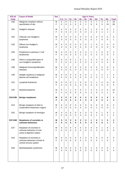| <b>ICD-10</b>   | <b>Cause of Death</b>                                                              | <b>Sex</b>        |                                  |                         |                         |                             |                            | <b>Age in Years</b>       |                            |                                |                                        |                            |                                         |
|-----------------|------------------------------------------------------------------------------------|-------------------|----------------------------------|-------------------------|-------------------------|-----------------------------|----------------------------|---------------------------|----------------------------|--------------------------------|----------------------------------------|----------------------------|-----------------------------------------|
| <b>Code</b>     |                                                                                    |                   | $0 - 4$                          | $5-$                    | $15-$                   | $25 -$                      | $35-$                      | $45-$                     | $55-$                      | $65-$                          | $75-$                                  | $85-$                      | <b>Total</b>                            |
| C80             | Malignant neoplasm without<br>specification of site                                | M<br>F            | $\mathbf 0$<br>$\pmb{0}$         | 0<br>0                  | 0<br>0                  | $\mathbf 0$<br>$\mathbf 0$  | $\mathbf 0$<br>0           | $\pmb{0}$<br>$\mathbf{1}$ | 4<br>6                     | $\overline{7}$<br>6            | 4<br>5                                 | 4<br>10                    | 19<br>28                                |
| C81             | Hodgkin's disease                                                                  | M<br>F            | 0<br>0                           | 0<br>$\mathbf 0$        | 0<br>0                  | 0<br>$\mathbf 0$            | 0<br>0                     | $\mathbf 0$<br>$\Omega$   | 1<br>0                     | 0<br>0                         | 0<br>1                                 | $\mathbf 0$<br>1           | $\mathbf 1$<br>$\overline{c}$           |
| C82             | Follicular non-Hodgkin's<br>lymphoma                                               | M<br>F            | 0<br>0                           | 0<br>$\mathbf 0$        | 0<br>0                  | 0<br>0                      | 0<br>0                     | $\pmb{0}$<br>$\Omega$     | 0<br>0                     | 0<br>1                         | 0<br>0                                 | $\mathbf 0$<br>$\mathbf 0$ | 0<br>$\mathbf{1}$                       |
| C83             | Diffuse non-Hodgkin's<br>lymphoma                                                  | M<br>F            | 0<br>0                           | 0<br>$\mathbf 0$        | 0<br>0                  | 0<br>$\mathbf 0$            | 0<br>0                     | $\mathbf 0$<br>$\Omega$   | 1<br>0                     | 0<br>0                         | $\overline{\mathbf{c}}$<br>$\mathbf 0$ | 0<br>$\mathbf 0$           | 3<br>0                                  |
| C84             | Peripheral & cutaneous T-cell<br>lymphomas                                         | M<br>F            | 0<br>0                           | 0<br>$\mathbf 0$        | 0<br>0                  | 0<br>0                      | 0<br>$\mathbf{1}$          | $\pmb{0}$<br>$\mathbf 0$  | 1<br>0                     | $\mathbf{1}$<br>$\overline{2}$ | 0<br>0                                 | $\mathbf 0$<br>$\mathbf 0$ | $\overline{\mathbf{c}}$<br>3            |
| C85             | Other & unspecified types of<br>non-Hodgkin's lymphoma                             | M<br>F            | 0<br>0                           | 0<br>$\Omega$           | 0<br>$\mathbf 0$        | $\mathbf 1$<br>$\mathbf 0$  | 0<br>0                     | 1<br>$\Omega$             | 3<br>$\mathbf{1}$          | 3<br>$\overline{c}$            | 0<br>3                                 | $\mathbf 0$<br>3           | 8<br>9                                  |
| C88             | Malignant immunoproliferative<br>diseases                                          | М<br>F            | 0<br>0                           | 0<br>$\Omega$           | 0<br>$\mathbf 0$        | 0<br>0                      | 0<br>0                     | $\pmb{0}$<br>$\Omega$     | 0<br>1                     | 0<br>0                         | 0<br>0                                 | $\mathbf 0$<br>$\mathbf 0$ | 0<br>$\mathbf{1}$                       |
| C90             | Multiple myeloma & malignant<br>plasma cell neoplasms                              | M<br>F            | 0<br>0                           | 0<br>$\Omega$           | 0<br>$\mathbf 0$        | 0<br>0                      | 0<br>0                     | $\mathbf 0$<br>$\Omega$   | 1<br>$\Omega$              | 1<br>$\overline{c}$            | 1<br>1                                 | 1<br>1                     | 4<br>4                                  |
| C91             | Lymphoid leukaemia                                                                 | M<br>F            | 0<br>0                           | 0<br>$\Omega$           | 0<br>$\mathbf 0$        | $\mathbf 1$<br>0            | 0<br>0                     | 0<br>$\Omega$             | $\overline{c}$<br>$\Omega$ | 1<br>0                         | 4<br>5                                 | $\mathbf 0$<br>0           | 8<br>5                                  |
| C92             | Myeloid leukaemia                                                                  | M<br>F            | $\boldsymbol{0}$<br>$\mathbf{1}$ | 1<br>$\Omega$           | 1<br>0                  | 0<br>0                      | 0<br>0                     | 1<br>3                    | 2<br>$\overline{2}$        | 3<br>0                         | 4<br>$\overline{c}$                    | $\mathbf 0$<br>1           | 12<br>9                                 |
| D10-D36         | <b>Benign neoplasms</b>                                                            | Μ<br>F            | $\bf{0}$<br>0                    | 0<br>$\bf{0}$           | 0<br>$\bf{0}$           | 0<br>0                      | 0<br>0                     | 0<br>0                    | 0<br>$\bf{0}$              | 0<br>$\overline{2}$            | 1<br>0                                 | $\pmb{0}$<br>1             | 1<br>3                                  |
| D <sub>15</sub> | Benign neoplasm of other &<br>unspecified intrathoracic organs                     | M<br>F            | 0<br>0                           | 0<br>0                  | 0<br>0                  | 0<br>0                      | 0<br>0                     | 0<br>0                    | 0<br>0                     | 0<br>1                         | 0<br>$\Omega$                          | 0<br>0                     | 0<br>1                                  |
| D32             | Benign neoplasm of meninges                                                        | M<br>F            | 0<br>$\mathbf 0$                 | $\mathbf 0$<br>$\Omega$ | $\mathbf 0$<br>$\Omega$ | $\pmb{0}$<br>$\mathbf 0$    | $\mathbf 0$<br>$\Omega$    | $\mathbf 0$<br>$\Omega$   | $\mathbf 0$<br>$\Omega$    | 0<br>1                         | 1<br>$\mathbf{0}$                      | $\pmb{0}$<br>1             | 1<br>$\overline{2}$                     |
| D37-D48         | Neoplasms of uncertain or<br>unknown behaviour                                     | м<br>F            | $\bf{0}$<br>$\bf{0}$             | 0<br>0                  | $\mathbf 0$<br>$\bf{0}$ | $\mathbf 0$<br>$\mathbf{0}$ | $\mathbf 0$<br>$\bf{0}$    | $\mathbf 0$<br>$\bf{0}$   | 1<br>0                     | 0<br>0                         | 1<br>6                                 | $\mathbf 0$<br>1           | $\mathbf{2}$<br>$\overline{\mathbf{r}}$ |
| D37             | Neoplasm of uncertain or<br>unknown behaviour of oral<br>cavity & digestive organs | М<br>F            | $\mathbf 0$<br>$\mathbf 0$       | $\mathbf 0$<br>$\Omega$ | $\mathbf 0$<br>$\Omega$ | $\pmb{0}$<br>$\mathbf 0$    | $\mathbf 0$<br>$\Omega$    | $\mathbf 0$<br>$\Omega$   | $\mathbf 0$<br>$\Omega$    | $\mathbf 0$<br>$\Omega$        | 1<br>$\mathbf 0$                       | $\mathbf 0$<br>$\Omega$    | 1<br>$\mathbf 0$                        |
| D43             | Neoplasm of uncertain or<br>unknown behaviour of brain &<br>central nervous system | М<br>$\mathsf{F}$ | $\mathbf 0$<br>$\mathbf 0$       | $\Omega$<br>$\Omega$    | $\mathbf 0$<br>$\Omega$ | 0<br>$\mathbf 0$            | $\mathbf 0$<br>$\Omega$    | $\mathbf 0$<br>$\Omega$   | $\mathbf 0$<br>$\Omega$    | $\mathbf 0$<br>$\Omega$        | $\mathbf 0$<br>$\mathbf{1}$            | 0<br>$\Omega$              | 0<br>$\mathbf{1}$                       |
| D46             | Myelodysplastic syndromes                                                          | м<br>$\mathsf{F}$ | $\mathbf 0$<br>$\mathbf 0$       | $\Omega$<br>$\Omega$    | 0<br>$\Omega$           | $\mathbf 0$<br>$\mathbf 0$  | $\mathbf 0$<br>$\mathbf 0$ | $\mathbf 0$<br>$\Omega$   | 1<br>$\mathbf{0}$          | 0<br>$\Omega$                  | 0<br>$\overline{4}$                    | 0<br>$\mathbf 0$           | 1<br>4                                  |
|                 |                                                                                    |                   |                                  |                         |                         |                             |                            |                           |                            |                                |                                        |                            |                                         |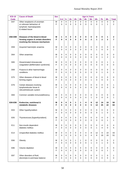| <b>ICD-10</b>   | <b>Cause of Death</b>                                                                                   | <b>Sex</b> |                            |                          |                          |                            |                               | <b>Age in Years</b>        |                         |                            |                                           |                               |                             |
|-----------------|---------------------------------------------------------------------------------------------------------|------------|----------------------------|--------------------------|--------------------------|----------------------------|-------------------------------|----------------------------|-------------------------|----------------------------|-------------------------------------------|-------------------------------|-----------------------------|
| <b>Code</b>     |                                                                                                         |            | $0 - 4$                    | $5-$                     | $15-$                    | $25 -$                     | $35-$                         | $45-$                      | $55-$                   | $65-$                      | $75-$                                     | $85-$                         | <b>Total</b>                |
| D47             | Other neoplasms of uncertain<br>or unknown behaviour of<br>lymphoid, haematopoietic<br>& related tissue | M<br>F     | $\mathbf 0$<br>$\mathbf 0$ | $\mathbf 0$<br>$\Omega$  | 0<br>$\mathbf 0$         | $\mathbf 0$<br>$\mathbf 0$ | $\mathbf 0$<br>$\overline{0}$ | 0<br>$\mathbf{0}$          | 0<br>0                  | $\mathbf 0$<br>$\mathbf 0$ | $\mathbf 0$<br>$\mathbf{1}$               | 0<br>1                        | $\pmb{0}$<br>$\overline{2}$ |
| D50-D89         | Diseases of the blood & blood<br>forming organs & certain disorders<br>involving the immune mechanism   | М<br>F     | 1<br>$\bf{0}$              | 0<br>$\bf{0}$            | 0<br>$\bf{0}$            | 0<br>$\mathbf{0}$          | 0<br>$\bf{0}$                 | 0<br>$\bf{0}$              | 0<br>$\overline{2}$     | 0<br>1                     | 0<br>$\mathbf{2}$                         | 1<br>$\overline{2}$           | 2<br>$\overline{7}$         |
| D <sub>59</sub> | Acquired haemolytic anaemia                                                                             | M<br>F     | 0<br>0                     | 0<br>$\Omega$            | 0<br>$\Omega$            | 0<br>0                     | 0<br>0                        | 0<br>$\Omega$              | 0<br>0                  | 0<br>1                     | 0<br>0                                    | 0<br>$\Omega$                 | 0<br>1                      |
| D64             | Other anaemias                                                                                          | M<br>F     | 0<br>0                     | 0<br>$\Omega$            | 0<br>$\Omega$            | 0<br>0                     | 0<br>$\overline{0}$           | 0<br>$\Omega$              | 0<br>0                  | 0<br>0                     | $\mathbf 0$<br>$\mathbf{1}$               | $\mathbf 0$<br>$\overline{2}$ | 0<br>3                      |
| D65             | Disseminated intravascular<br>coagulation [defibrination syndrome]                                      | М<br>F     | $\mathbf 0$<br>$\Omega$    | $\mathbf 0$<br>$\Omega$  | $\mathbf 0$<br>$\Omega$  | 0<br>$\Omega$              | $\mathbf 0$<br>$\Omega$       | 0<br>$\Omega$              | 0<br>0                  | $\mathbf 0$<br>0           | $\mathbf 0$<br>$\Omega$                   | 1<br>$\mathbf 0$              | 1<br>0                      |
| D69             | Purpura & other haemorrhagic<br>conditions                                                              | M<br>F     | $\mathbf 0$<br>$\Omega$    | 0<br>$\Omega$            | 0<br>$\Omega$            | 0<br>$\Omega$              | $\mathbf 0$<br>$\Omega$       | 0<br>$\Omega$              | 0<br>0                  | $\mathbf 0$<br>0           | $\mathbf 0$<br>1                          | $\mathbf 0$<br>$\Omega$       | 0<br>1                      |
| D75             | Other diseases of blood & blood<br>forming organs                                                       | M<br>F     | $\mathbf 0$<br>$\Omega$    | $\mathbf 0$<br>$\Omega$  | $\mathbf 0$<br>$\Omega$  | 0<br>$\Omega$              | $\mathbf 0$<br>$\Omega$       | 0<br>$\Omega$              | 0<br>1                  | $\mathbf 0$<br>0           | $\mathbf 0$<br>$\Omega$                   | $\mathbf 0$<br>$\Omega$       | 0<br>1                      |
| D76             | Certain diseases involving<br>lymphoreticular tissue &<br>reticulohistiocytic system                    | M<br>F     | 1<br>$\Omega$              | $\mathbf 0$<br>$\Omega$  | $\mathbf 0$<br>$\Omega$  | 0<br>$\Omega$              | $\mathbf 0$<br>$\Omega$       | 0<br>$\Omega$              | 0<br>0                  | $\mathbf 0$<br>0           | $\mathbf 0$<br>$\Omega$                   | $\mathbf 0$<br>$\Omega$       | 1<br>0                      |
| D83             | Common variable immunodeficiency                                                                        | М<br>F     | $\mathbf 0$<br>0           | $\mathbf 0$<br>$\Omega$  | $\mathbf 0$<br>$\Omega$  | 0<br>0                     | $\mathbf 0$<br>$\Omega$       | 0<br>$\Omega$              | 0<br>1                  | 0<br>0                     | $\mathbf 0$<br>$\Omega$                   | $\mathbf 0$<br>$\Omega$       | 0<br>1                      |
| E00-E90         | Endocrine, nutritional &<br>metabolic diseases                                                          | М<br>F     | $\pmb{0}$<br>$\bf{0}$      | 0<br>0                   | 0<br>$\bf{0}$            | 1<br>0                     | 1<br>0                        | 4<br>$\bf{0}$              | 8<br>5                  | 12<br>12                   | 14<br>25                                  | 10<br>22                      | 50<br>64                    |
| E03             | Other hypothyroidism                                                                                    | M<br>F     | $\pmb{0}$<br>$\mathbf 0$   | 0<br>$\mathbf 0$         | 0<br>$\mathbf 0$         | $\mathbf 0$<br>0           | 0<br>0                        | $\mathsf 0$<br>$\mathbf 0$ | 0<br>$\Omega$           | $\,0\,$<br>0               | $\mathbf 0$<br>1                          | 0<br>$\mathbf 0$              | $\pmb{0}$<br>1              |
| E05             | Thyrotoxicosis [hyperthyroidism]                                                                        | M<br>F     | $\pmb{0}$<br>0             | $\pmb{0}$<br>0           | 0<br>$\mathbf 0$         | $\pmb{0}$<br>0             | $\pmb{0}$<br>$\mathbf 0$      | $\mathbf 0$<br>0           | $\mathbf 0$<br>0        | 0<br>0                     | $\pmb{0}$<br>$\mathbf 0$                  | $\mathbf 0$<br>1              | 0<br>1                      |
| E11             | Non-insulin dependent<br>diabetes mellitus                                                              | M<br>F     | $\pmb{0}$<br>$\mathbf 0$   | 0<br>$\mathbf 0$         | $\pmb{0}$<br>0           | $\pmb{0}$<br>0             | $\pmb{0}$<br>$\mathbf 0$      | $\mathbf 0$<br>0           | $\mathbf 0$<br>$\Omega$ | 0<br>1                     | $\overline{\mathbf{4}}$<br>$\overline{4}$ | $\mathbf 0$<br>$\mathbf 0$    | 4<br>5                      |
| E14             | Unspecified diabetes mellitus                                                                           | M<br>F     | $\pmb{0}$<br>$\mathbf 0$   | $\pmb{0}$<br>$\mathbf 0$ | $\pmb{0}$<br>$\mathbf 0$ | 0<br>0                     | $\pmb{0}$<br>$\mathbf 0$      | $\overline{4}$<br>$\Omega$ | 8<br>$\overline{4}$     | 12<br>8                    | $\boldsymbol{9}$<br>19                    | 10<br>20                      | 43<br>51                    |
| E66             | Obesity                                                                                                 | M<br>F     | $\pmb{0}$<br>$\mathbf 0$   | $\pmb{0}$<br>0           | $\pmb{0}$<br>$\mathbf 0$ | $\mathbf{1}$<br>0          | $\mathbf{1}$<br>$\mathbf 0$   | $\mathbf 0$<br>$\Omega$    | $\mathbf 0$<br>1        | $\,0\,$<br>3               | $\pmb{0}$<br>1                            | $\mathbf 0$<br>$\mathbf 0$    | $\boldsymbol{2}$<br>5       |
| E86             | Volume depletion                                                                                        | M<br>F     | $\pmb{0}$<br>$\mathbf 0$   | $\pmb{0}$<br>$\mathbf 0$ | $\pmb{0}$<br>$\mathbf 0$ | $\pmb{0}$<br>0             | $\pmb{0}$<br>$\mathbf 0$      | 0<br>0                     | $\mathbf 0$<br>0        | $\,0\,$<br>0               | $\pmb{0}$<br>$\mathbf 0$                  | $\mathbf 0$<br>1              | 0<br>1                      |
| E87             | Other disorders of fluid,<br>electrolyte & acid-base balance                                            | м<br>F     | $\pmb{0}$<br>0             | 0<br>0                   | $\mathbf 0$<br>0         | 0<br>0                     | $\pmb{0}$<br>$\mathbf 0$      | 0<br>0                     | 0<br>0                  | $\,0\,$<br>$\pmb{0}$       | $\mathbf{1}$<br>$\pmb{0}$                 | $\mathbf 0$<br>$\mathbf 0$    | 1<br>$\mathbf 0$            |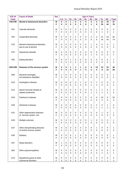| <b>ICD-10</b>   | <b>Cause of Death</b>                             | <b>Sex</b> |                             |                            |                        |              |                            |             | <b>Age in Years</b> |                  |                  |                  |                              |
|-----------------|---------------------------------------------------|------------|-----------------------------|----------------------------|------------------------|--------------|----------------------------|-------------|---------------------|------------------|------------------|------------------|------------------------------|
| <b>Code</b>     |                                                   |            | $0-4$                       | $5-$                       | $15-$                  | $25-$        | $35 -$                     | $45-$       | $55-$               | $65-$            | $75-$            | $85 -$           | <b>Total</b>                 |
| F00-F99         | Mental & behavioural disorders                    | M          | $\mathbf 0$                 | $\bf{0}$                   | 1                      | $\bf{0}$     | $\mathbf 0$                | 0           | 3                   | $\mathbf{3}$     | 21               | 19               | 47                           |
|                 |                                                   | F          | $\mathbf 0$                 | $\bf{0}$                   | $\mathbf 0$            | $\mathbf 0$  | $\mathbf{0}$               | $\mathbf 0$ | $\mathbf{1}$        | 6                | 25               | 44               | 76                           |
| F01             | Vascular dementia                                 | M          | 0                           | $\boldsymbol{0}$           | $\pmb{0}$              | 0            | 0                          | 0           | 0                   | 0                | $\pmb{0}$        | 0                | 0                            |
|                 |                                                   | F          | 0                           | $\mathbf 0$                | $\mathbf 0$            | 0            | 0                          | 0           | 0                   | 0                | $\mathbf{1}$     | $\mathbf 0$      | 1                            |
|                 |                                                   |            |                             |                            |                        |              |                            |             |                     |                  |                  |                  |                              |
| F03             | Unspecified dementia                              | M          | 0                           | $\mathbf 0$                | $\pmb{0}$              | 0            | 0                          | 0           | 2                   | 3                | 21               | 19               | 45                           |
|                 |                                                   | F          | 0                           | $\mathbf 0$                | $\pmb{0}$              | 0            | $\mathbf 0$                | 0           | 0                   | 6                | 24               | 44               | 74                           |
| F10             | Mental & behavioural disorders                    | M          | 0                           | $\mathbf 0$                | $\pmb{0}$              | 0            | 0                          | 0           | 1                   | 0                | $\pmb{0}$        | 0                | 1                            |
|                 | due to use of alcohol                             | F          | $\mathbf 0$                 | $\mathbf 0$                | $\mathbf 0$            | 0            | $\mathbf 0$                | 0           | 0                   | 0                | $\mathbf 0$      | 0                | 0                            |
|                 |                                                   |            |                             |                            |                        |              |                            |             |                     |                  |                  |                  |                              |
| F32             | Depressive episode                                | М          | $\pmb{0}$                   | $\mathbf 0$                | $\pmb{0}$              | 0            | 0                          | 0           | 0                   | 0                | $\pmb{0}$        | 0                | $\boldsymbol{0}$             |
|                 |                                                   | F          | 0                           | $\mathbf 0$                | $\mathbf 0$            | 0            | $\mathbf 0$                | 0           | 1                   | 0                | $\mathbf 0$      | $\mathbf 0$      | 1                            |
|                 |                                                   |            |                             |                            |                        |              |                            |             |                     |                  |                  |                  |                              |
| F <sub>50</sub> | Eating disorders                                  | М<br>F     | 0<br>0                      | $\mathbf 0$<br>$\mathbf 0$ | 1<br>$\mathbf 0$       | 0<br>0       | $\mathbf 0$<br>$\mathbf 0$ | 0<br>0      | 0<br>0              | 0<br>0           | 0<br>$\mathbf 0$ | 0<br>$\mathbf 0$ | 1<br>$\mathbf 0$             |
|                 |                                                   |            |                             |                            |                        |              |                            |             |                     |                  |                  |                  |                              |
| G00-G99         | Diseases of the nervous system                    | Μ          | 3                           | 0                          | 1                      | 1            | $\mathbf 1$                | 0           | 5                   | 13               | 12               | 10               | 46                           |
|                 |                                                   | F          | $\bf{0}$                    | $\bf{0}$                   | $\mathbf 0$            | $\mathbf 0$  | 1                          | 0           | $\overline{2}$      | 5                | 8                | 12               | 28                           |
|                 |                                                   |            |                             |                            |                        |              |                            |             |                     |                  |                  |                  |                              |
| G00             | Bacterial meningitis,<br>not elsewhere classified | м<br>F     | $\mathbf{1}$<br>$\mathbf 0$ | $\mathbf 0$<br>$\mathbf 0$ | $\pmb{0}$<br>$\pmb{0}$ | 0<br>0       | $\pmb{0}$<br>$\mathbf 0$   | 0<br>0      | 0<br>0              | $\mathbf 0$<br>0 | 0<br>$\mathbf 0$ | 0<br>0           | 1<br>0                       |
|                 |                                                   |            |                             |                            |                        |              |                            |             |                     |                  |                  |                  |                              |
| G10             | Huntington's disease                              | м          | 0                           | $\mathbf 0$                | $\pmb{0}$              | 0            | $\mathbf{1}$               | 0           | 3                   | $\mathbf{1}$     | 0                | 0                | 5                            |
|                 |                                                   | F          | 0                           | $\mathbf 0$                | $\mathbf 0$            | 0            | $\mathbf 0$                | 0           | 1                   | $\overline{2}$   | $\mathbf 0$      | $\mathbf 0$      | 3                            |
|                 |                                                   |            |                             |                            |                        |              |                            |             |                     |                  |                  |                  |                              |
| G12             | Spinal muscular atrophy &                         | M<br>F     | 0                           | $\mathbf 0$                | $\pmb{0}$              | 0            | $\mathbf 0$                | 0           | 0                   | 1                | 1<br>1           | 0                | $\overline{\mathbf{c}}$<br>6 |
|                 | related syndromes                                 |            | 0                           | $\mathbf 0$                | $\mathbf 0$            | 0            | $\mathbf 0$                | 0           | 1                   | 2                |                  | $\overline{2}$   |                              |
| G20             | Parkinson's disease                               | М          | 0                           | $\mathbf 0$                | $\pmb{0}$              | 0            | 0                          | 0           | 0                   | 6                | 10               | 9                | 25                           |
|                 |                                                   | F          | 0                           | $\mathbf 0$                | $\mathbf 0$            | 0            | 0                          | 0           | 0                   | 0                | $\overline{4}$   | 5                | 9                            |
|                 |                                                   |            |                             |                            |                        |              |                            |             |                     |                  |                  |                  |                              |
| G30             | Alzheimer's disease                               | M<br>F     | 0                           | 0                          | 0                      | 0            | 0                          | 0           | 0                   | 2                | 0                | 1                | 3<br>5                       |
|                 |                                                   |            | 0                           | 0                          | 0                      | 0            | 0                          | 0           | 0                   | 1                | 1                | 3                |                              |
| G31             | Other degenerative diseases                       | M          | $\mathbf 0$                 | $\pmb{0}$                  | $\pmb{0}$              | $\,0\,$      | $\pmb{0}$                  | $\pmb{0}$   | $\pmb{0}$           | 0                | $\mathbf{1}$     | $\pmb{0}$        | 1                            |
|                 | of nervous system, nec                            | F          | $\mathbf 0$                 | $\Omega$                   | $\mathbf 0$            | 0            | $\mathbf 0$                | 0           | 0                   | 0                | $\mathbf 0$      | $\mathbf 0$      | $\mathsf 0$                  |
|                 |                                                   |            |                             |                            |                        |              |                            |             |                     |                  |                  |                  |                              |
| G35             | Multiple sclerosis                                | м          | $\pmb{0}$                   | $\mathbf 0$                | $\pmb{0}$              | $\pmb{0}$    | $\pmb{0}$                  | 0           | 1                   | $\mathbf 0$      | $\pmb{0}$        | $\pmb{0}$        | 1                            |
|                 |                                                   | F          | 0                           | $\Omega$                   | $\mathbf 0$            | 0            | $\Omega$                   | 0           | $\mathbf 0$         | $\mathbf 0$      | $\mathbf 0$      | $\mathbf 0$      | $\mathbf 0$                  |
| G37             | Other demyelinating diseases                      | м          | $\pmb{0}$                   | $\mathbf 0$                | $\pmb{0}$              | $\pmb{0}$    | $\mathbf 0$                | 0           | 0                   | $\mathbf{1}$     | $\pmb{0}$        | $\pmb{0}$        | 1                            |
|                 | of central nervous system                         | F          | $\mathbf 0$                 | $\Omega$                   | $\mathbf 0$            | 0            | $\Omega$                   | 0           | 0                   | 0                | $\mathbf 0$      | 0                | $\mathbf 0$                  |
|                 |                                                   |            |                             |                            |                        |              |                            |             |                     |                  |                  |                  |                              |
| G40             | Epilepsy                                          | м          | $\mathbf 0$                 | $\mathbf 0$                | $\pmb{0}$              | $\mathbf{1}$ | $\mathbf 0$                | 0           | 0                   | $\boldsymbol{0}$ | $\pmb{0}$        | $\pmb{0}$        | 1                            |
|                 |                                                   | F          | 0                           | $\Omega$                   | $\mathbf 0$            | 0            | $\Omega$                   | $\Omega$    | 0                   | 0                | $\Omega$         | $\mathbf 0$      | $\mathbf 0$                  |
| G47             | Sleep disorders                                   | м          | $\mathbf{1}$                | $\mathbf 0$                | $\pmb{0}$              | $\pmb{0}$    | $\pmb{0}$                  | 0           | 0                   | $\boldsymbol{0}$ | $\pmb{0}$        | $\pmb{0}$        | 1                            |
|                 |                                                   | F          | 0                           | $\Omega$                   | $\mathbf 0$            | 0            | $\Omega$                   | 0           | 0                   | 0                | $\mathbf 0$      | $\mathbf 0$      | $\mathbf 0$                  |
|                 |                                                   |            |                             |                            |                        |              |                            |             |                     |                  |                  |                  |                              |
| G62             | Other polyneuropathies                            | м          | $\mathbf 0$                 | $\mathbf 0$                | $\pmb{0}$              | $\pmb{0}$    | $\pmb{0}$                  | 0           | 0                   | $\boldsymbol{0}$ | $\pmb{0}$        | $\pmb{0}$        | 0                            |
|                 |                                                   | F          | $\overline{0}$              | $\Omega$                   | $\mathbf 0$            | 0            | $\Omega$                   | $\Omega$    | $\mathbf 0$         | $\mathbf 0$      | $\mathbf{1}$     | $\mathbf 0$      | 1                            |
|                 |                                                   |            |                             |                            |                        |              |                            |             |                     |                  |                  |                  |                              |
| G70             | Myasthenia gravis & other<br>myoneural disorders  | M<br>F     | 0<br>0                      | $\mathbf 0$<br>0           | $\pmb{0}$<br>0         | 0<br>0       | $\mathbf 0$<br>0           | 0<br>0      | 0<br>0              | 0<br>0           | $\pmb{0}$<br>1   | 0<br>1           | $\mathbf 0$<br>2             |
|                 |                                                   |            |                             |                            |                        |              |                            |             |                     |                  |                  |                  |                              |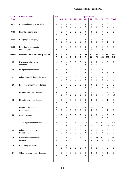| <b>ICD-10</b> | <b>Cause of Death</b>                    | <b>Sex</b> |                          |                            |                            |                             |                                |                               | <b>Age in Years</b>     |                   |                                 |                     |                                |
|---------------|------------------------------------------|------------|--------------------------|----------------------------|----------------------------|-----------------------------|--------------------------------|-------------------------------|-------------------------|-------------------|---------------------------------|---------------------|--------------------------------|
| <b>Code</b>   |                                          |            | $0-4$                    | $5-$                       | $15-$                      | $25 -$                      | $35-$                          | $45-$                         | $55-$                   | $65-$             | $75-$                           | $85 -$              | <b>Total</b>                   |
| G71           | Primary disorders of muscles             | M<br>F     | $\mathbf{1}$<br>0        | $\pmb{0}$<br>$\mathbf 0$   | 1<br>$\mathbf 0$           | 0<br>0                      | $\mathbf 0$<br>0               | 0<br>0                        | 0<br>0                  | $\mathbf{1}$<br>0 | 0<br>0                          | 0<br>0              | 3<br>0                         |
| G80           | Infantile cerebral palsy                 | M<br>F     | 0<br>0                   | 0<br>$\mathbf 0$           | 0<br>$\mathbf 0$           | 0<br>0                      | 0<br>$\mathbf{1}$              | 0<br>0                        | 0<br>0                  | 0<br>0            | 0<br>0                          | 0<br>0              | 0<br>$\mathbf{1}$              |
| G82           | Paraplegia & tetraplegia                 | M<br>F     | $\pmb{0}$<br>0           | 0<br>$\mathbf 0$           | 0<br>$\mathbf 0$           | 0<br>0                      | 0<br>0                         | 0<br>0                        | 0<br>0                  | 0<br>0            | 0<br>0                          | 0<br>1              | 0<br>1                         |
| G90           | Disorders of autonomic<br>nervous system | M<br>F     | $\pmb{0}$<br>$\mathbf 0$ | 0<br>0                     | 0<br>0                     | 0<br>0                      | 0<br>0                         | 0<br>0                        | 1<br>0                  | 1<br>0            | 0<br>$\mathbf 0$                | 0<br>0              | $\overline{c}$<br>0            |
| 100-199       | Diseases of the circulatory system       | Μ<br>F     | $\pmb{0}$<br>0           | 0<br>1                     | 0<br>0                     | $\mathbf 2$<br>$\mathbf 2$  | 8<br>$\overline{\mathbf{2}}$   | 28<br>$\overline{\mathbf{r}}$ | 61<br>26                | 98<br>72          | 183<br>252                      | 130<br>280          | 510<br>642                     |
| 105           | Rheumatic mitral valve<br>diseases       | M<br>F     | $\pmb{0}$<br>$\mathbf 0$ | 0<br>$\mathbf 0$           | 0<br>$\mathbf 0$           | 0<br>0                      | 0<br>0                         | $\mathbf 0$<br>$\mathbf 0$    | $\mathbf 0$<br>$\Omega$ | 2<br>0            | 0<br>1                          | 0<br>0              | $\overline{c}$<br>$\mathbf{1}$ |
| 108           | Multiple valve diseases                  | M<br>F     | $\pmb{0}$<br>0           | 0<br>$\mathbf 0$           | 0<br>$\mathbf 0$           | 0<br>0                      | $\mathbf 0$<br>0               | 0<br>$\mathbf 0$              | 0<br>$\Omega$           | 0<br>1            | 0<br>0                          | 0<br>1              | 0<br>$\overline{2}$            |
| 109           | Other rheumatic heart diseases           | М<br>F     | $\pmb{0}$<br>0           | 0<br>0                     | 0<br>$\mathbf 0$           | 0<br>0                      | $\mathbf 0$<br>0               | 0<br>$\mathbf 0$              | 0<br>$\Omega$           | 0<br>0            | 0<br>$\overline{c}$             | 0<br>0              | 0<br>$\overline{c}$            |
| 110           | Essential (primary) hypertension         | M<br>F     | $\pmb{0}$<br>0           | 0<br>0                     | 0<br>$\mathbf 0$           | 0<br>0                      | 0<br>0                         | 1<br>$\mathbf 0$              | 0<br>$\Omega$           | 1<br>1            | 0<br>0                          | 0<br>1              | 2<br>$\overline{2}$            |
| 111           | Hypertensive heart disease               | M<br>F     | $\pmb{0}$<br>0           | 0<br>0                     | 0<br>$\mathbf 0$           | 0<br>0                      | $\mathbf 0$<br>0               | 0<br>$\mathbf{1}$             | 0<br>0                  | 0<br>0            | 1<br>4                          | 2<br>13             | 3<br>18                        |
| 112           | Hypertensive renal disease               | M<br>F     | $\pmb{0}$<br>0           | 0<br>0                     | 0<br>$\mathbf 0$           | 0<br>0                      | $\mathbf 0$<br>0               | $\pmb{0}$<br>$\mathbf 0$      | 0<br>0                  | 0<br>0            | 1<br>$\mathbf{1}$               | 1<br>$\overline{c}$ | 2<br>3                         |
| 113           | Hypertensive heart &<br>renal disease    | М<br>F     | 0<br>$\mathbf 0$         | 0<br>0                     | 0<br>0                     | 0<br>$\mathsf 0$            | 0<br>0                         | 0<br>$\mathsf 0$              | 0<br>0                  | 0<br>$\mathbf{1}$ | 0<br>1                          | 0<br>1              | 0<br>3                         |
| 120           | Angina pectoris                          | M<br>F     | $\pmb{0}$<br>$\mathbf 0$ | $\pmb{0}$<br>$\mathbf 0$   | $\pmb{0}$<br>$\mathbf 0$   | $\pmb{0}$<br>$\mathbf 0$    | $\pmb{0}$<br>0                 | $\pmb{0}$<br>$\mathbf 0$      | 0<br>$\mathbf 0$        | $\mathbf 0$<br>0  | $\boldsymbol{0}$<br>$\mathbf 0$ | 0<br>$\mathbf{1}$   | $\pmb{0}$<br>1                 |
| 121           | Acute myocardial infarction              | M<br>F     | $\pmb{0}$<br>$\mathbf 0$ | $\pmb{0}$<br>$\mathbf 0$   | $\mathbf 0$<br>$\mathbf 0$ | $\mathbf{1}$<br>$\mathbf 0$ | $\overline{2}$<br>$\mathbf{1}$ | 12<br>$\overline{4}$          | 32<br>5                 | 34<br>27          | 69<br>78                        | 26<br>54            | 176<br>169                     |
| 124           | Other acute ischaemic<br>heart diseases  | M<br>F     | $\pmb{0}$<br>$\mathbf 0$ | $\pmb{0}$<br>$\mathbf 0$   | $\pmb{0}$<br>$\mathbf 0$   | $\pmb{0}$<br>$\mathbf 0$    | $\pmb{0}$<br>0                 | 0<br>$\mathbf 0$              | 0<br>1                  | $\pmb{0}$<br>0    | $\pmb{0}$<br>$\mathbf 0$        | 0<br>0              | $\pmb{0}$<br>$\mathbf{1}$      |
| 125           | Chronic ischaemic heart<br>disease       | M<br>F     | $\pmb{0}$<br>$\mathbf 0$ | $\mathbf 0$<br>$\mathbf 0$ | $\pmb{0}$<br>$\mathbf 0$   | $\pmb{0}$<br>$\mathbf 0$    | $\mathbf{1}$<br>$\mathbf 0$    | $\overline{7}$<br>$\mathbf 0$ | 13<br>3                 | 29<br>13          | 47<br>62                        | 46<br>79            | 143<br>157                     |
| 126           | Pulmonary embolism                       | M<br>F     | $\pmb{0}$<br>$\mathbf 0$ | $\mathbf 0$<br>$\mathbf 0$ | $\pmb{0}$<br>$\mathbf 0$   | $\pmb{0}$<br>$\mathbf 0$    | $\pmb{0}$<br>0                 | 1<br>$\mathbf 0$              | $\mathbf 0$<br>$\Omega$ | 1<br>0            | $\sqrt{2}$<br>$\overline{4}$    | 0<br>$\overline{2}$ | $\overline{4}$<br>6            |
| 127           | Other pulmonary heart diseases           | M<br>F     | $\pmb{0}$<br>$\mathbf 0$ | $\mathbf 0$<br>$\mathbf 0$ | $\pmb{0}$<br>$\mathbf 0$   | $\pmb{0}$<br>$\mathbf 0$    | $\pmb{0}$<br>0                 | 0<br>$\mathbf 0$              | $\mathbf 0$<br>$\Omega$ | 1<br>0            | $\pmb{0}$<br>$\mathbf 0$        | 1<br>0              | $\sqrt{2}$<br>$\mathbf 0$      |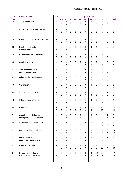| <b>ICD-10</b> | <b>Cause of Death</b>               | <b>Sex</b>  |             |                  |                  |                  |              |                  | <b>Age in Years</b>     |                         |                     |                |                           |
|---------------|-------------------------------------|-------------|-------------|------------------|------------------|------------------|--------------|------------------|-------------------------|-------------------------|---------------------|----------------|---------------------------|
| <b>Code</b>   |                                     |             | $0 - 4$     | $5-$             | $15-$            | $25 -$           | $35-$        | $45-$            | $55-$                   | $65-$                   | $75-$               | $85-$          | <b>Total</b>              |
| 130           | Acute pericarditis                  | M           | $\mathbf 0$ | $\mathbf 0$      | $\mathbf 0$      | $\mathbf 0$      | $\mathbf 0$  | $\mathsf 0$      | 0                       | $\mathbf 0$             | $\mathbf 0$         | $\mathbf 0$    | 0                         |
|               |                                     | F           | $\mathsf 0$ | $\mathbf 0$      | $\mathbf 0$      | $\mathbf 0$      | 0            | $\mathbf 0$      | $\mathbf{1}$            | 0                       | 0                   | $\mathbf 0$    | 1                         |
| 133           | Acute & subacute endocarditis       | М           | 0           | 0                | 0                |                  | 0            | 1                | 2                       |                         | 2                   | $\mathbf 0$    |                           |
|               |                                     | F           | 0           | $\mathbf 0$      | $\mathbf 0$      | 0<br>$\mathbf 0$ | 0            | $\Omega$         | 1                       | 0<br>0                  | $\mathbf{1}$        | $\mathbf 0$    | 5<br>$\overline{2}$       |
|               |                                     |             |             |                  |                  |                  |              |                  |                         |                         |                     |                |                           |
|               |                                     |             |             |                  |                  |                  |              |                  |                         |                         |                     |                |                           |
| 134           | Nonrheumatic mitral valve disorders | м           | $\mathbf 0$ | $\mathbf 0$      | 0                | 0                | $\mathbf 0$  | 0                | 0                       | 0                       | 1                   | $\,0\,$        | 1                         |
|               |                                     | F           | 0           | $\mathbf 0$      | $\mathbf 0$      | $\mathbf 0$      | 0            | $\mathbf 0$      | 1                       | 0                       | 0                   | $\mathbf 0$    | $\mathbf{1}$              |
|               |                                     |             |             |                  |                  |                  |              |                  |                         |                         |                     |                |                           |
| 135           | Nonrheumatic aortic                 | М           | 0           | 0                | 0                | 0                | $\mathbf 0$  | 0                | 0                       | 1                       | $\mathbf 0$         | 2              | 3                         |
|               | valve disorders                     | F           | 0           | 0                | $\mathbf 0$      | 0                | $\mathbf 0$  | 0                | 1                       | $\overline{c}$          | $\mathbf{1}$        | $\mathbf 0$    | 4                         |
|               |                                     |             |             |                  |                  |                  |              |                  |                         |                         |                     |                |                           |
| 138           | Endocarditis, valve unspecified     | м           | 0           | 0                | 0                | 0                | $\pmb{0}$    | 0                | 0                       | 0                       | $\pmb{0}$           | 2              | $\overline{c}$            |
|               |                                     | F           | 0           | $\mathbf 0$      | $\mathbf 0$      | $\mathbf 0$      | 0            | $\mathbf 0$      | $\overline{c}$          | 0                       | $\overline{2}$      | $\mathbf 0$    | 4                         |
| 142           | Cardiomyopathy                      | М           | 0           | 0                | 0                | 0                | 1            | $\mathbf 0$      | 2                       | $\overline{c}$          | $\mathbf 0$         | $\mathbf 0$    | 5                         |
|               |                                     | E           | 0           | $\mathbf 0$      | $\mathbf 0$      | 1                | 0            | $\Omega$         | $\overline{2}$          | $\mathbf{1}$            | $\mathbf 0$         | $\mathbf 0$    | 4                         |
|               |                                     |             |             |                  |                  |                  |              |                  |                         |                         |                     |                |                           |
| 144           | Atrioventricular & left             | м           | 0           | 0                | 0                | $\pmb{0}$        | 0            | 0                | $\mathbf 0$             | 0                       | $\mathbf 0$         | $\mathbf 0$    | 0                         |
|               | bundle-branch block                 | F           | 0           | $\mathbf 0$      | $\mathbf 0$      | $\mathbf 0$      | $\mathbf 0$  | $\mathbf 0$      | $\Omega$                | 0                       | $\mathbf 0$         | 1              | 1                         |
|               |                                     |             |             |                  |                  |                  |              |                  |                         |                         |                     |                |                           |
| 145           | Other conduction disorders          | м           | 0           | 0                | 0                | 0                | 0            | $\mathbf 0$      | $\mathbf 0$             | 0                       | 1                   | $\pmb{0}$      | 1                         |
|               |                                     | E           | 0           | $\mathbf 0$      | $\mathbf 0$      | $\mathbf 0$      | 0            | $\mathbf 0$      | $\Omega$                | 0                       | 0                   | $\mathbf 0$    | 0                         |
|               |                                     |             |             |                  |                  |                  |              |                  |                         |                         |                     |                |                           |
| 146           | Cardiac arrest                      | м           | 0           | 0                | 0                | $\pmb{0}$        | $\mathbf 0$  | $\mathbf 0$      | $\mathbf 0$             | 0                       | 1                   | $\mathbf 0$    | 1                         |
|               |                                     | F           | 0           | $\mathbf 0$      | $\mathbf 0$      | $\mathbf 0$      | 0            | $\mathbf 0$      | $\mathbf 0$             | 0                       | 2                   | $\mathbf 0$    | $\overline{c}$            |
|               | Atrial fibrillation & flutter       |             |             |                  |                  |                  |              |                  |                         |                         |                     |                |                           |
| 148           |                                     | м<br>E      | 0<br>0      | 0<br>$\mathbf 0$ | 0<br>$\mathbf 0$ | 0<br>$\mathbf 0$ | 0<br>0       | 0<br>$\mathbf 0$ | 1<br>$\Omega$           | 1<br>0                  | 1<br>$\overline{c}$ | 1<br>6         | 4<br>8                    |
|               |                                     |             |             |                  |                  |                  |              |                  |                         |                         |                     |                |                           |
| 149           | Other cardiac arrhythmias           | м           | 0           | 0                | 0                | 0                | 0            | 1                | 0                       | 0                       | $\mathbf 0$         | $\mathbf 0$    | 1                         |
|               |                                     | F           | 0           | $\mathbf 0$      | $\mathbf 0$      | $\mathbf 0$      | 0            | $\mathbf 0$      | $\mathbf 0$             | 0                       | $\mathbf 0$         | $\mathbf 0$    | 0                         |
|               |                                     |             |             |                  |                  |                  |              |                  |                         |                         |                     |                |                           |
| 150           | Heart failure                       | м           | 0           | 0                | 0                | 0                | 1            | 0                | $\mathbf 0$             | $\overline{\mathbf{c}}$ | 12                  | 13             | 28                        |
|               |                                     | $\mathsf F$ | 0           | $\mathbf 0$      | $\mathbf 0$      | $\mathsf 0$      | 0            | $\mathsf 0$      | 0                       | 4                       | 16                  | 34             | 54                        |
|               |                                     |             |             |                  |                  |                  |              |                  |                         |                         |                     |                |                           |
| 151           | Complications & ill-defined         | м           | 0           | $\mathbf 0$      | 0                | $\pmb{0}$        | $\mathbf{1}$ | 1                | $\mathbf 0$             | 0                       | $\pmb{0}$           | 1              | $\ensuremath{\mathsf{3}}$ |
|               | descriptions of heart disease       | F           | 0           | $\mathbf 0$      | $\mathbf 0$      | $\mathbf 0$      | $\mathbf{1}$ | $\mathbf{1}$     | $\Omega$                | $\mathbf{1}$            | 1                   | 1              | 5                         |
|               |                                     |             |             |                  |                  |                  |              |                  |                         |                         |                     |                |                           |
| 160           | Subarachnoid haemorrhage            | М<br>E      | 0           | $\mathbf 0$      | 0<br>$\Omega$    | $\pmb{0}$        | $\pmb{0}$    | $\pmb{0}$        | $\mathbf 0$<br>$\Omega$ | $\mathbf{1}$            | $\pmb{0}$           | $\mathbf 0$    | 1                         |
|               |                                     |             | 0           | $\mathbf 1$      |                  | $\mathbf 0$      | $\Omega$     | $\mathbf{1}$     |                         | 0                       | $\mathbf 0$         | $\mathbf 0$    | $\overline{c}$            |
| 161           | Intracerebral haemorrhage           | м           | 0           | $\mathbf 0$      | 0                | $\pmb{0}$        | $\pmb{0}$    | $\overline{c}$   | 6                       | 3                       | 6                   | 3              | 20                        |
|               |                                     | E           | 0           | $\mathbf 0$      | $\Omega$         | $\mathbf 0$      | $\Omega$     | $\mathbf 0$      | 3                       | $\overline{2}$          | 8                   | $\overline{4}$ | 17                        |
|               |                                     |             |             |                  |                  |                  |              |                  |                         |                         |                     |                |                           |
| 162           | Other nontraumatic                  | м           | 0           | $\mathbf 0$      | 0                | $\pmb{0}$        | $\pmb{0}$    | $\mathbf 0$      | $\mathbf 0$             | 0                       | $\pmb{0}$           | 1              | 1                         |
|               | intracranial haemorrhage            | F           | 0           | $\Omega$         | $\Omega$         | 0                | $\Omega$     | $\Omega$         | 1                       | 0                       | $\mathbf 0$         | $\mathbf 0$    | 1                         |
|               |                                     |             |             |                  |                  |                  |              |                  |                         |                         |                     |                |                           |
| 163           | Cerebral infarctions                | м           | 0           | $\mathbf 0$      | 0                | 1                | $\mathbf{1}$ | $\mathbf 0$      | $\overline{2}$          | $\sqrt{2}$              | $\mathbf{1}$        | $\mathbf 0$    | $\overline{7}$            |
|               |                                     | E           | 0           | $\mathbf 0$      | $\Omega$         | $\mathbf 0$      | $\Omega$     | $\Omega$         | 1                       | 3                       | 12                  | $\overline{4}$ | 20                        |
|               |                                     |             |             |                  |                  |                  |              |                  |                         |                         |                     |                |                           |
| 164           | Stroke, not specified as            | м           | 0           | $\mathbf 0$      | 0                | $\pmb{0}$        | $\pmb{0}$    | $\mathbf 0$      | 3                       | 12                      | 28                  | 24             | 67                        |
|               | haemorrhage or infarction           | F           | $\mathbf 0$ | $\Omega$         | $\Omega$         | $\mathbf 0$      | $\Omega$     | $\Omega$         | $\overline{c}$          | 10                      | 43                  | 53             | 108                       |
|               |                                     |             |             |                  |                  |                  |              |                  |                         |                         |                     |                |                           |
|               |                                     |             |             |                  |                  |                  |              |                  |                         |                         |                     |                |                           |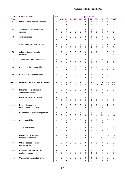| <b>ICD-10</b><br><b>Code</b> | <b>Cause of Death</b>                                | <b>Sex</b>  | $0-4$                 | $5-$                            | $15-$                      | $25 -$                   | $35-$             | <b>Age in Years</b><br>$45-$           | $55-$                       | $65-$                          | $75-$                                 | $85-$               | <b>Total</b>                |
|------------------------------|------------------------------------------------------|-------------|-----------------------|---------------------------------|----------------------------|--------------------------|-------------------|----------------------------------------|-----------------------------|--------------------------------|---------------------------------------|---------------------|-----------------------------|
| 167                          | Other cerebrovascular diseases                       | M           | $\mathbf 0$           | $\mathbf 0$                     | $\Omega$                   | $\mathbf 0$              | $\mathbf 0$       | $\pmb{0}$                              | 0                           | 0                              | $\boldsymbol{2}$                      | 4                   | 6                           |
| 169                          | Sequelae of cerebrovascular<br>disease               | F<br>M<br>F | $\mathbf 0$<br>0<br>0 | $\mathbf 0$<br>0<br>$\mathbf 0$ | $\Omega$<br>0<br>$\Omega$  | $\mathbf 0$<br>0<br>0    | 0<br>0<br>0       | $\mathbf 0$<br>$\mathbf 0$<br>$\Omega$ | 0<br>0<br>0                 | 0<br>1<br>0                    | $\overline{2}$<br>0<br>$\overline{c}$ | 4<br>0<br>4         | 6<br>1<br>6                 |
| 170                          | Atherosclerosis                                      | М<br>F      | 0<br>0                | 0<br>$\mathbf 0$                | 0<br>$\Omega$              | $\,0\,$<br>0             | 0<br>0            | $\mathbf 0$<br>$\Omega$                | 0<br>0                      | 2<br>$\overline{c}$            | 3<br>5                                | 2<br>13             | $\overline{7}$<br>20        |
| 171                          | Aortic aneurysm & dissection                         | M<br>F      | 0<br>0                | 0<br>$\mathbf 0$                | 0<br>$\Omega$              | $\,0\,$<br>0             | 1<br>0            | $\overline{\mathbf{c}}$<br>$\mathbf 0$ | 0<br>0                      | 3<br>$\mathbf{1}$              | 3<br>0                                | 1<br>0              | 10<br>$\mathbf{1}$          |
| 173                          | Other peripheral vascular<br>diseases                | М<br>F      | 0<br>0                | 0<br>$\mathbf 0$                | 0<br>0                     | 0<br>0                   | 0<br>0            | $\mathbf 0$<br>$\Omega$                | 0<br>1                      | 0<br>1                         | 1<br>1                                | 0<br>0              | 1<br>3                      |
| 174                          | Arterial embolism & thrombosis                       | М<br>F      | 0<br>0                | 0<br>$\mathbf 0$                | $\mathbf 0$<br>0           | 0<br>0                   | 0<br>0            | $\mathbf 0$<br>$\mathbf 0$             | 0<br>0                      | 0<br>0                         | 0<br>1                                | 0<br>$\mathbf{1}$   | 0<br>$\overline{c}$         |
| 180                          | Phlebitis & thrombophlebitis                         | М<br>F      | 0<br>0                | 0<br>$\mathbf 0$                | $\mathbf 0$<br>0           | $\,0\,$<br>$\mathbf{1}$  | 0<br>0            | $\mathbf 0$<br>$\Omega$                | 0<br>1                      | 0<br>1                         | 1<br>0                                | 0<br>$\mathbf{1}$   | 1<br>4                      |
| 186                          | Varicose veins of other sites                        | M<br>F      | 0<br>0                | $\pmb{0}$<br>$\mathbf 0$        | 0<br>0                     | $\,0\,$<br>0             | 0<br>0            | $\mathbf 0$<br>$\mathbf 0$             | 0<br>0                      | 0<br>1                         | 0<br>0                                | 0<br>0              | 0<br>1                      |
| J00-J99                      | Diseases of the respiratory system                   | Μ<br>F      | 0<br>0                | 0<br>$\mathbf 0$                | 1<br>$\bf{0}$              | 0<br>$\bf{0}$            | 2<br>$\mathbf 0$  | 1<br>$\overline{2}$                    | 8<br>5                      | 22<br>17                       | 62<br>46                              | 68<br>59            | 164<br>129                  |
| J09                          | Influenza due to identified<br>avian influenza virus | М<br>F      | 0<br>0                | $\pmb{0}$<br>$\mathbf 0$        | 0<br>0                     | $\,0\,$<br>0             | 0<br>0            | $\pmb{0}$<br>$\mathbf 0$               | 0<br>$\Omega$               | 0<br>0                         | 0<br>0                                | 2<br>0              | $\overline{c}$<br>0         |
| J11                          | Influenza, virus not identified                      | М<br>F      | 0<br>0                | 0<br>$\mathbf 0$                | 0<br>0                     | $\,0\,$<br>0             | 0<br>0            | $\pmb{0}$<br>$\mathbf 0$               | 0<br>0                      | 0<br>0                         | 1<br>0                                | 0<br>0              | 1<br>0                      |
| J15                          | Bacterial pneumonia,<br>not elsewhere classified     | М<br>F      | 0<br>0                | 0<br>0                          | 0<br>0                     | 0<br>0                   | 0<br>0            | 0<br>0                                 | 0<br>0                      | 0<br>0                         | 0<br>0                                | 1<br>0              | 1<br>0                      |
| J18                          | Pneumonia, organism unspecified                      | М<br>F      | $\pmb{0}$<br>0        | $\pmb{0}$<br>$\mathbf 0$        | $\mathbf 0$<br>$\mathbf 0$ | $\,0\,$<br>$\mathbf 0$   | $\mathbf{1}$<br>0 | $\mathbf{1}$<br>$\mathbf 0$            | $\pmb{0}$<br>$\overline{2}$ | $\overline{2}$<br>4            | 12<br>14                              | 11<br>23            | 27<br>43                    |
| J20                          | Acute bronchitis                                     | М<br>F      | 0<br>0                | 0<br>$\mathbf 0$                | $\mathbf 0$<br>$\mathbf 0$ | $\pmb{0}$<br>0           | $\pmb{0}$<br>0    | 0<br>$\Omega$                          | $\mathbf 0$<br>0            | 0<br>0                         | $\pmb{0}$<br>0                        | 0<br>$\overline{2}$ | $\pmb{0}$<br>$\overline{c}$ |
| J21                          | Acute bronchiolitis                                  | М<br>F      | $\pmb{0}$<br>0        | $\mathbf 0$<br>$\mathbf 0$      | $\mathbf 0$<br>$\mathbf 0$ | $\pmb{0}$<br>0           | 0<br>$\mathbf 0$  | 0<br>$\Omega$                          | $\mathbf 0$<br>$\mathbf 0$  | 0<br>0                         | $\mathbf{1}$<br>0                     | 0<br>$\mathbf 0$    | $\mathbf{1}$<br>0           |
| J22                          | Unspecified acute lower<br>respiratory infection     | М<br>F      | 0<br>0                | $\mathbf 0$<br>$\mathbf 0$      | $\mathbf 0$<br>$\Omega$    | $\pmb{0}$<br>$\mathbf 0$ | 0<br>0            | $\pmb{0}$<br>$\mathbf 0$               | 1<br>$\mathbf 0$            | $\mathbf{1}$<br>$\overline{2}$ | $\overline{7}$<br>10                  | 15<br>15            | 24<br>27                    |
| <b>J39</b>                   | Other diseases of upper<br>respiratory tract         | M<br>E      | 0<br>0                | $\mathbf 0$<br>$\mathbf 0$      | $\mathbf 0$<br>$\Omega$    | $\pmb{0}$<br>$\mathbf 0$ | 0<br>$\mathbf 0$  | $\mathbf 0$<br>$\mathbf 0$             | 0<br>$\mathbf{1}$           | 0<br>0                         | $\pmb{0}$<br>0                        | 0<br>0              | 0<br>$\mathbf{1}$           |
| J40                          | Bronchitis, not specified as<br>acute or chronic     | М<br>F      | $\pmb{0}$<br>0        | $\mathbf 0$<br>$\mathbf 0$      | $\mathbf 0$<br>$\Omega$    | $\pmb{0}$<br>0           | 0<br>$\mathbf 0$  | 0<br>$\Omega$                          | $\mathbf 0$<br>0            | 1<br>0                         | $\mathbf 0$<br>0                      | 0<br>0              | $\mathbf{1}$<br>0           |
| J42                          | Unspecified chronic bronchitis                       | Μ<br>F      | 0<br>0                | 0<br>0                          | $\mathbf 0$<br>0           | $\pmb{0}$<br>0           | 0<br>0            | $\pmb{0}$<br>$\mathbf 0$               | 0<br>$\mathbf 0$            | 0<br>0                         | $\,0\,$<br>0                          | 0<br>1              | $\pmb{0}$<br>1              |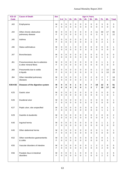| <b>ICD-10</b>   | <b>Cause of Death</b>                                    | <b>Sex</b> |                            |                            |                            |                  |                            | <b>Age in Years</b> |                            |                                       |                                    |                            |                                          |
|-----------------|----------------------------------------------------------|------------|----------------------------|----------------------------|----------------------------|------------------|----------------------------|---------------------|----------------------------|---------------------------------------|------------------------------------|----------------------------|------------------------------------------|
| <b>Code</b>     |                                                          |            | $0 - 4$                    | $5-$                       | $15-$                      | $25 -$           | $35-$                      | $45 -$              | $55-$                      | $65 -$                                | $75-$                              | $85-$                      | <b>Total</b>                             |
| J43             | Emphysema                                                | M<br>F     | $\pmb{0}$<br>$\mathbf 0$   | $\pmb{0}$<br>$\Omega$      | $\pmb{0}$<br>$\mathbf 0$   | 0<br>0           | 0<br>0                     | 0<br>$\Omega$       | $\mathbf 0$<br>$\Omega$    | 0<br>0                                | $\sqrt{3}$<br>$\Omega$             | $\mathbf 0$<br>$\mathbf 0$ | $\ensuremath{\mathsf{3}}$<br>$\mathsf 0$ |
| J44             | Other chronic obstructive<br>pulmonary disease           | M<br>F     | $\pmb{0}$<br>$\mathbf 0$   | 0<br>$\mathbf 0$           | 0<br>$\mathbf 0$           | 0<br>0           | 0<br>0                     | 0<br>1              | 4<br>$\Omega$              | 11<br>3                               | 33<br>6                            | 17<br>$\overline{c}$       | 65<br>12                                 |
| J45             | Asthma                                                   | M<br>F     | $\pmb{0}$<br>0             | 0<br>$\mathbf 0$           | 0<br>$\mathbf 0$           | 0<br>0           | 0<br>0                     | 0<br>$\Omega$       | 1<br>$\Omega$              | 0<br>0                                | $\mathbf 0$<br>$\overline{2}$      | 1<br>1                     | 2<br>3                                   |
| J46             | Status asthmaticus                                       | M<br>F     | $\pmb{0}$<br>$\mathbf 0$   | 0<br>$\Omega$              | 1<br>$\mathbf 0$           | 0<br>0           | 0<br>0                     | 0<br>$\Omega$       | 0<br>0                     | 0<br>0                                | $\mathbf 0$<br>$\mathbf 0$         | $\mathbf 0$<br>$\mathbf 0$ | 1<br>$\mathbf 0$                         |
| J47             | <b>Bronchiectasis</b>                                    | M<br>F     | $\pmb{0}$<br>0             | 0<br>$\mathbf 0$           | 0<br>$\mathbf 0$           | 0<br>0           | 0<br>0                     | 0<br>$\Omega$       | 0<br>0                     | 0<br>0                                | $\pmb{0}$<br>1                     | $\mathbf 0$<br>1           | 0<br>$\overline{c}$                      |
| J61             | Pneumoconiosis due to asbestos<br>& other mineral fibres | M<br>F     | 0<br>$\mathbf 0$           | 0<br>$\Omega$              | 0<br>$\mathbf 0$           | 0<br>0           | $\mathbf 0$<br>0           | 0<br>$\Omega$       | 0<br>0                     | 0<br>$\mathbf 0$                      | 1<br>$\mathbf 0$                   | 1<br>0                     | 2<br>$\mathsf 0$                         |
| <b>J69</b>      | Pneumonitis due to solids<br>& liquids                   | м<br>F     | 0<br>$\mathbf 0$           | 0<br>0                     | 0<br>$\mathbf 0$           | 0<br>0           | $\mathbf 0$<br>0           | 0<br>$\Omega$       | 0<br>0                     | 1<br>1                                | $\sqrt{2}$<br>9                    | 13<br>13                   | 16<br>23                                 |
| <b>J84</b>      | Other interstitial pulmonary<br>diseases                 | M<br>F     | $\pmb{0}$<br>$\mathbf 0$   | 0<br>0                     | 0<br>0                     | 0<br>0           | 1<br>0                     | 0<br>1              | 2<br>$\overline{2}$        | 6<br>7                                | $\sqrt{2}$<br>$\overline{4}$       | 7<br>1                     | 18<br>15                                 |
| K00-K93         | Diseases of the digestive system                         | М<br>F     | $\bf{0}$<br>0              | 0<br>0                     | 0<br>$\bf{0}$              | 1<br>$\bf{0}$    | 0<br>0                     | 4<br>1              | 7<br>$\mathbf{2}$          | 18<br>7                               | 12<br>15                           | $\boldsymbol{9}$<br>17     | 51<br>42                                 |
| K <sub>25</sub> | Gastric ulcer                                            | M<br>F     | $\pmb{0}$<br>0             | 0<br>$\Omega$              | 0<br>$\mathbf 0$           | 0<br>0           | 0<br>0                     | 0<br>$\Omega$       | 0<br>0                     | 0<br>0                                | 0<br>1                             | 0<br>$\mathbf 0$           | 0<br>1                                   |
| K26             | Duodenal ulcer                                           | M<br>F     | $\pmb{0}$<br>0             | 0<br>$\Omega$              | 0<br>0                     | 0<br>0           | 0<br>0                     | 1<br>$\Omega$       | 0<br>0                     | 0<br>0                                | 0<br>0                             | 0<br>$\mathbf 0$           | 1<br>0                                   |
| K <sub>27</sub> | Peptic ulcer, site unspecified                           | М<br>F     | 0<br>$\mathbf 0$           | 0<br>0                     | 0<br>$\mathbf 0$           | 0<br>$\pmb{0}$   | 0<br>0                     | 0<br>$\pmb{0}$      | 0<br>0                     | 0<br>0                                | 0<br>$\mathbf{1}$                  | 1<br>1                     | 1<br>$\overline{c}$                      |
| K29             | Gastritis & duodenitis                                   | M<br>F     | $\pmb{0}$<br>$\mathbf 0$   | $\pmb{0}$<br>$\mathbf 0$   | $\mathbf 0$<br>$\mathbf 0$ | 0<br>0           | $\pmb{0}$<br>$\mathbf 0$   | 0<br>0              | $\mathbf 0$<br>$\mathbf 0$ | $\sqrt{2}$<br>0                       | $\pmb{0}$<br>$\mathbf 0$           | 0<br>1                     | $\overline{c}$<br>1                      |
| K40             | Inguinal hernia                                          | м<br>F     | $\pmb{0}$<br>$\mathbf 0$   | $\mathbf 0$<br>0           | $\mathbf 0$<br>$\mathbf 0$ | $\pmb{0}$<br>0   | $\mathbf 0$<br>$\mathbf 0$ | 0<br>0              | 0<br>$\mathbf 0$           | $\mathbf 0$<br>0                      | 1<br>$\pmb{0}$                     | 1<br>$\mathbf 0$           | $\boldsymbol{2}$<br>$\mathbf 0$          |
| K45             | Other abdominal hernia                                   | м<br>F     | $\pmb{0}$<br>$\mathbf 0$   | $\mathbf 0$<br>$\mathbf 0$ | $\mathbf 0$<br>$\mathbf 0$ | $\pmb{0}$<br>0   | $\mathbf 0$<br>$\mathbf 0$ | 0<br>0              | 0<br>$\mathbf 0$           | $\pmb{0}$<br>0                        | 1<br>$\mathbf 0$                   | $\mathbf 0$<br>$\mathbf 0$ | 1<br>$\mathbf 0$                         |
| K <sub>52</sub> | Other noninfective gastroenteritis<br>& colitis          | M<br>F     | $\mathbf 0$<br>$\mathbf 0$ | $\mathbf 0$<br>$\mathbf 0$ | $\pmb{0}$<br>$\mathbf 0$   | $\pmb{0}$<br>0   | $\pmb{0}$<br>$\mathbf 0$   | 0<br>0              | 0<br>$\mathbf 0$           | $\pmb{0}$<br>$\mathbf 0$              | $\,0\,$<br>$\mathbf 0$             | 1<br>1                     | 1<br>1                                   |
| K <sub>55</sub> | Vascular disorders of intestine                          | M<br>F     | $\pmb{0}$<br>$\mathbf 0$   | $\mathbf 0$<br>$\mathbf 0$ | $\pmb{0}$<br>$\mathbf 0$   | 0<br>0           | $\mathbf 0$<br>$\mathbf 0$ | 0<br>$\Omega$       | 1<br>$\mathbf 0$           | $\sqrt{2}$<br>$\overline{\mathbf{4}}$ | $\boldsymbol{2}$<br>$\overline{c}$ | $\mathbf 0$<br>$\mathbf 0$ | 5<br>6                                   |
| K56             | Paralytic ileus & intestinal<br>disorders                | м<br>F     | $\pmb{0}$<br>$\mathbf 0$   | $\mathbf 0$<br>$\mathbf 0$ | $\pmb{0}$<br>$\mathsf 0$   | 1<br>$\mathsf 0$ | $\mathbf 0$<br>$\mathbf 0$ | 0<br>$\mathbf{1}$   | 0<br>$\Omega$              | 1<br>$\mathbf 0$                      | 1<br>$\overline{2}$                | 2<br>$\overline{2}$        | 5<br>5                                   |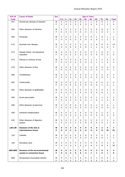| <b>ICD-10</b>      | <b>Cause of Death</b>                                         | <b>Sex</b> |                         |                            |                            |                            |                            | <b>Age in Years</b>           |                            |                             |                    |                     |                                           |
|--------------------|---------------------------------------------------------------|------------|-------------------------|----------------------------|----------------------------|----------------------------|----------------------------|-------------------------------|----------------------------|-----------------------------|--------------------|---------------------|-------------------------------------------|
| <b>Code</b><br>K57 | Diverticular disease of intestine                             | M          | $0 - 4$<br>$\pmb{0}$    | $5-$<br>$\mathbf 0$        | $15-$<br>0                 | $25 -$<br>$\mathsf 0$      | $35 -$<br>$\pmb{0}$        | $45-$<br>$\mathbf{1}$         | $55-$<br>$\mathbf{1}$      | $65-$<br>$\mathbf 0$        | $75-$<br>$\pmb{0}$ | $85-$<br>1          | <b>Total</b><br>$\ensuremath{\mathsf{3}}$ |
|                    |                                                               | F          | $\mathsf 0$             | $\mathbf 0$                | $\pmb{0}$                  | $\pmb{0}$                  | 0                          | $\mathbf 0$                   | 0                          | 0                           | $\overline{c}$     | 2                   | $\overline{\mathbf{4}}$                   |
|                    |                                                               |            |                         |                            |                            |                            |                            |                               |                            |                             |                    |                     |                                           |
| K63                | Other diseases of intestine                                   | M<br>F     | $\pmb{0}$<br>0          | $\pmb{0}$<br>$\mathbf 0$   | $\pmb{0}$<br>0             | $\pmb{0}$<br>$\mathbf 0$   | 0<br>0                     | $\pmb{0}$<br>$\mathbf 0$      | 0<br>0                     | $\,0\,$<br>$\mathbf{1}$     | 0<br>0             | 0<br>0              | $\pmb{0}$<br>$\mathbf 1$                  |
|                    |                                                               |            |                         |                            |                            |                            |                            |                               |                            |                             |                    |                     |                                           |
| K65                | Peritonitis                                                   | M<br>F     | $\pmb{0}$<br>0          | $\pmb{0}$<br>$\mathbf 0$   | $\pmb{0}$<br>0             | $\pmb{0}$<br>$\mathbf 0$   | 0<br>0                     | 0<br>$\mathbf 0$              | 0<br>0                     | 1<br>0                      | 0<br>$\mathbf{1}$  | 1<br>$\overline{c}$ | $\overline{\mathbf{c}}$<br>3              |
|                    |                                                               |            |                         |                            |                            |                            |                            |                               |                            |                             |                    |                     |                                           |
| K70                | Alcoholic liver disease                                       | M          | $\pmb{0}$               | $\pmb{0}$                  | $\pmb{0}$                  | $\pmb{0}$                  | 0                          | $\overline{c}$<br>$\mathbf 0$ | 3                          | 8                           | 0                  | 0                   | 13                                        |
|                    |                                                               | F          | 0                       | $\mathbf 0$                | 0                          | 0                          | 0                          |                               | 1                          | $\mathbf{1}$                | 0                  | 0                   | $\overline{c}$                            |
| K72                | Hepatic failure, not elsewhere                                | M          | $\pmb{0}$               | $\pmb{0}$                  | $\pmb{0}$                  | $\pmb{0}$                  | 0                          | $\pmb{0}$                     | 0                          | 1                           | 0                  | 0                   | 1                                         |
|                    | classified                                                    | F          | $\mathsf 0$             | $\mathbf 0$                | $\pmb{0}$                  | 0                          | 0                          | 0                             | 0                          | 0                           | 0                  | 0                   | 0                                         |
| K74                | Fibrosis & cirrhosis of liver                                 | M          | $\pmb{0}$               | $\pmb{0}$                  | $\pmb{0}$                  | $\pmb{0}$                  | 0                          | $\pmb{0}$                     | 1                          | 1                           | $\mathbf{1}$       | 0                   | 3                                         |
|                    |                                                               | F          | 0                       | $\mathbf 0$                | $\pmb{0}$                  | $\mathbf 0$                | 0                          | $\mathbf 0$                   | $\mathbf 0$                | $\mathbf{1}$                | 1                  | 0                   | $\overline{c}$                            |
| K76                | Other diseases of liver                                       | M          | $\pmb{0}$               | $\pmb{0}$                  | $\pmb{0}$                  | $\pmb{0}$                  | 0                          | $\pmb{0}$                     | 0                          | 0                           | 0                  | 0                   | $\pmb{0}$                                 |
|                    |                                                               | F          | 0                       | $\mathbf 0$                | $\pmb{0}$                  | $\mathbf 0$                | 0                          | $\mathbf 0$                   | 0                          | 0                           | $\mathbf{1}$       | 0                   | $\mathbf{1}$                              |
| K80                | Cholelithiasis                                                | M          | $\pmb{0}$               | $\pmb{0}$                  | $\pmb{0}$                  | $\pmb{0}$                  | 0                          | $\pmb{0}$                     | 1                          | 0                           | 2                  | 0                   | 3                                         |
|                    |                                                               | F          | 0                       | $\mathbf 0$                | $\pmb{0}$                  | $\mathbf 0$                | 0                          | $\mathbf 0$                   | 0                          | 0                           | 0                  | 2                   | $\overline{c}$                            |
| K81                | Cholecystitis                                                 | M          | $\pmb{0}$               | $\pmb{0}$                  | $\pmb{0}$                  | $\pmb{0}$                  |                            | $\pmb{0}$                     | 0                          |                             | 0                  |                     |                                           |
|                    |                                                               | F          | 0                       | $\mathbf 0$                | $\pmb{0}$                  | $\mathbf 0$                | 0<br>0                     | $\mathbf 0$                   | 0                          | 0<br>0                      | $\mathbf{1}$       | 0<br>0              | $\boldsymbol{0}$<br>$\mathbf{1}$          |
|                    |                                                               |            |                         |                            |                            |                            |                            |                               |                            |                             |                    |                     |                                           |
| K82                | Other diseases of gallbladder                                 | M<br>F     | $\pmb{0}$<br>0          | $\pmb{0}$<br>$\mathbf 0$   | $\pmb{0}$<br>$\pmb{0}$     | $\pmb{0}$<br>$\mathbf 0$   | $\pmb{0}$<br>0             | $\pmb{0}$<br>$\mathbf 0$      | 0<br>0                     | $\,0\,$<br>0                | 0<br>0             | 0<br>1              | $\boldsymbol{0}$<br>$\mathbf{1}$          |
|                    |                                                               |            |                         |                            |                            |                            |                            |                               |                            |                             |                    |                     |                                           |
| K85                | Acute pancreatitis                                            | M<br>F     | $\pmb{0}$<br>0          | $\pmb{0}$<br>$\mathbf 0$   | $\pmb{0}$<br>$\pmb{0}$     | $\pmb{0}$<br>$\mathbf 0$   | 0<br>0                     | $\pmb{0}$<br>$\mathbf 0$      | 0<br>1                     | 1<br>0                      | 1<br>$\mathbf{1}$  | 0<br>4              | $\overline{\mathbf{c}}$<br>6              |
|                    |                                                               |            |                         |                            |                            |                            |                            |                               |                            |                             |                    |                     |                                           |
| K86                | Other diseases of pancreas                                    | M          | $\pmb{0}$               | $\pmb{0}$                  | $\pmb{0}$                  | $\pmb{0}$                  | 0                          | $\pmb{0}$                     | 0                          | 1                           | 0                  | 0                   | 1                                         |
|                    |                                                               | F          | 0                       | $\mathbf 0$                | 0                          | $\mathbf 0$                | 0                          | 0                             | 0                          | 0                           | 0                  | 0                   | $\boldsymbol{0}$                          |
| K90                | Intestinal malabsorption                                      | M          | $\pmb{0}$               | $\mathbf 0$                | $\mathbf 0$                | $\pmb{0}$                  | $\mathbf 0$                | 0                             | $\mathbf 0$                | 0                           | $\mathbf{1}$       | 0                   | $\mathbf 1$                               |
|                    |                                                               | F          | $\Omega$                | $\Omega$                   | $\mathbf 0$                | $\mathbf 0$                | $\mathbf 0$                | $\Omega$                      | $\Omega$                   | $\Omega$                    | 0                  | 0                   | $\mathsf 0$                               |
| K92                | Other diseases of digestive                                   | М          | $\pmb{0}$               | $\mathbf 0$                | $\mathbf 0$                | $\mathbf 0$                | $\mathbf 0$                | $\mathbf 0$                   | $\mathbf 0$                | $\mathbf 0$                 | $\overline{c}$     | $\overline{2}$      | 4                                         |
|                    | system                                                        | F          | $\Omega$                | $\Omega$                   | $\mathbf 0$                | $\mathbf 0$                | $\Omega$                   | $\Omega$                      | $\Omega$                   | $\Omega$                    | $\overline{2}$     | 1                   | 3                                         |
| L00-L99            | Diseases of the skin &                                        | М          | $\mathbf 0$             | $\mathbf 0$                | $\mathbf 0$                | $\mathbf 0$                | $\mathbf 0$                | $\mathbf{0}$                  | 0                          | $\mathbf 0$                 | $\mathbf 2$        | 5                   | $\overline{7}$                            |
|                    | subcutaneous tissue                                           | F          | $\bf{0}$                | 0                          | $\bf{0}$                   | $\bf{0}$                   | 0                          | $\mathbf{0}$                  | 0                          | 3                           | 8                  | 10                  | 21                                        |
| L <sub>03</sub>    | Cellulitis                                                    | М          | $\pmb{0}$               | $\mathbf 0$                | $\mathbf 0$                | $\mathbf 0$                | $\mathbf 0$                | $\mathbf 0$                   | $\mathbf 0$                | 0                           | 0                  | 1                   | $\mathbf{1}$                              |
|                    |                                                               | F          | $\Omega$                | $\Omega$                   | $\mathbf 0$                | $\mathbf 0$                | $\Omega$                   | $\Omega$                      | $\Omega$                   | $\Omega$                    | 0                  | $\mathbf{1}$        | $\mathbf{1}$                              |
| L89                | Decubitus ulcer                                               |            | $\pmb{0}$               | $\mathbf 0$                | $\mathbf 0$                | $\mathbf 0$                | $\mathbf 0$                | $\mathbf 0$                   | $\mathbf 0$                | $\mathbf 0$                 | $\overline{2}$     | 4                   | 6                                         |
|                    |                                                               | М<br>F     | $\Omega$                | $\Omega$                   | $\mathbf 0$                | $\Omega$                   | $\mathbf 0$                | $\Omega$                      | 0                          | 3                           | 8                  | 9                   | 20                                        |
|                    |                                                               |            |                         |                            |                            |                            |                            |                               |                            |                             |                    |                     |                                           |
| M00-M99            | Diseases of the musculoskeletal<br>system & connective tissue | М<br>F     | $\mathbf 0$<br>$\bf{0}$ | $\mathbf 0$<br>0           | $\mathbf 0$<br>$\bf{0}$    | $\mathbf 0$<br>$\mathbf 0$ | $\mathbf 0$<br>0           | $\mathbf 0$<br>$\overline{2}$ | 0<br>1                     | 3<br>1                      | $\mathbf 0$<br>3   | $\mathbf 0$<br>1    | $\mathbf 3$<br>8                          |
|                    |                                                               |            |                         |                            |                            |                            |                            |                               |                            |                             |                    |                     |                                           |
| M05                | Seropositive rheumatoid arthritis                             | М<br>F     | 0<br>$\mathbf 0$        | $\mathbf 0$<br>$\mathbf 0$ | $\mathbf 0$<br>$\mathbf 0$ | $\pmb{0}$<br>$\mathbf 0$   | $\mathbf 0$<br>$\mathbf 0$ | $\mathbf 0$<br>$\mathbf 0$    | $\mathbf 0$<br>$\mathbf 0$ | $\mathbf{1}$<br>$\mathbf 0$ | 0<br>0             | 0<br>0              | $\mathbf 1$<br>$\mathbf 0$                |
|                    |                                                               |            |                         |                            |                            |                            |                            |                               |                            |                             |                    |                     |                                           |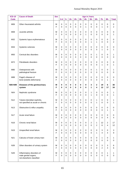| <b>ICD-10</b>   | <b>Cause of Death</b>                                                         | <b>Sex</b> |                          |                         |                  |                          |                       |                         | <b>Age in Years</b>        |                                |                                             |                                  |                       |
|-----------------|-------------------------------------------------------------------------------|------------|--------------------------|-------------------------|------------------|--------------------------|-----------------------|-------------------------|----------------------------|--------------------------------|---------------------------------------------|----------------------------------|-----------------------|
| <b>Code</b>     |                                                                               |            | $0 - 4$                  | $5-$                    | $15-$            | $25 -$                   | $35-$                 | $45-$                   | $55-$                      | $65-$                          | $75-$                                       | $85-$                            | <b>Total</b>          |
| M06             | Other rheumatoid arthritis                                                    | м<br>F     | 0<br>0                   | 0<br>$\mathbf 0$        | 0<br>$\mathbf 0$ | 0<br>0                   | 0<br>0                | 0<br>$\mathbf 1$        | $\mathbf 0$<br>0           | 0<br>0                         | 0<br>1                                      | $\mathbf 0$<br>$\mathbf 0$       | 0<br>$\overline{c}$   |
| M08             | Juvenile arthritis                                                            | М<br>F     | 0<br>0                   | 0<br>$\mathbf 0$        | 0<br>$\mathbf 0$ | 0<br>0                   | 0<br>0                | 0<br>$\mathbf{1}$       | 0<br>0                     | 0<br>0                         | $\mathbf 0$<br>0                            | $\mathbf 0$<br>0                 | $\boldsymbol{0}$<br>1 |
| M32             | Systemic lupus erythematosus                                                  | М<br>F     | 0<br>0                   | 0<br>0                  | 0<br>$\mathbf 0$ | 0<br>0                   | 0<br>0                | 0<br>0                  | 0<br>1                     | 0<br>$\mathbf{1}$              | $\mathbf 0$<br>0                            | $\mathbf 0$<br>$\mathbf 0$       | 0<br>$\overline{c}$   |
| M34             | Systemic sclerosis                                                            | М<br>F     | 0<br>0                   | 0<br>$\mathbf 0$        | 0<br>$\mathbf 0$ | 0<br>0                   | 0<br>0                | 0<br>0                  | 0<br>0                     | 0<br>0                         | 0<br>1                                      | $\,0\,$<br>0                     | $\boldsymbol{0}$<br>1 |
| M50             | Cervical disc disorders                                                       | м<br>F     | 0<br>0                   | 0<br>0                  | 0<br>$\mathbf 0$ | 0<br>0                   | 0<br>0                | 0<br>0                  | 0<br>0                     | 1<br>0                         | $\mathbf 0$<br>0                            | $\mathbf 0$<br>$\mathbf 0$       | 1<br>0                |
| M72             | Fibroblastic disorders                                                        | M<br>F     | 0<br>0                   | 0<br>0                  | 0<br>$\mathbf 0$ | 0<br>0                   | 0<br>0                | 0<br>0                  | 0<br>0                     | 0<br>0                         | 0<br>1                                      | $\,0\,$<br>$\mathbf 0$           | 0<br>1                |
| M80             | Osteoporosis with<br>pathological fracture                                    | М<br>F     | 0<br>0                   | 0<br>0                  | 0<br>0           | 0<br>0                   | 0<br>0                | 0<br>0                  | 0<br>0                     | 1<br>0                         | 0<br>$\mathbf 0$                            | $\mathbf 0$<br>$\mathbf 0$       | 1<br>0                |
| M88             | Paget's disease of<br>bone [osteitis deformans]                               | М<br>F     | 0<br>0                   | 0<br>0                  | 0<br>0           | $\pmb{0}$<br>0           | 0<br>0                | 0<br>0                  | 0<br>0                     | 0<br>0                         | 0<br>$\mathbf 0$                            | $\mathbf 0$<br>1                 | 0<br>1                |
| <b>N00-N99</b>  | Diseases of the genitourinary<br>system                                       | М<br>F     | $\pmb{0}$<br>0           | 0<br>0                  | 0<br>$\bf{0}$    | 0<br>0                   | 0<br>0                | 0<br>0                  | 3<br>1                     | $\mathbf{2}$<br>4              | 19<br>12                                    | 6<br>17                          | 30<br>34              |
| N04             | Nephrotic syndrome                                                            | М<br>F     | 0<br>0                   | 0<br>0                  | 0<br>0           | 0<br>0                   | 0<br>0                | 0<br>0                  | 1<br>1                     | 0<br>0                         | $\mathbf 0$<br>0                            | $\,0\,$<br>$\mathbf 0$           | 1<br>1                |
| N <sub>12</sub> | Tubulo-interstitial nephritis,<br>not specified as acute or chronic           | м<br>F     | 0<br>0                   | 0<br>0                  | 0<br>0           | 0<br>0                   | 0<br>0                | 0<br>0                  | 0<br>0                     | 1<br>1                         | 0<br>0                                      | $\,0\,$<br>0                     | 1<br>1                |
| N <sub>13</sub> | Obstructive & reflux uropathy                                                 | М<br>F     | 0<br>0                   | 0<br>$\mathbf 0$        | 0<br>$\mathbf 0$ | 0<br>$\mathsf 0$         | 0<br>0                | 0<br>$\mathbf 0$        | 0<br>0                     | 0<br>0                         | 0<br>$\pmb{0}$                              | $\mathbf 0$<br>1                 | 0<br>1                |
| <b>N17</b>      | Acute renal failure                                                           | M<br>E     | 0<br>0                   | $\mathbf 0$<br>$\Omega$ | 0<br>$\Omega$    | $\pmb{0}$<br>$\mathbf 0$ | $\pmb{0}$<br>$\Omega$ | 0<br>$\Omega$           | $\mathbf 0$<br>$\Omega$    | 0<br>0                         | $\pmb{0}$<br>$\mathbf 0$                    | $\mathbf 0$<br>4                 | 0<br>4                |
| N <sub>18</sub> | Chronic renal failure                                                         | М<br>E     | 0<br>0                   | $\mathbf 0$<br>$\Omega$ | 0<br>$\Omega$    | $\pmb{0}$<br>$\mathbf 0$ | $\pmb{0}$<br>$\Omega$ | $\mathbf 0$<br>$\Omega$ | $\overline{2}$<br>$\Omega$ | $\mathbf{1}$<br>$\overline{2}$ | 12<br>6                                     | $\overline{2}$<br>$\overline{4}$ | 17<br>12              |
| N <sub>19</sub> | Unspecified renal failure                                                     | М<br>E     | 0<br>0                   | $\mathbf 0$<br>$\Omega$ | 0<br>$\Omega$    | $\pmb{0}$<br>$\mathbf 0$ | $\pmb{0}$<br>$\Omega$ | $\mathbf 0$<br>$\Omega$ | $\mathbf 0$<br>$\Omega$    | 0<br>$\mathbf{1}$              | 3<br>$\overline{4}$                         | $\mathbf 0$<br>4                 | 3<br>$\boldsymbol{9}$ |
| N <sub>21</sub> | Calculus of lower urinary tract                                               | М<br>F     | 0<br>0                   | $\mathbf 0$<br>$\Omega$ | 0<br>$\Omega$    | $\pmb{0}$<br>$\mathbf 0$ | $\pmb{0}$<br>$\Omega$ | $\mathbf 0$<br>$\Omega$ | $\mathbf 0$<br>$\Omega$    | 0<br>0                         | $\mathbf{1}$<br>$\mathbf 0$                 | $\pmb{0}$<br>$\mathbf 0$         | 1<br>$\mathbf 0$      |
| N39             | Other disorders of urinary system                                             | М<br>E     | 0<br>0                   | $\mathbf 0$<br>$\Omega$ | 0<br>$\Omega$    | $\pmb{0}$<br>$\mathbf 0$ | $\pmb{0}$<br>$\Omega$ | $\mathbf 0$<br>$\Omega$ | $\mathbf 0$<br>$\Omega$    | 0<br>0                         | $\ensuremath{\mathsf{3}}$<br>$\overline{2}$ | 3<br>4                           | 6<br>6                |
| N49             | Inflammatory disorders of<br>male genital organs,<br>not elsewhere classified | м<br>F     | $\pmb{0}$<br>$\mathbf 0$ | $\mathbf 0$<br>$\Omega$ | 0<br>$\Omega$    | $\pmb{0}$<br>$\mathbf 0$ | $\pmb{0}$<br>$\Omega$ | $\mathbf 0$<br>$\Omega$ | $\mathbf 0$<br>$\Omega$    | 0<br>$\mathbf 0$               | $\pmb{0}$<br>$\mathbf 0$                    | 1<br>$\mathbf 0$                 | 1<br>$\mathbf 0$      |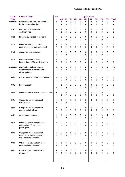| <b>ICD-10</b>   | <b>Cause of Death</b>                                            | <b>Sex</b> |                     |                      |                      |                  |                               |               | <b>Age in Years</b> |                   |                            |                            |                     |
|-----------------|------------------------------------------------------------------|------------|---------------------|----------------------|----------------------|------------------|-------------------------------|---------------|---------------------|-------------------|----------------------------|----------------------------|---------------------|
| <b>Code</b>     |                                                                  |            | $0 - 4$<br>4        | $5-$                 | $15-$                | $25 -$           | $35-$                         | $45-$         | $55-$               | $65-$             | $75-$                      | $85-$                      | <b>Total</b>        |
| P00-P96         | <b>Certain conditions originating</b><br>in the perinatal period | M<br>F     | 4                   | $\bf{0}$<br>$\bf{0}$ | $\bf{0}$<br>$\bf{0}$ | $\bf{0}$<br>0    | 0<br>0                        | 0<br>0        | 0<br>0              | $\mathbf 0$<br>0  | $\mathbf 0$<br>$\bf{0}$    | $\mathbf 0$<br>0           | 4<br>4              |
|                 |                                                                  |            |                     |                      |                      |                  |                               |               |                     |                   |                            |                            |                     |
| P07             | Disorders related to short<br>gestation, nec                     | М<br>F     | $\overline{c}$<br>1 | 0<br>0               | 0<br>0               | 0<br>0           | 0<br>0                        | 0<br>0        | 0<br>0              | 0<br>0            | 0<br>0                     | 0<br>0                     | 2<br>1              |
|                 |                                                                  |            |                     |                      |                      |                  |                               |               |                     |                   |                            |                            |                     |
| P <sub>22</sub> | Respiratory distress of newborn                                  | м          | 1                   | 0                    | 0                    | 0                | 0                             | 0             | 0                   | 0                 | 0                          | 0                          | 1                   |
|                 |                                                                  | F          | 0                   | 0                    | $\Omega$             | 0                | 0                             | 0             | 0                   | 0                 | 0                          | 0                          | 0                   |
| P <sub>28</sub> | Other respiratory conditions                                     | м          | 1                   | 0                    | 0                    | 0                | 0                             | 0             | 0                   | 0                 | 0                          | 0                          | 1                   |
|                 | originating in the perinatal period                              | F          | 0                   | 0                    | $\Omega$             | 0                | 0                             | 0             | 0                   | 0                 | 0                          | 0                          | 0                   |
| P35             | Congenital viral diseases                                        | м          | 0                   | 0                    | 0                    | 0                | 0                             | 0             | 0                   | 0                 | 0                          | 0                          | 0                   |
|                 |                                                                  | F          | 1                   | 0                    | $\Omega$             | 0                | 0                             | 0             | 0                   | 0                 | 0                          | 0                          | 1                   |
|                 |                                                                  |            |                     |                      |                      |                  |                               |               |                     |                   |                            |                            |                     |
| P <sub>52</sub> | Intracranial nontraumatic                                        | М<br>F     | 0<br>$\overline{2}$ | 0                    | 0                    | 0                | 0                             | 0             | 0<br>0              | 0                 | $\mathbf 0$                | $\mathbf 0$<br>$\mathbf 0$ | 0<br>$\overline{c}$ |
|                 | haemorrhage of foetus & newborn                                  |            |                     | 0                    | 0                    | 0                | 0                             | 0             |                     | 0                 | 0                          |                            |                     |
| Q00-Q99         | <b>Congenital malformations,</b>                                 | М          | 7                   | 0                    | 1                    | 0                | 0                             | 0             | 0                   | 1                 | 0                          | 1                          | 10                  |
|                 | deformations & chromosomal<br>abnormalities                      | F          | 6                   | 0                    | $\bf{0}$             | 0                | 0                             | 0             | 1                   | 1                 | 1                          | $\bf{0}$                   | 9                   |
|                 |                                                                  |            |                     |                      |                      |                  |                               |               |                     |                   |                            |                            |                     |
| Q <sub>00</sub> | Anencephaly & similar malformations                              | М          | 1                   | 0                    | 0                    | 0                | 0                             | 0             | 0                   | 0                 | 0                          | 0                          | 1                   |
|                 |                                                                  | E          | 0                   | 0                    | 0                    | 0                | 0                             | 0             | 0                   | 0                 | 0                          | 0                          | 0                   |
| Q <sub>01</sub> | Encephalocele                                                    | М          | $\mathbf{1}$        | 0                    | 0                    | 0                | 0                             | 0             | 0                   | 0                 | $\mathbf 0$                | $\mathbf 0$                | 1                   |
|                 |                                                                  | F          | 0                   | 0                    | 0                    | 0                | 0                             | 0             | 0                   | 0                 | 0                          | 0                          | 0                   |
|                 |                                                                  |            |                     |                      |                      |                  |                               | 0             |                     |                   |                            |                            |                     |
| Q <sub>04</sub> | Other congenital malformations of brain                          | M<br>F     | 0<br>1              | 0<br>0               | 0<br>$\Omega$        | 0<br>0           | 0<br>0                        | 0             | 0<br>0              | 0<br>0            | $\mathbf 0$<br>0           | $\mathbf 0$<br>0           | 0<br>1              |
|                 |                                                                  |            |                     |                      |                      |                  |                               |               |                     |                   |                            |                            |                     |
| Q <sub>21</sub> | Congenital malformations of                                      | М<br>F     | 0<br>0              | 0<br>0               | 0<br>0               | 0<br>0           | 0<br>0                        | 0<br>0        | 0<br>1              | 0<br>$\mathbf{1}$ | 0<br>1                     | 0<br>0                     | 0<br>3              |
|                 | cardiac septa                                                    |            |                     |                      |                      |                  |                               |               |                     |                   |                            |                            |                     |
| Q <sub>23</sub> | Congenital malformations of                                      | М          | 0                   | 0                    | 0                    | 0                | 0                             | 0             | 0                   | 0                 | 0                          | 0                          | 0                   |
|                 | aortic & mitral valves                                           | F          | $\overline{2}$      | 0                    | 0                    | $\mathsf 0$      | 0                             | 0             | 0                   | 0                 | $\mathbf 0$                | $\pmb{0}$                  | $\overline{c}$      |
| Q61             | Cystic kidney disease                                            | м          | $\mathbf{1}$        | $\mathbf 0$          | 0                    | $\pmb{0}$        | $\pmb{0}$                     | $\mathbf 0$   | $\mathbf 0$         | 1                 | $\mathbf 0$                | 1                          | 3                   |
|                 |                                                                  | F          | 0                   | $\mathbf 0$          | $\mathbf 0$          | $\mathbf 0$      | $\Omega$                      | $\mathbf 0$   | $\Omega$            | 0                 | 0                          | $\mathbf 0$                | $\mathsf 0$         |
| Q74             | Other congenital malformations                                   | м          | 0                   | $\mathbf 0$          | 0                    | $\pmb{0}$        | $\pmb{0}$                     | 0             | $\mathbf 0$         | 0                 | $\mathbf 0$                | $\mathbf 0$                | 0                   |
|                 | of lower limb(s), including                                      | F          | $\mathbf{1}$        | $\mathbf 0$          | $\Omega$             | $\mathbf 0$      | $\Omega$                      | $\Omega$      | $\Omega$            | 0                 | $\mathbf 0$                | $\mathbf 0$                | 1                   |
|                 | pelvic girdle                                                    |            |                     |                      |                      |                  |                               |               |                     |                   |                            |                            |                     |
| Q79             | Congenital malformations of                                      | м          | $\overline{c}$      | $\mathbf 0$          | 1                    | 0                | $\pmb{0}$                     | $\mathbf 0$   | $\mathbf 0$         | $\mathbf 0$       | $\mathbf 0$                | $\mathbf 0$                | 3                   |
|                 | the musculoskeletal system,                                      | F          | 0                   | $\Omega$             | $\Omega$             | $\mathbf 0$      | $\Omega$                      | $\Omega$      | $\Omega$            | $\mathbf 0$       | $\mathbf 0$                | $\mathbf 0$                | $\mathbf 0$         |
|                 | not elsewhere classified                                         |            |                     |                      |                      |                  |                               |               |                     |                   |                            |                            |                     |
| Q89             | Other congenital malformations,                                  | м          | $\mathbf{1}$        | $\mathbf 0$          | 0                    | 0                | $\pmb{0}$                     | $\mathbf 0$   | $\mathbf 0$         | 0                 | $\mathbf 0$                | $\mathbf 0$                | 1                   |
|                 | not elsewhere classified                                         | F          | $\mathbf{1}$        | $\mathbf 0$          | $\mathbf 0$          | 0                | $\mathbf 0$                   | 0             | 0                   | 0                 | $\mathbf 0$                | $\mathbf 0$                | $\mathbf{1}$        |
|                 |                                                                  |            |                     |                      |                      |                  |                               |               |                     |                   |                            |                            |                     |
| Q91             | Edwards' syndrome & Patau's                                      | M<br>F     | 1<br>$\mathbf{1}$   | 0<br>$\Omega$        | 0<br>$\Omega$        | 0<br>$\mathbf 0$ | $\mathbf 0$<br>$\overline{0}$ | 0<br>$\Omega$ | 0<br>$\Omega$       | 0<br>$\mathbf 0$  | $\mathbf 0$<br>$\mathbf 0$ | $\mathbf 0$<br>$\mathbf 0$ | 1<br>1              |
|                 | syndrome                                                         |            |                     |                      |                      |                  |                               |               |                     |                   |                            |                            |                     |
|                 |                                                                  |            |                     |                      |                      |                  |                               |               |                     |                   |                            |                            |                     |
|                 |                                                                  |            |                     |                      |                      |                  |                               |               |                     |                   |                            |                            |                     |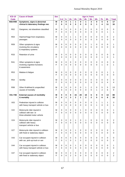| <b>ICD-10</b>   | <b>Cause of Death</b>                                   | <b>Sex</b> |                  |                         |                |                |                               |               | <b>Age in Years</b> |                     |                         |                            |                         |
|-----------------|---------------------------------------------------------|------------|------------------|-------------------------|----------------|----------------|-------------------------------|---------------|---------------------|---------------------|-------------------------|----------------------------|-------------------------|
| <b>Code</b>     |                                                         |            | $0 - 4$          | $5-$                    | $15-$          | $25 -$         | $35-$                         | $45-$         | $55-$               | $65-$               | $75-$                   | $85-$                      | <b>Total</b>            |
| R00-R99         | Symptoms, signs & abnormal                              | M          | $\bf{0}$         | $\mathbf{0}$            | 1              | 1              | $\mathbf 0$                   | 1             | 3                   | $\bf{0}$            | 5                       | 6                          | 17                      |
|                 | clinical & laboratory findings nec                      | F          | 0                | $\bf{0}$                | $\bf{0}$       | 0              | $\bf{0}$                      | $\bf{0}$      | 0                   | 1                   | 4                       | 11                         | 16                      |
| R <sub>02</sub> | Gangrene, not elsewhere classified                      | М          | 0                | 0                       | 0              | 0              | $\mathbf 0$                   | 0             | 0                   | 0                   | $\mathbf 0$             | 0                          | 0                       |
|                 |                                                         | E          | 0                | $\Omega$                | $\Omega$       | $\mathbf 0$    | $\Omega$                      | 0             | 0                   | 0                   | 0                       | 1                          | 1                       |
|                 |                                                         |            |                  |                         |                |                |                               |               |                     |                     |                         |                            |                         |
| <b>R04</b>      | Haemorrhage from respiratory                            | М          | 0                | 0                       | 1              | $\mathbf{1}$   | $\mathbf 0$                   | 0             | 0                   | 0                   | $\mathbf 0$             | $\mathbf 0$                | 2                       |
|                 | passages                                                | F          | 0                | $\Omega$                | $\Omega$       | 0              | $\Omega$                      | 0             | 0                   | 0                   | $\Omega$                | $\mathbf 0$                | 0                       |
|                 |                                                         |            |                  |                         |                |                |                               |               |                     |                     |                         |                            |                         |
| <b>R09</b>      | Other symptoms & signs<br>involving the circulatory     | М<br>F     | $\mathbf 0$<br>0 | $\mathbf 0$<br>$\Omega$ | 0<br>$\Omega$  | 0<br>0         | $\mathbf 0$<br>$\mathbf{0}$   | 0<br>$\Omega$ | 1<br>0              | 0<br>$\Omega$       | $\mathbf 0$<br>$\Omega$ | $\mathbf 0$<br>$\mathbf 0$ | 1<br>0                  |
|                 | & respiratory systems                                   |            |                  |                         |                |                |                               |               |                     |                     |                         |                            |                         |
|                 |                                                         |            |                  |                         |                |                |                               |               |                     |                     |                         |                            |                         |
| R33             | Retention of urine                                      | М          | $\mathbf 0$      | $\mathbf 0$             | 0              | 0              | $\mathbf 0$                   | 0             | 0                   | 0                   | $\mathbf 0$             | $\mathbf 0$                | 0                       |
|                 |                                                         | F          | 0                | $\Omega$                | $\Omega$       | $\mathbf 0$    | 0                             | 0             | 0                   | 0                   | 1                       | 0                          | 1                       |
| R41             |                                                         | М          |                  | 0                       | 0              |                |                               | 0             | 0                   |                     | $\mathbf 0$             |                            |                         |
|                 | Other symptoms & signs<br>involving cognitive functions | F          | 0<br>0           | $\Omega$                | $\Omega$       | 0<br>0         | $\mathbf 0$<br>$\overline{0}$ | $\Omega$      | 0                   | 0<br>$\overline{0}$ | 1                       | $\mathbf 0$<br>$\Omega$    | 0<br>1                  |
|                 | & awareness                                             |            |                  |                         |                |                |                               |               |                     |                     |                         |                            |                         |
|                 |                                                         |            |                  |                         |                |                |                               |               |                     |                     |                         |                            |                         |
| R <sub>53</sub> | Malaise & fatigue                                       | М          | 0                | $\mathbf 0$             | 0              | 0              | $\mathbf 0$                   | 0             | 0                   | 0                   | 0                       | 1                          | 1                       |
|                 |                                                         | F          | 0                | $\Omega$                | $\Omega$       | $\mathbf 0$    | $\Omega$                      | $\Omega$      | 0                   | 0                   | $\Omega$                | $\Omega$                   | $\mathbf 0$             |
| <b>R54</b>      | Senility                                                | М          | 0                | $\mathbf 0$             | 0              | $\pmb{0}$      | $\mathbf 0$                   | 0             | 0                   | 0                   | $\mathbf 0$             | $\mathbf 0$                | 0                       |
|                 |                                                         | F          | $\Omega$         | $\Omega$                | $\Omega$       | $\mathbf 0$    | $\Omega$                      | $\Omega$      | 0                   | 0                   | $\Omega$                | 4                          | 4                       |
|                 |                                                         |            |                  |                         |                |                |                               |               |                     |                     |                         |                            |                         |
| R99             | Other ill-defined & unspecified                         | М          | 0                | 0                       | 0              | 0              | 0                             | 1             | $\overline{2}$      | 0                   | 5                       | 5                          | 13                      |
|                 | causes of mortality                                     | F          | $\Omega$         | $\Omega$                | $\Omega$       | $\mathbf 0$    | $\mathbf{0}$                  | $\Omega$      | 0                   | $\mathbf{1}$        | $\overline{2}$          | 6                          | 9                       |
| V01-Y98         | <b>External causes of morbidity</b>                     | М          | 0                | $\bf{0}$                | 8              | 15             | 20                            | 10            | 6                   | 8                   | 9                       | 13                         | 89                      |
|                 | & mortality                                             | F          | 0                | 1                       | 3              | $\overline{2}$ | 1                             | $\mathbf{2}$  | $\overline{2}$      | 5                   | 6                       | 8                          | 30                      |
|                 |                                                         |            |                  |                         |                |                |                               |               |                     |                     |                         |                            |                         |
| V <sub>03</sub> | Pedestrian injured in collision                         | М          | 0                | 0                       | 0              | 0              | 0                             | 0             | 0                   | 1                   | 1                       | 1                          | 3                       |
|                 | with heavy transport vehicle or bus                     | F          | 0                | $\Omega$                | $\Omega$       | 0              | 0                             | 0             | 0                   | $\mathbf{1}$        | $\mathbf 0$             | $\mathbf 0$                | 1                       |
| V <sub>22</sub> | Motorcycle rider injured in                             | M          | 0                | 0                       | 0              | $\mathsf 0$    | 1                             | 0             | 0                   | 0                   | 0                       | $\,0\,$                    | 1                       |
|                 | collision with two- or                                  | F          | 0                | $\mathbf 0$             | $\mathbf 0$    | $\mathbf 0$    | $\Omega$                      | $\Omega$      | $\mathbf 0$         | $\mathbf 0$         | $\mathbf 0$             | $\mathbf 0$                | $\mathsf 0$             |
|                 | three-wheeled motor vehicle                             |            |                  |                         |                |                |                               |               |                     |                     |                         |                            |                         |
|                 |                                                         |            |                  |                         |                |                |                               |               |                     |                     |                         |                            |                         |
| V24             | Motorcycle rider injured in                             | М          | 0                | $\mathbf 0$             | 0              | 1              | $\mathbf 0$                   | 1             | 0                   | 0                   | $\mathbf 0$             | $\mathbf 0$                | $\boldsymbol{2}$        |
|                 | collision with heavy                                    | E          | 0                | $\Omega$                | $\Omega$       | $\mathbf 0$    | $\Omega$                      | $\mathbf 0$   | $\Omega$            | $\mathbf 0$         | $\mathbf 0$             | $\mathbf 0$                | $\mathbf 0$             |
|                 | transport vehicle or bus                                |            |                  |                         |                |                |                               |               |                     |                     |                         |                            |                         |
| V27             | Motorcycle rider injured in collision                   | М          | $\mathbf 0$      | $\mathbf 0$             | 0              | 1              | $\mathbf 0$                   | 0             | $\mathbf 0$         | 0                   | $\mathbf 0$             | $\mathbf 0$                | 1                       |
|                 | with fixed or stationary object                         | F          | 0                | $\Omega$                | $\Omega$       | $\mathbf 0$    | $\Omega$                      | $\Omega$      | $\Omega$            | $\mathbf 0$         | $\mathbf 0$             | $\mathbf 0$                | $\mathbf 0$             |
|                 |                                                         |            |                  |                         |                |                |                               |               |                     |                     |                         |                            |                         |
| V43             | Car occupant injured in collision                       | М          | 0                | $\mathbf 0$             | $\mathbf 0$    | $\pmb{0}$      | $\boldsymbol{0}$              | $\mathbf 0$   | $\mathbf 0$         | 0                   | $\pmb{0}$               | $\mathbf 0$                | $\mathbf 0$             |
|                 | with car, pick-up truck or van                          | F          | 0                | 1                       | $\Omega$       | $\mathbf{1}$   | $\Omega$                      | $\Omega$      | 0                   | 0                   | $\mathbf 0$             | $\mathbf 0$                | $\overline{c}$          |
| V44             | Car occupant injured in collision                       | М          | 0                | $\mathbf 0$             | $\mathbf 0$    | 1              | $\boldsymbol{0}$              | $\mathbf 0$   | $\mathbf 0$         | 0                   | $\mathbf 0$             | $\mathbf 0$                | $\mathbf{1}$            |
|                 | with heavy transport vehicle or bus                     | F          | 0                | $\Omega$                | $\Omega$       | $\mathbf 0$    | $\Omega$                      | $\Omega$      | $\Omega$            | 0                   | $\mathbf 0$             | $\mathbf 0$                | $\mathbf 0$             |
|                 |                                                         |            |                  |                         |                |                |                               |               |                     |                     |                         |                            |                         |
| V47             | Car occupant injured in collision                       | М          | 0                | $\mathbf 0$             | $\overline{c}$ | $\pmb{0}$      | $\boldsymbol{0}$              | 0             | $\mathbf 0$         | 0                   | $\mathbf 0$             | $\mathbf 0$                | $\overline{\mathbf{c}}$ |
|                 | with fixed or stationary object                         | F          | 0                | $\Omega$                | $\overline{2}$ | $\mathbf 0$    | $\Omega$                      | $\Omega$      | $\Omega$            | $\mathbf 0$         | $\mathbf 0$             | $\mathbf 0$                | $\overline{2}$          |
|                 |                                                         |            |                  |                         |                |                |                               |               |                     |                     |                         |                            |                         |
|                 |                                                         |            |                  |                         |                |                |                               |               |                     |                     |                         |                            |                         |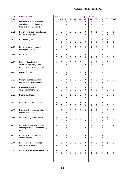| <b>Code</b><br>V57<br>W01<br>W06<br>W13 | Occupant of pick-up truck or<br>van injured in collision with<br>fixed or stationary object<br>Fall on same level from slipping,<br>tripping & stumbling<br>Fall involving bed<br>Fall from, out of or through<br>building or structure<br>Fall from cliff | M<br>F<br>М<br>F<br>М<br>$\mathsf{F}$<br>м<br>F | $0 - 4$<br>$\Omega$<br>0<br>0<br>0<br>0<br>0 | $5-$<br>$\Omega$<br>$\mathbf 0$<br>0<br>0<br>0<br>$\Omega$ | $15-$<br>$\Omega$<br>$\mathbf 0$<br>0<br>$\Omega$ | $25 -$<br>$\mathbf{1}$<br>$\mathbf 0$<br>$\pmb{0}$<br>0 | $35-$<br>$\mathbf 0$<br>$\Omega$<br>$\mathbf 0$<br>$\mathbf 0$ | $45-$<br>$\mathsf{O}\xspace$<br>$\mathbf 0$<br>$\mathbf 0$<br>$\Omega$ | $55-$<br>0<br>$\mathbf 0$<br>0<br>$\Omega$ | $65-$<br>$\Omega$<br>$\overline{0}$<br>1 | $75-$<br>$\mathbf 0$<br>$\mathbf 0$<br>0 | $85 -$<br>0<br>$\Omega$<br>0 | <b>Total</b><br>1<br>0                  |
|-----------------------------------------|------------------------------------------------------------------------------------------------------------------------------------------------------------------------------------------------------------------------------------------------------------|-------------------------------------------------|----------------------------------------------|------------------------------------------------------------|---------------------------------------------------|---------------------------------------------------------|----------------------------------------------------------------|------------------------------------------------------------------------|--------------------------------------------|------------------------------------------|------------------------------------------|------------------------------|-----------------------------------------|
|                                         |                                                                                                                                                                                                                                                            |                                                 |                                              |                                                            |                                                   |                                                         |                                                                |                                                                        |                                            |                                          |                                          |                              |                                         |
|                                         |                                                                                                                                                                                                                                                            |                                                 |                                              |                                                            |                                                   |                                                         |                                                                |                                                                        |                                            |                                          |                                          |                              |                                         |
|                                         |                                                                                                                                                                                                                                                            |                                                 |                                              |                                                            |                                                   |                                                         |                                                                |                                                                        |                                            | 0                                        | $\mathbf 0$                              | $\overline{c}$               | 1<br>$\overline{2}$                     |
|                                         |                                                                                                                                                                                                                                                            |                                                 |                                              |                                                            | $\mathbf 0$<br>$\Omega$                           | $\pmb{0}$<br>0                                          | 0<br>0                                                         | 1<br>$\mathbf 0$                                                       | 0<br>0                                     | 0<br>0                                   | 0<br>$\mathbf 0$                         | 1<br>1                       | $\overline{\mathbf{c}}$<br>$\mathbf{1}$ |
|                                         |                                                                                                                                                                                                                                                            |                                                 | 0<br>0                                       | 0<br>$\Omega$                                              | 0<br>$\Omega$                                     | $\mathbf{1}$<br>0                                       | 0<br>$\Omega$                                                  | 0<br>$\mathbf{1}$                                                      | 0<br>$\Omega$                              | 1<br>0                                   | 1<br>0                                   | 0<br>$\Omega$                | 3<br>1                                  |
| W15                                     |                                                                                                                                                                                                                                                            | м<br>E                                          | 0<br>0                                       | 0<br>$\Omega$                                              | 0<br>$\Omega$                                     | $\pmb{0}$<br>0                                          | 0<br>0                                                         | $\mathbf 0$<br>$\Omega$                                                | 1<br>$\Omega$                              | 0<br>0                                   | 0<br>0                                   | 0<br>0                       | 1<br>0                                  |
| W16                                     | Diving or jumping into<br>water causing injury other<br>than drowning or submersion                                                                                                                                                                        | М<br>F                                          | 0<br>0                                       | 0<br>$\Omega$                                              | $\mathbf 0$<br>$\Omega$                           | $\pmb{0}$<br>$\mathbf 0$                                | $\mathbf 0$<br>0                                               | 1<br>$\mathbf 0$                                                       | 0<br>0                                     | 0<br>0                                   | 0<br>$\mathbf 0$                         | 0<br>0                       | $\mathbf{1}$<br>0                       |
| W19                                     | Unspecified fall                                                                                                                                                                                                                                           | М<br>F                                          | 0<br>0                                       | 0<br>$\mathbf 0$                                           | 0<br>$\Omega$                                     | $\pmb{0}$<br>0                                          | 1<br>$\mathbf 0$                                               | 0<br>0                                                                 | 0<br>1                                     | 1<br>$\overline{2}$                      | $\overline{4}$<br>5                      | 6<br>3                       | 12<br>11                                |
| W23                                     | Caught, crushed, jammed or<br>pinched in or between objects                                                                                                                                                                                                | М<br>F                                          | 0<br>0                                       | 0<br>$\Omega$                                              | 1<br>$\Omega$                                     | $\pmb{0}$<br>0                                          | $\mathbf 0$<br>$\mathbf 0$                                     | 0<br>0                                                                 | 0<br>0                                     | 0<br>0                                   | 0<br>$\mathbf 0$                         | 0<br>0                       | 1<br>0                                  |
| W31                                     | Contact with other &<br>unspecified machinery                                                                                                                                                                                                              | М<br>F                                          | 0<br>0                                       | 0<br>$\mathbf 0$                                           | 0<br>$\Omega$                                     | $\mathbf{1}$<br>0                                       | 0<br>$\mathbf 0$                                               | 0<br>$\Omega$                                                          | 0<br>$\Omega$                              | 0<br>0                                   | 0<br>0                                   | 0<br>0                       | 1<br>0                                  |
| W39                                     | Discharge of firework                                                                                                                                                                                                                                      | М<br>F                                          | 0<br>0                                       | 0<br>$\Omega$                                              | 1<br>$\Omega$                                     | $\pmb{0}$<br>0                                          | 0<br>0                                                         | 0<br>$\Omega$                                                          | 1<br>0                                     | 0<br>0                                   | 0<br>0                                   | 0<br>0                       | $\overline{c}$<br>0                     |
| W40                                     | Explosion of other materials                                                                                                                                                                                                                               | М<br>F                                          | 0<br>0                                       | 0<br>0                                                     | $\mathbf 0$<br>0                                  | 2<br>1                                                  | 3<br>0                                                         | 0<br>0                                                                 | 1<br>0                                     | $\mathbf{1}$<br>0                        | 0<br>0                                   | 0<br>0                       | 7<br>$\mathbf{1}$                       |
| W70                                     | Drowning & submersion following<br>fall into natural water                                                                                                                                                                                                 | M<br>F                                          | 0<br>0                                       | 0<br>$\mathbf 0$                                           | 0<br>$\mathbf 0$                                  | 0<br>$\mathsf 0$                                        | 0<br>$\mathbf 0$                                               | 0<br>$\mathbf{1}$                                                      | 0<br>0                                     | 0<br>0                                   | 1<br>0                                   | 0<br>0                       | 1<br>1                                  |
| W78                                     | Inhalation of gastric contents                                                                                                                                                                                                                             | M<br>F                                          | 0<br>0                                       | $\mathbf 0$<br>$\mathbf 0$                                 | $\mathbf 0$<br>$\mathbf 0$                        | $\pmb{0}$<br>$\mathbf 0$                                | $\mathbf 0$<br>$\mathbf 0$                                     | 1<br>$\mathbf 0$                                                       | 0<br>$\mathbf 0$                           | 0<br>0                                   | 0<br>0                                   | 1<br>0                       | $\overline{c}$<br>$\pmb{0}$             |
| W79                                     | Inhalation & ingestion of food<br>causing obstruction of respiratory<br>tract                                                                                                                                                                              | M<br>F                                          | 0<br>0                                       | 0<br>$\mathbf 0$                                           | 0<br>$\mathbf 0$                                  | $\pmb{0}$<br>$\mathbf 0$                                | $\mathbf 0$<br>$\mathbf 0$                                     | 1<br>$\mathbf 0$                                                       | 0<br>$\Omega$                              | 1<br>0                                   | 0<br>$\mathbf 0$                         | 0<br>0                       | $\overline{c}$<br>$\mathbf 0$           |
| <b>W86</b>                              | Exposure to other specified<br>electric current                                                                                                                                                                                                            | M<br>F                                          | $\pmb{0}$<br>$\mathbf 0$                     | $\mathbf 0$<br>$\mathbf 0$                                 | 0<br>$\mathbf 0$                                  | $\pmb{0}$<br>$\mathbf 0$                                | $\pmb{0}$<br>$\mathbf 0$                                       | 0<br>$\mathbf 0$                                                       | $\mathbf{1}$<br>$\mathbf 0$                | 0<br>0                                   | $\pmb{0}$<br>$\mathbf 0$                 | $\pmb{0}$<br>0               | 1<br>0                                  |
| X08                                     | Exposure to other specified<br>smoke, fire & flames                                                                                                                                                                                                        | M<br>F                                          | 0<br>0                                       | $\mathbf 0$<br>$\mathbf 0$                                 | $\mathbf 0$<br>$\mathbf 0$                        | $\pmb{0}$<br>$\mathbf 0$                                | 0<br>0                                                         | 0<br>$\mathbf 0$                                                       | 0<br>$\mathbf 0$                           | 0<br>0                                   | $\pmb{0}$<br>$\mathbf 0$                 | 1<br>0                       | $\mathbf 1$<br>0                        |
| X31                                     | Exposure to excessive natural cold                                                                                                                                                                                                                         | M<br>F                                          | 0<br>0                                       | 0<br>$\mathbf 0$                                           | 0<br>$\Omega$                                     | $\pmb{0}$<br>$\mathbf 0$                                | $\pmb{0}$<br>$\mathbf 0$                                       | 0<br>$\mathbf 0$                                                       | 0<br>$\Omega$                              | 0<br>0                                   | 1<br>$\mathbf 0$                         | 0<br>1                       | 1<br>$\mathbf{1}$                       |